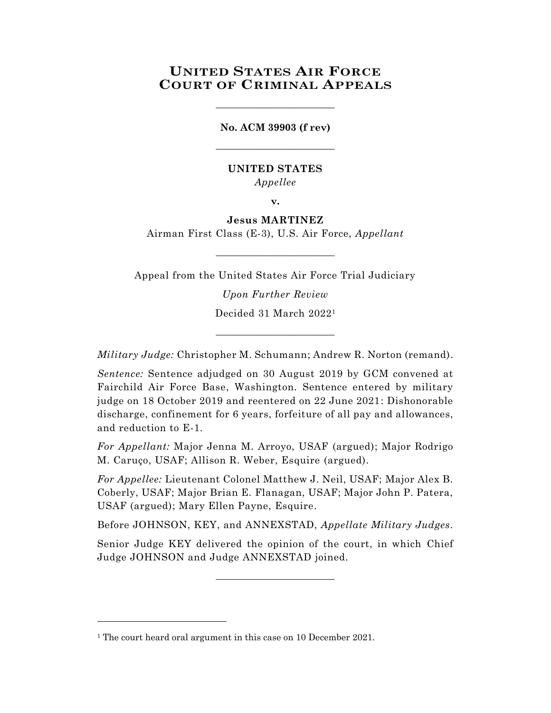# **UNITED STATES AIR FORCE COURT OF CRIMINAL APPEALS**

**No. ACM 39903 (f rev)** \_\_\_\_\_\_\_\_\_\_\_\_\_\_\_\_\_\_\_\_\_\_\_\_

\_\_\_\_\_\_\_\_\_\_\_\_\_\_\_\_\_\_\_\_\_\_\_\_

# **UNITED STATES** *Appellee*

**v.**

# **Jesus MARTINEZ**

Airman First Class (E-3), U.S. Air Force, *Appellant* \_\_\_\_\_\_\_\_\_\_\_\_\_\_\_\_\_\_\_\_\_\_\_\_

Appeal from the United States Air Force Trial Judiciary

*Upon Further Review* Decided 31 March 2022<sup>1</sup>

*Military Judge:* Christopher M. Schumann; Andrew R. Norton (remand).

\_\_\_\_\_\_\_\_\_\_\_\_\_\_\_\_\_\_\_\_\_\_\_\_

*Sentence:* Sentence adjudged on 30 August 2019 by GCM convened at Fairchild Air Force Base, Washington. Sentence entered by military judge on 18 October 2019 and reentered on 22 June 2021: Dishonorable discharge, confinement for 6 years, forfeiture of all pay and allowances, and reduction to E-1.

*For Appellant:* Major Jenna M. Arroyo, USAF (argued); Major Rodrigo M. Caruço, USAF; Allison R. Weber, Esquire (argued).

*For Appellee:* Lieutenant Colonel Matthew J. Neil, USAF; Major Alex B. Coberly, USAF; Major Brian E. Flanagan, USAF; Major John P. Patera, USAF (argued); Mary Ellen Payne, Esquire.

Before JOHNSON, KEY, and ANNEXSTAD, *Appellate Military Judges.*

Senior Judge KEY delivered the opinion of the court, in which Chief Judge JOHNSON and Judge ANNEXSTAD joined.

\_\_\_\_\_\_\_\_\_\_\_\_\_\_\_\_\_\_\_\_\_\_\_\_

<sup>&</sup>lt;sup>1</sup> The court heard oral argument in this case on 10 December 2021.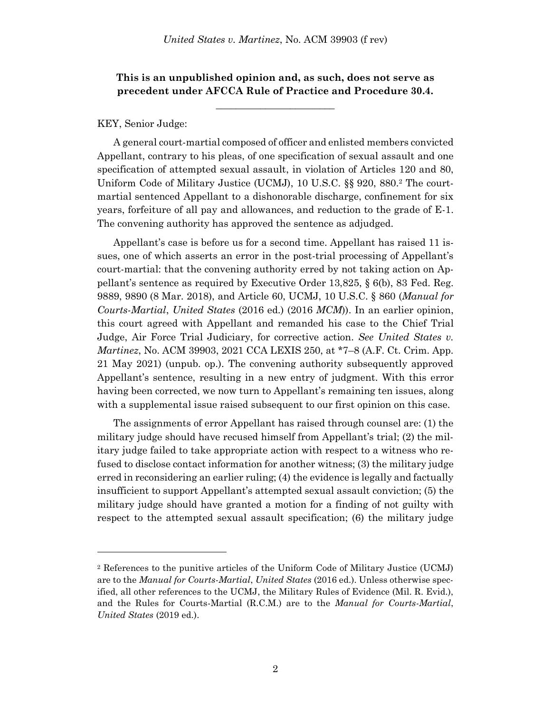# **This is an unpublished opinion and, as such, does not serve as precedent under AFCCA Rule of Practice and Procedure 30.4.**

**\_\_\_\_\_\_\_\_\_\_\_\_\_\_\_\_\_\_\_\_\_\_\_\_**

### KEY, Senior Judge:

l

A general court-martial composed of officer and enlisted members convicted Appellant, contrary to his pleas, of one specification of sexual assault and one specification of attempted sexual assault, in violation of Articles 120 and 80, Uniform Code of Military Justice (UCMJ), 10 U.S.C. §§ 920, 880.<sup>2</sup> The courtmartial sentenced Appellant to a dishonorable discharge, confinement for six years, forfeiture of all pay and allowances, and reduction to the grade of E-1. The convening authority has approved the sentence as adjudged.

Appellant's case is before us for a second time. Appellant has raised 11 issues, one of which asserts an error in the post-trial processing of Appellant's court-martial: that the convening authority erred by not taking action on Appellant's sentence as required by Executive Order 13,825, § 6(b), 83 Fed. Reg. 9889, 9890 (8 Mar. 2018), and Article 60, UCMJ, 10 U.S.C. § 860 (*Manual for Courts-Martial*, *United States* (2016 ed.) (2016 *MCM*)). In an earlier opinion, this court agreed with Appellant and remanded his case to the Chief Trial Judge, Air Force Trial Judiciary, for corrective action. *See United States v. Martinez*, No. ACM 39903, 2021 CCA LEXIS 250, at \*7–8 (A.F. Ct. Crim. App. 21 May 2021) (unpub. op.). The convening authority subsequently approved Appellant's sentence, resulting in a new entry of judgment. With this error having been corrected, we now turn to Appellant's remaining ten issues, along with a supplemental issue raised subsequent to our first opinion on this case.

The assignments of error Appellant has raised through counsel are: (1) the military judge should have recused himself from Appellant's trial; (2) the military judge failed to take appropriate action with respect to a witness who refused to disclose contact information for another witness; (3) the military judge erred in reconsidering an earlier ruling; (4) the evidence is legally and factually insufficient to support Appellant's attempted sexual assault conviction; (5) the military judge should have granted a motion for a finding of not guilty with respect to the attempted sexual assault specification; (6) the military judge

<sup>2</sup> References to the punitive articles of the Uniform Code of Military Justice (UCMJ) are to the *Manual for Courts-Martial*, *United States* (2016 ed.). Unless otherwise specified, all other references to the UCMJ, the Military Rules of Evidence (Mil. R. Evid.), and the Rules for Courts-Martial (R.C.M.) are to the *Manual for Courts-Martial*, *United States* (2019 ed.).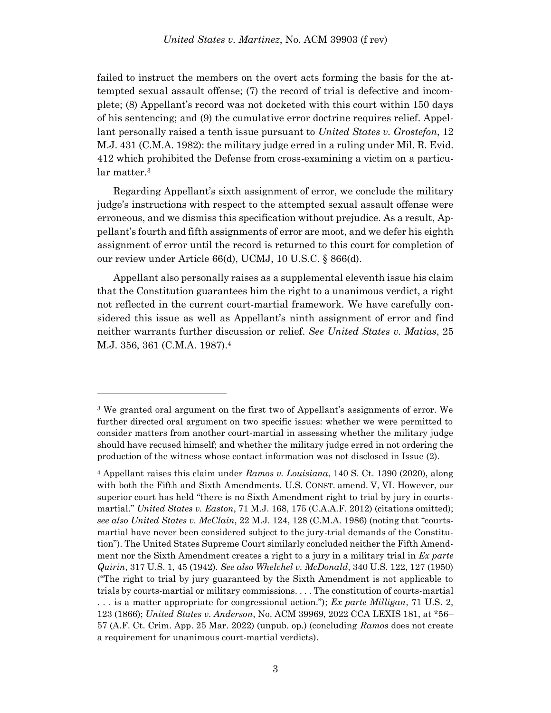failed to instruct the members on the overt acts forming the basis for the attempted sexual assault offense; (7) the record of trial is defective and incomplete; (8) Appellant's record was not docketed with this court within 150 days of his sentencing; and (9) the cumulative error doctrine requires relief. Appellant personally raised a tenth issue pursuant to *United States v. Grostefon*, 12 M.J. 431 (C.M.A. 1982): the military judge erred in a ruling under Mil. R. Evid. 412 which prohibited the Defense from cross-examining a victim on a particular matter.<sup>3</sup>

Regarding Appellant's sixth assignment of error, we conclude the military judge's instructions with respect to the attempted sexual assault offense were erroneous, and we dismiss this specification without prejudice. As a result, Appellant's fourth and fifth assignments of error are moot, and we defer his eighth assignment of error until the record is returned to this court for completion of our review under Article 66(d), UCMJ, 10 U.S.C. § 866(d).

Appellant also personally raises as a supplemental eleventh issue his claim that the Constitution guarantees him the right to a unanimous verdict, a right not reflected in the current court-martial framework. We have carefully considered this issue as well as Appellant's ninth assignment of error and find neither warrants further discussion or relief. *See United States v. Matias*, 25 M.J. 356, 361 (C.M.A. 1987).<sup>4</sup>

<sup>3</sup> We granted oral argument on the first two of Appellant's assignments of error. We further directed oral argument on two specific issues: whether we were permitted to consider matters from another court-martial in assessing whether the military judge should have recused himself; and whether the military judge erred in not ordering the production of the witness whose contact information was not disclosed in Issue (2).

<sup>4</sup> Appellant raises this claim under *Ramos v. Louisiana*, 140 S. Ct. 1390 (2020), along with both the Fifth and Sixth Amendments. U.S. CONST. amend. V, VI. However, our superior court has held "there is no Sixth Amendment right to trial by jury in courtsmartial." *United States v. Easton*, 71 M.J. 168, 175 (C.A.A.F. 2012) (citations omitted); *see also United States v. McClain*, 22 M.J. 124, 128 (C.M.A. 1986) (noting that "courtsmartial have never been considered subject to the jury-trial demands of the Constitution"). The United States Supreme Court similarly concluded neither the Fifth Amendment nor the Sixth Amendment creates a right to a jury in a military trial in *Ex parte Quirin*, 317 U.S. 1, 45 (1942). *See also Whelchel v. McDonald*, 340 U.S. 122, 127 (1950) ("The right to trial by jury guaranteed by the Sixth Amendment is not applicable to trials by courts-martial or military commissions. . . . The constitution of courts-martial . . . is a matter appropriate for congressional action."); *Ex parte Milligan*, 71 U.S. 2, 123 (1866); *United States v. Anderson*, No. ACM 39969, 2022 CCA LEXIS 181, at \*56– 57 (A.F. Ct. Crim. App. 25 Mar. 2022) (unpub. op.) (concluding *Ramos* does not create a requirement for unanimous court-martial verdicts).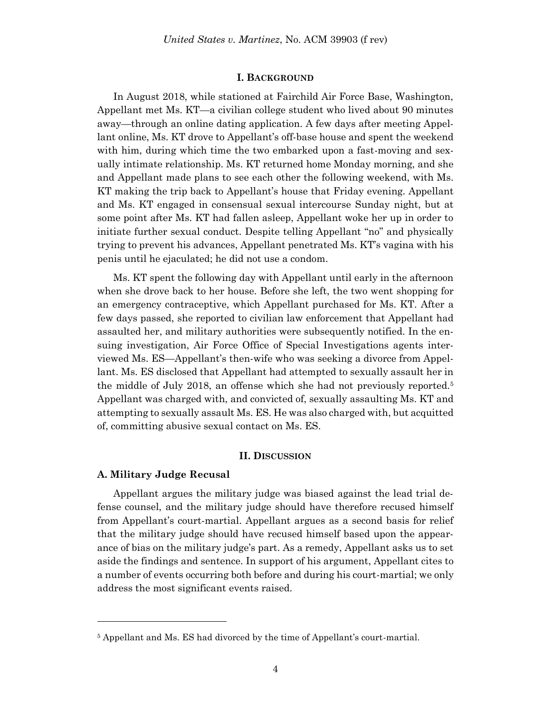#### **I. BACKGROUND**

In August 2018, while stationed at Fairchild Air Force Base, Washington, Appellant met Ms. KT—a civilian college student who lived about 90 minutes away—through an online dating application. A few days after meeting Appellant online, Ms. KT drove to Appellant's off-base house and spent the weekend with him, during which time the two embarked upon a fast-moving and sexually intimate relationship. Ms. KT returned home Monday morning, and she and Appellant made plans to see each other the following weekend, with Ms. KT making the trip back to Appellant's house that Friday evening. Appellant and Ms. KT engaged in consensual sexual intercourse Sunday night, but at some point after Ms. KT had fallen asleep, Appellant woke her up in order to initiate further sexual conduct. Despite telling Appellant "no" and physically trying to prevent his advances, Appellant penetrated Ms. KT's vagina with his penis until he ejaculated; he did not use a condom.

Ms. KT spent the following day with Appellant until early in the afternoon when she drove back to her house. Before she left, the two went shopping for an emergency contraceptive, which Appellant purchased for Ms. KT. After a few days passed, she reported to civilian law enforcement that Appellant had assaulted her, and military authorities were subsequently notified. In the ensuing investigation, Air Force Office of Special Investigations agents interviewed Ms. ES—Appellant's then-wife who was seeking a divorce from Appellant. Ms. ES disclosed that Appellant had attempted to sexually assault her in the middle of July 2018, an offense which she had not previously reported.<sup>5</sup> Appellant was charged with, and convicted of, sexually assaulting Ms. KT and attempting to sexually assault Ms. ES. He was also charged with, but acquitted of, committing abusive sexual contact on Ms. ES.

#### **II. DISCUSSION**

### **A. Military Judge Recusal**

l

Appellant argues the military judge was biased against the lead trial defense counsel, and the military judge should have therefore recused himself from Appellant's court-martial. Appellant argues as a second basis for relief that the military judge should have recused himself based upon the appearance of bias on the military judge's part. As a remedy, Appellant asks us to set aside the findings and sentence. In support of his argument, Appellant cites to a number of events occurring both before and during his court-martial; we only address the most significant events raised.

<sup>5</sup> Appellant and Ms. ES had divorced by the time of Appellant's court-martial.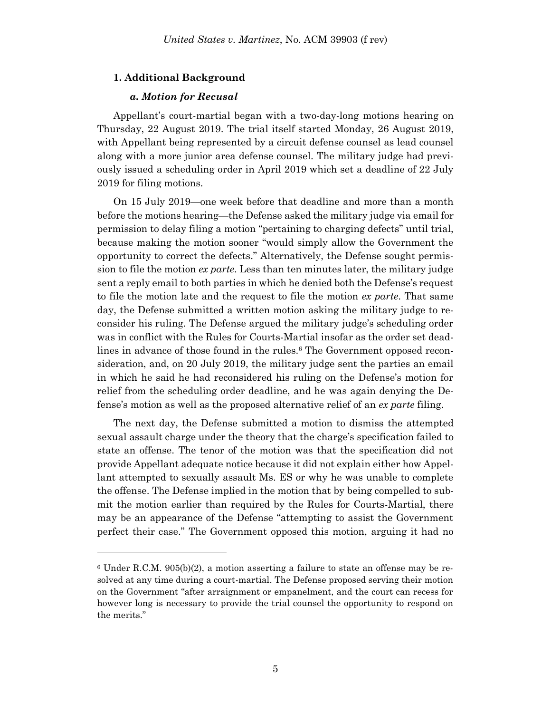### **1. Additional Background**

### *a. Motion for Recusal*

l

Appellant's court-martial began with a two-day-long motions hearing on Thursday, 22 August 2019. The trial itself started Monday, 26 August 2019, with Appellant being represented by a circuit defense counsel as lead counsel along with a more junior area defense counsel. The military judge had previously issued a scheduling order in April 2019 which set a deadline of 22 July 2019 for filing motions.

On 15 July 2019—one week before that deadline and more than a month before the motions hearing—the Defense asked the military judge via email for permission to delay filing a motion "pertaining to charging defects" until trial, because making the motion sooner "would simply allow the Government the opportunity to correct the defects." Alternatively, the Defense sought permission to file the motion *ex parte*. Less than ten minutes later, the military judge sent a reply email to both parties in which he denied both the Defense's request to file the motion late and the request to file the motion *ex parte*. That same day, the Defense submitted a written motion asking the military judge to reconsider his ruling. The Defense argued the military judge's scheduling order was in conflict with the Rules for Courts-Martial insofar as the order set deadlines in advance of those found in the rules.<sup>6</sup> The Government opposed reconsideration, and, on 20 July 2019, the military judge sent the parties an email in which he said he had reconsidered his ruling on the Defense's motion for relief from the scheduling order deadline, and he was again denying the Defense's motion as well as the proposed alternative relief of an *ex parte* filing.

The next day, the Defense submitted a motion to dismiss the attempted sexual assault charge under the theory that the charge's specification failed to state an offense. The tenor of the motion was that the specification did not provide Appellant adequate notice because it did not explain either how Appellant attempted to sexually assault Ms. ES or why he was unable to complete the offense. The Defense implied in the motion that by being compelled to submit the motion earlier than required by the Rules for Courts-Martial, there may be an appearance of the Defense "attempting to assist the Government perfect their case." The Government opposed this motion, arguing it had no

 $6$  Under R.C.M.  $905(b)(2)$ , a motion asserting a failure to state an offense may be resolved at any time during a court-martial. The Defense proposed serving their motion on the Government "after arraignment or empanelment, and the court can recess for however long is necessary to provide the trial counsel the opportunity to respond on the merits."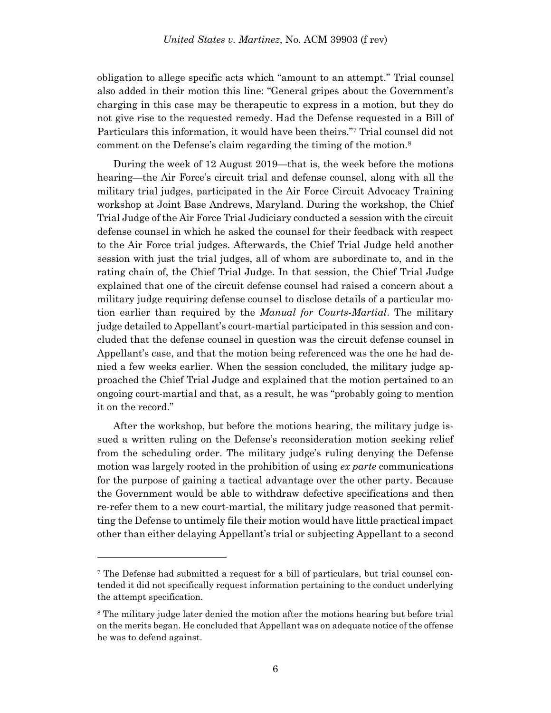obligation to allege specific acts which "amount to an attempt." Trial counsel also added in their motion this line: "General gripes about the Government's charging in this case may be therapeutic to express in a motion, but they do not give rise to the requested remedy. Had the Defense requested in a Bill of Particulars this information, it would have been theirs."<sup>7</sup> Trial counsel did not comment on the Defense's claim regarding the timing of the motion.<sup>8</sup>

During the week of 12 August 2019—that is, the week before the motions hearing—the Air Force's circuit trial and defense counsel, along with all the military trial judges, participated in the Air Force Circuit Advocacy Training workshop at Joint Base Andrews, Maryland. During the workshop, the Chief Trial Judge of the Air Force Trial Judiciary conducted a session with the circuit defense counsel in which he asked the counsel for their feedback with respect to the Air Force trial judges. Afterwards, the Chief Trial Judge held another session with just the trial judges, all of whom are subordinate to, and in the rating chain of, the Chief Trial Judge. In that session, the Chief Trial Judge explained that one of the circuit defense counsel had raised a concern about a military judge requiring defense counsel to disclose details of a particular motion earlier than required by the *Manual for Courts-Martial*. The military judge detailed to Appellant's court-martial participated in this session and concluded that the defense counsel in question was the circuit defense counsel in Appellant's case, and that the motion being referenced was the one he had denied a few weeks earlier. When the session concluded, the military judge approached the Chief Trial Judge and explained that the motion pertained to an ongoing court-martial and that, as a result, he was "probably going to mention it on the record."

After the workshop, but before the motions hearing, the military judge issued a written ruling on the Defense's reconsideration motion seeking relief from the scheduling order. The military judge's ruling denying the Defense motion was largely rooted in the prohibition of using *ex parte* communications for the purpose of gaining a tactical advantage over the other party. Because the Government would be able to withdraw defective specifications and then re-refer them to a new court-martial, the military judge reasoned that permitting the Defense to untimely file their motion would have little practical impact other than either delaying Appellant's trial or subjecting Appellant to a second

<sup>7</sup> The Defense had submitted a request for a bill of particulars, but trial counsel contended it did not specifically request information pertaining to the conduct underlying the attempt specification.

<sup>8</sup> The military judge later denied the motion after the motions hearing but before trial on the merits began. He concluded that Appellant was on adequate notice of the offense he was to defend against.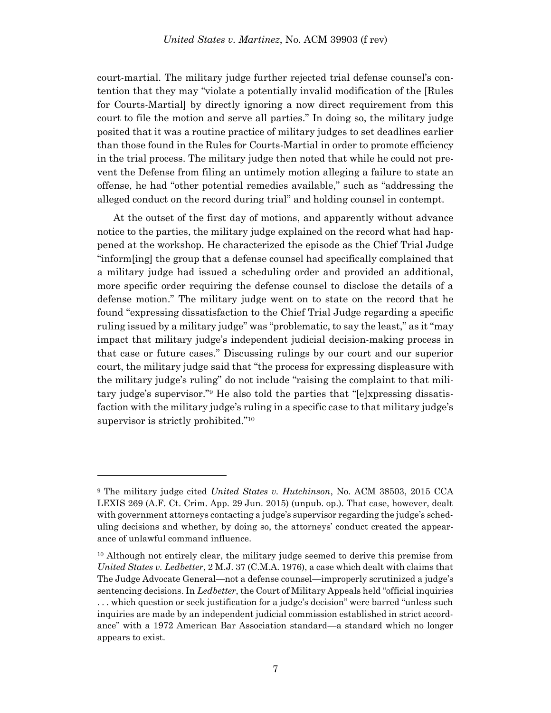court-martial. The military judge further rejected trial defense counsel's contention that they may "violate a potentially invalid modification of the [Rules for Courts-Martial] by directly ignoring a now direct requirement from this court to file the motion and serve all parties." In doing so, the military judge posited that it was a routine practice of military judges to set deadlines earlier than those found in the Rules for Courts-Martial in order to promote efficiency in the trial process. The military judge then noted that while he could not prevent the Defense from filing an untimely motion alleging a failure to state an offense, he had "other potential remedies available," such as "addressing the alleged conduct on the record during trial" and holding counsel in contempt.

At the outset of the first day of motions, and apparently without advance notice to the parties, the military judge explained on the record what had happened at the workshop. He characterized the episode as the Chief Trial Judge "inform[ing] the group that a defense counsel had specifically complained that a military judge had issued a scheduling order and provided an additional, more specific order requiring the defense counsel to disclose the details of a defense motion." The military judge went on to state on the record that he found "expressing dissatisfaction to the Chief Trial Judge regarding a specific ruling issued by a military judge" was "problematic, to say the least," as it "may impact that military judge's independent judicial decision-making process in that case or future cases." Discussing rulings by our court and our superior court, the military judge said that "the process for expressing displeasure with the military judge's ruling" do not include "raising the complaint to that military judge's supervisor."<sup>9</sup> He also told the parties that "[e]xpressing dissatisfaction with the military judge's ruling in a specific case to that military judge's supervisor is strictly prohibited."<sup>10</sup>

<sup>9</sup> The military judge cited *United States v. Hutchinson*, No. ACM 38503, 2015 CCA LEXIS 269 (A.F. Ct. Crim. App. 29 Jun. 2015) (unpub. op.). That case, however, dealt with government attorneys contacting a judge's supervisor regarding the judge's scheduling decisions and whether, by doing so, the attorneys' conduct created the appearance of unlawful command influence.

<sup>10</sup> Although not entirely clear, the military judge seemed to derive this premise from *United States v. Ledbetter*, 2 M.J. 37 (C.M.A. 1976), a case which dealt with claims that The Judge Advocate General—not a defense counsel—improperly scrutinized a judge's sentencing decisions. In *Ledbetter*, the Court of Military Appeals held "official inquiries . . . which question or seek justification for a judge's decision" were barred "unless such inquiries are made by an independent judicial commission established in strict accordance" with a 1972 American Bar Association standard—a standard which no longer appears to exist.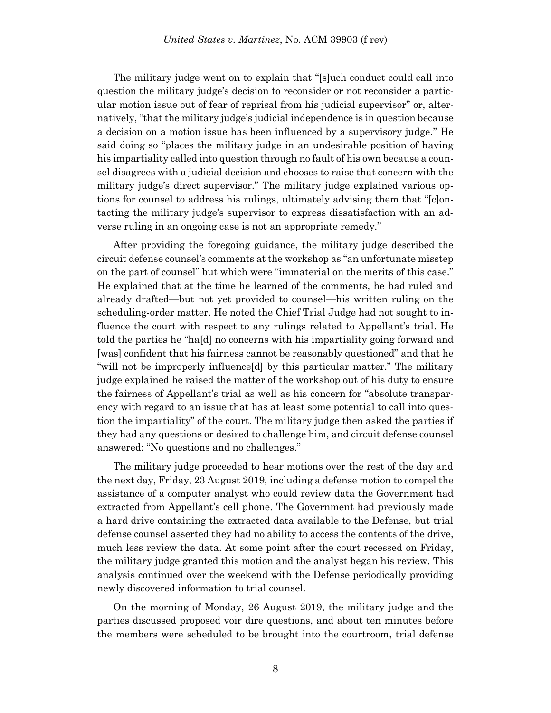The military judge went on to explain that "[s]uch conduct could call into question the military judge's decision to reconsider or not reconsider a particular motion issue out of fear of reprisal from his judicial supervisor" or, alternatively, "that the military judge's judicial independence is in question because a decision on a motion issue has been influenced by a supervisory judge." He said doing so "places the military judge in an undesirable position of having his impartiality called into question through no fault of his own because a counsel disagrees with a judicial decision and chooses to raise that concern with the military judge's direct supervisor." The military judge explained various options for counsel to address his rulings, ultimately advising them that "[c]ontacting the military judge's supervisor to express dissatisfaction with an adverse ruling in an ongoing case is not an appropriate remedy."

After providing the foregoing guidance, the military judge described the circuit defense counsel's comments at the workshop as "an unfortunate misstep on the part of counsel" but which were "immaterial on the merits of this case." He explained that at the time he learned of the comments, he had ruled and already drafted—but not yet provided to counsel—his written ruling on the scheduling-order matter. He noted the Chief Trial Judge had not sought to influence the court with respect to any rulings related to Appellant's trial. He told the parties he "ha[d] no concerns with his impartiality going forward and [was] confident that his fairness cannot be reasonably questioned" and that he "will not be improperly influence[d] by this particular matter." The military judge explained he raised the matter of the workshop out of his duty to ensure the fairness of Appellant's trial as well as his concern for "absolute transparency with regard to an issue that has at least some potential to call into question the impartiality" of the court. The military judge then asked the parties if they had any questions or desired to challenge him, and circuit defense counsel answered: "No questions and no challenges."

The military judge proceeded to hear motions over the rest of the day and the next day, Friday, 23 August 2019, including a defense motion to compel the assistance of a computer analyst who could review data the Government had extracted from Appellant's cell phone. The Government had previously made a hard drive containing the extracted data available to the Defense, but trial defense counsel asserted they had no ability to access the contents of the drive, much less review the data. At some point after the court recessed on Friday, the military judge granted this motion and the analyst began his review. This analysis continued over the weekend with the Defense periodically providing newly discovered information to trial counsel.

On the morning of Monday, 26 August 2019, the military judge and the parties discussed proposed voir dire questions, and about ten minutes before the members were scheduled to be brought into the courtroom, trial defense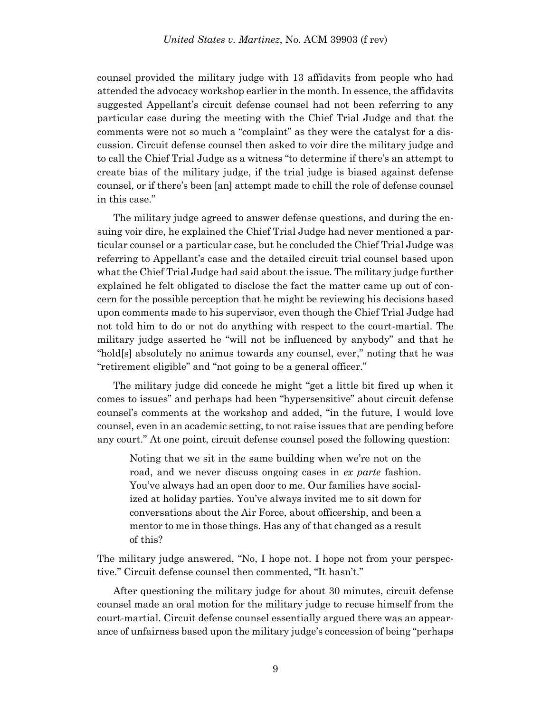counsel provided the military judge with 13 affidavits from people who had attended the advocacy workshop earlier in the month. In essence, the affidavits suggested Appellant's circuit defense counsel had not been referring to any particular case during the meeting with the Chief Trial Judge and that the comments were not so much a "complaint" as they were the catalyst for a discussion. Circuit defense counsel then asked to voir dire the military judge and to call the Chief Trial Judge as a witness "to determine if there's an attempt to create bias of the military judge, if the trial judge is biased against defense counsel, or if there's been [an] attempt made to chill the role of defense counsel in this case."

The military judge agreed to answer defense questions, and during the ensuing voir dire, he explained the Chief Trial Judge had never mentioned a particular counsel or a particular case, but he concluded the Chief Trial Judge was referring to Appellant's case and the detailed circuit trial counsel based upon what the Chief Trial Judge had said about the issue. The military judge further explained he felt obligated to disclose the fact the matter came up out of concern for the possible perception that he might be reviewing his decisions based upon comments made to his supervisor, even though the Chief Trial Judge had not told him to do or not do anything with respect to the court-martial. The military judge asserted he "will not be influenced by anybody" and that he "hold[s] absolutely no animus towards any counsel, ever," noting that he was "retirement eligible" and "not going to be a general officer."

The military judge did concede he might "get a little bit fired up when it comes to issues" and perhaps had been "hypersensitive" about circuit defense counsel's comments at the workshop and added, "in the future, I would love counsel, even in an academic setting, to not raise issues that are pending before any court." At one point, circuit defense counsel posed the following question:

Noting that we sit in the same building when we're not on the road, and we never discuss ongoing cases in *ex parte* fashion. You've always had an open door to me. Our families have socialized at holiday parties. You've always invited me to sit down for conversations about the Air Force, about officership, and been a mentor to me in those things. Has any of that changed as a result of this?

The military judge answered, "No, I hope not. I hope not from your perspective." Circuit defense counsel then commented, "It hasn't."

After questioning the military judge for about 30 minutes, circuit defense counsel made an oral motion for the military judge to recuse himself from the court-martial. Circuit defense counsel essentially argued there was an appearance of unfairness based upon the military judge's concession of being "perhaps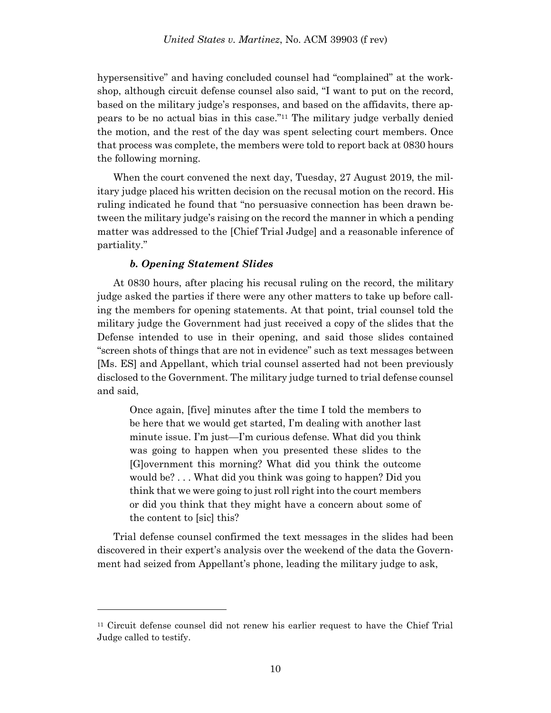hypersensitive" and having concluded counsel had "complained" at the workshop, although circuit defense counsel also said, "I want to put on the record, based on the military judge's responses, and based on the affidavits, there appears to be no actual bias in this case."<sup>11</sup> The military judge verbally denied the motion, and the rest of the day was spent selecting court members. Once that process was complete, the members were told to report back at 0830 hours the following morning.

When the court convened the next day, Tuesday, 27 August 2019, the military judge placed his written decision on the recusal motion on the record. His ruling indicated he found that "no persuasive connection has been drawn between the military judge's raising on the record the manner in which a pending matter was addressed to the [Chief Trial Judge] and a reasonable inference of partiality."

# *b. Opening Statement Slides*

l

At 0830 hours, after placing his recusal ruling on the record, the military judge asked the parties if there were any other matters to take up before calling the members for opening statements. At that point, trial counsel told the military judge the Government had just received a copy of the slides that the Defense intended to use in their opening, and said those slides contained "screen shots of things that are not in evidence" such as text messages between [Ms. ES] and Appellant, which trial counsel asserted had not been previously disclosed to the Government. The military judge turned to trial defense counsel and said,

Once again, [five] minutes after the time I told the members to be here that we would get started, I'm dealing with another last minute issue. I'm just—I'm curious defense. What did you think was going to happen when you presented these slides to the [G]overnment this morning? What did you think the outcome would be? . . . What did you think was going to happen? Did you think that we were going to just roll right into the court members or did you think that they might have a concern about some of the content to [sic] this?

Trial defense counsel confirmed the text messages in the slides had been discovered in their expert's analysis over the weekend of the data the Government had seized from Appellant's phone, leading the military judge to ask,

<sup>11</sup> Circuit defense counsel did not renew his earlier request to have the Chief Trial Judge called to testify.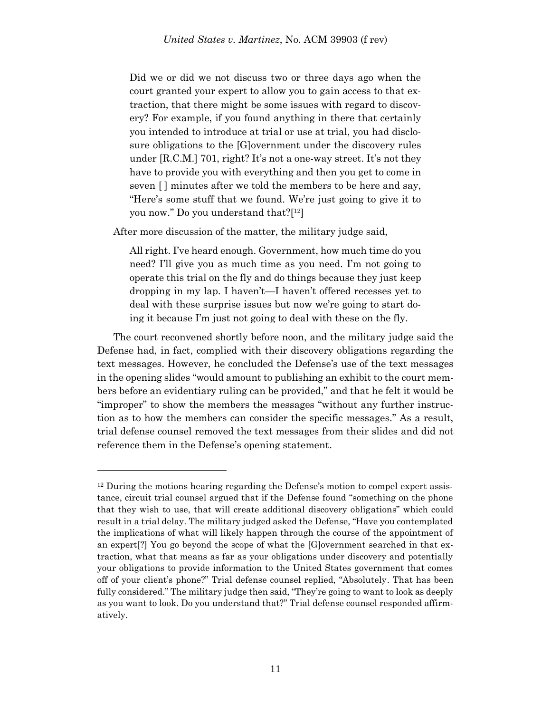Did we or did we not discuss two or three days ago when the court granted your expert to allow you to gain access to that extraction, that there might be some issues with regard to discovery? For example, if you found anything in there that certainly you intended to introduce at trial or use at trial, you had disclosure obligations to the [G]overnment under the discovery rules under [R.C.M.] 701, right? It's not a one-way street. It's not they have to provide you with everything and then you get to come in seven [] minutes after we told the members to be here and say, "Here's some stuff that we found. We're just going to give it to you now." Do you understand that?[ <sup>12</sup>]

After more discussion of the matter, the military judge said,

All right. I've heard enough. Government, how much time do you need? I'll give you as much time as you need. I'm not going to operate this trial on the fly and do things because they just keep dropping in my lap. I haven't—I haven't offered recesses yet to deal with these surprise issues but now we're going to start doing it because I'm just not going to deal with these on the fly.

The court reconvened shortly before noon, and the military judge said the Defense had, in fact, complied with their discovery obligations regarding the text messages. However, he concluded the Defense's use of the text messages in the opening slides "would amount to publishing an exhibit to the court members before an evidentiary ruling can be provided," and that he felt it would be "improper" to show the members the messages "without any further instruction as to how the members can consider the specific messages." As a result, trial defense counsel removed the text messages from their slides and did not reference them in the Defense's opening statement.

<sup>12</sup> During the motions hearing regarding the Defense's motion to compel expert assistance, circuit trial counsel argued that if the Defense found "something on the phone that they wish to use, that will create additional discovery obligations" which could result in a trial delay. The military judged asked the Defense, "Have you contemplated the implications of what will likely happen through the course of the appointment of an expert[?] You go beyond the scope of what the [G]overnment searched in that extraction, what that means as far as your obligations under discovery and potentially your obligations to provide information to the United States government that comes off of your client's phone?" Trial defense counsel replied, "Absolutely. That has been fully considered." The military judge then said, "They're going to want to look as deeply as you want to look. Do you understand that?" Trial defense counsel responded affirmatively.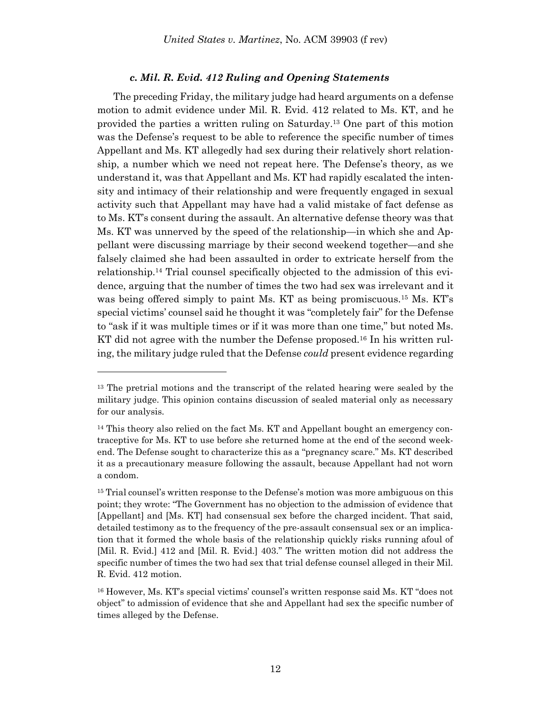### *c. Mil. R. Evid. 412 Ruling and Opening Statements*

The preceding Friday, the military judge had heard arguments on a defense motion to admit evidence under Mil. R. Evid. 412 related to Ms. KT, and he provided the parties a written ruling on Saturday. <sup>13</sup> One part of this motion was the Defense's request to be able to reference the specific number of times Appellant and Ms. KT allegedly had sex during their relatively short relationship, a number which we need not repeat here. The Defense's theory, as we understand it, was that Appellant and Ms. KT had rapidly escalated the intensity and intimacy of their relationship and were frequently engaged in sexual activity such that Appellant may have had a valid mistake of fact defense as to Ms. KT's consent during the assault. An alternative defense theory was that Ms. KT was unnerved by the speed of the relationship—in which she and Appellant were discussing marriage by their second weekend together—and she falsely claimed she had been assaulted in order to extricate herself from the relationship. <sup>14</sup> Trial counsel specifically objected to the admission of this evidence, arguing that the number of times the two had sex was irrelevant and it was being offered simply to paint Ms. KT as being promiscuous.<sup>15</sup> Ms. KT's special victims' counsel said he thought it was "completely fair" for the Defense to "ask if it was multiple times or if it was more than one time," but noted Ms. KT did not agree with the number the Defense proposed.<sup>16</sup> In his written ruling, the military judge ruled that the Defense *could* present evidence regarding

<sup>&</sup>lt;sup>13</sup> The pretrial motions and the transcript of the related hearing were sealed by the military judge. This opinion contains discussion of sealed material only as necessary for our analysis.

<sup>&</sup>lt;sup>14</sup> This theory also relied on the fact Ms. KT and Appellant bought an emergency contraceptive for Ms. KT to use before she returned home at the end of the second weekend. The Defense sought to characterize this as a "pregnancy scare." Ms. KT described it as a precautionary measure following the assault, because Appellant had not worn a condom.

<sup>&</sup>lt;sup>15</sup> Trial counsel's written response to the Defense's motion was more ambiguous on this point; they wrote: "The Government has no objection to the admission of evidence that [Appellant] and [Ms. KT] had consensual sex before the charged incident. That said, detailed testimony as to the frequency of the pre-assault consensual sex or an implication that it formed the whole basis of the relationship quickly risks running afoul of [Mil. R. Evid.] 412 and [Mil. R. Evid.] 403." The written motion did not address the specific number of times the two had sex that trial defense counsel alleged in their Mil. R. Evid. 412 motion.

<sup>16</sup> However, Ms. KT's special victims' counsel's written response said Ms. KT "does not object" to admission of evidence that she and Appellant had sex the specific number of times alleged by the Defense.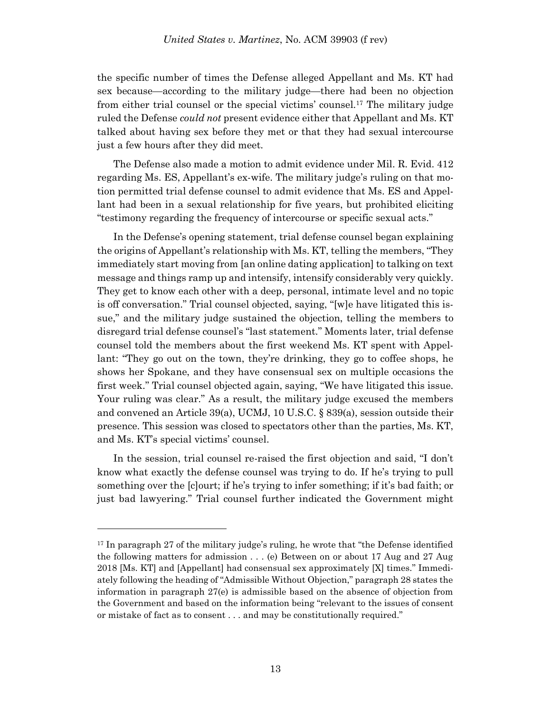the specific number of times the Defense alleged Appellant and Ms. KT had sex because—according to the military judge—there had been no objection from either trial counsel or the special victims' counsel.<sup>17</sup> The military judge ruled the Defense *could not* present evidence either that Appellant and Ms. KT talked about having sex before they met or that they had sexual intercourse just a few hours after they did meet.

The Defense also made a motion to admit evidence under Mil. R. Evid. 412 regarding Ms. ES, Appellant's ex-wife. The military judge's ruling on that motion permitted trial defense counsel to admit evidence that Ms. ES and Appellant had been in a sexual relationship for five years, but prohibited eliciting "testimony regarding the frequency of intercourse or specific sexual acts."

In the Defense's opening statement, trial defense counsel began explaining the origins of Appellant's relationship with Ms. KT, telling the members, "They immediately start moving from [an online dating application] to talking on text message and things ramp up and intensify, intensify considerably very quickly. They get to know each other with a deep, personal, intimate level and no topic is off conversation." Trial counsel objected, saying, "[w]e have litigated this issue," and the military judge sustained the objection, telling the members to disregard trial defense counsel's "last statement." Moments later, trial defense counsel told the members about the first weekend Ms. KT spent with Appellant: "They go out on the town, they're drinking, they go to coffee shops, he shows her Spokane, and they have consensual sex on multiple occasions the first week." Trial counsel objected again, saying, "We have litigated this issue. Your ruling was clear." As a result, the military judge excused the members and convened an Article 39(a), UCMJ, 10 U.S.C. § 839(a), session outside their presence. This session was closed to spectators other than the parties, Ms. KT, and Ms. KT's special victims' counsel.

In the session, trial counsel re-raised the first objection and said, "I don't know what exactly the defense counsel was trying to do. If he's trying to pull something over the [c]ourt; if he's trying to infer something; if it's bad faith; or just bad lawyering." Trial counsel further indicated the Government might

<sup>&</sup>lt;sup>17</sup> In paragraph 27 of the military judge's ruling, he wrote that "the Defense identified" the following matters for admission . . . (e) Between on or about 17 Aug and 27 Aug 2018 [Ms. KT] and [Appellant] had consensual sex approximately [X] times." Immediately following the heading of "Admissible Without Objection," paragraph 28 states the information in paragraph 27(e) is admissible based on the absence of objection from the Government and based on the information being "relevant to the issues of consent or mistake of fact as to consent . . . and may be constitutionally required."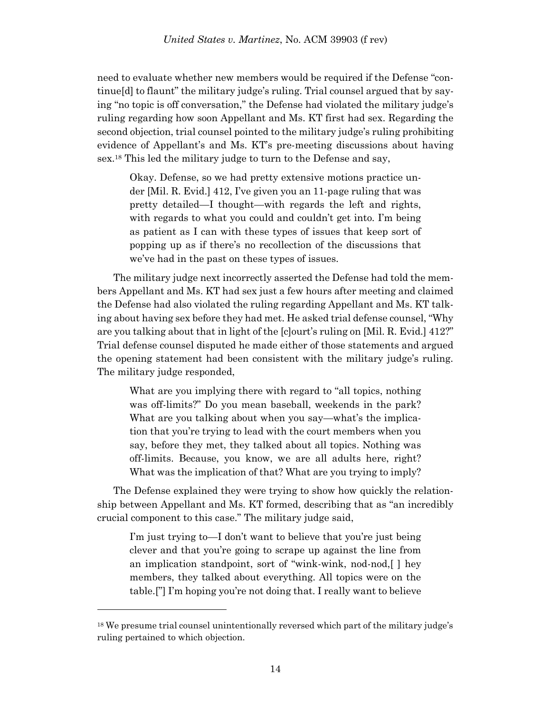need to evaluate whether new members would be required if the Defense "continue[d] to flaunt" the military judge's ruling. Trial counsel argued that by saying "no topic is off conversation," the Defense had violated the military judge's ruling regarding how soon Appellant and Ms. KT first had sex. Regarding the second objection, trial counsel pointed to the military judge's ruling prohibiting evidence of Appellant's and Ms. KT's pre-meeting discussions about having sex. <sup>18</sup> This led the military judge to turn to the Defense and say,

Okay. Defense, so we had pretty extensive motions practice under [Mil. R. Evid.] 412, I've given you an 11-page ruling that was pretty detailed—I thought—with regards the left and rights, with regards to what you could and couldn't get into. I'm being as patient as I can with these types of issues that keep sort of popping up as if there's no recollection of the discussions that we've had in the past on these types of issues.

The military judge next incorrectly asserted the Defense had told the members Appellant and Ms. KT had sex just a few hours after meeting and claimed the Defense had also violated the ruling regarding Appellant and Ms. KT talking about having sex before they had met. He asked trial defense counsel, "Why are you talking about that in light of the [c]ourt's ruling on [Mil. R. Evid.] 412?" Trial defense counsel disputed he made either of those statements and argued the opening statement had been consistent with the military judge's ruling. The military judge responded,

What are you implying there with regard to "all topics, nothing was off-limits?" Do you mean baseball, weekends in the park? What are you talking about when you say—what's the implication that you're trying to lead with the court members when you say, before they met, they talked about all topics. Nothing was off-limits. Because, you know, we are all adults here, right? What was the implication of that? What are you trying to imply?

The Defense explained they were trying to show how quickly the relationship between Appellant and Ms. KT formed, describing that as "an incredibly crucial component to this case." The military judge said,

I'm just trying to—I don't want to believe that you're just being clever and that you're going to scrape up against the line from an implication standpoint, sort of "wink-wink, nod-nod,[ ] hey members, they talked about everything. All topics were on the table.["] I'm hoping you're not doing that. I really want to believe

<sup>&</sup>lt;sup>18</sup> We presume trial counsel unintentionally reversed which part of the military judge's ruling pertained to which objection.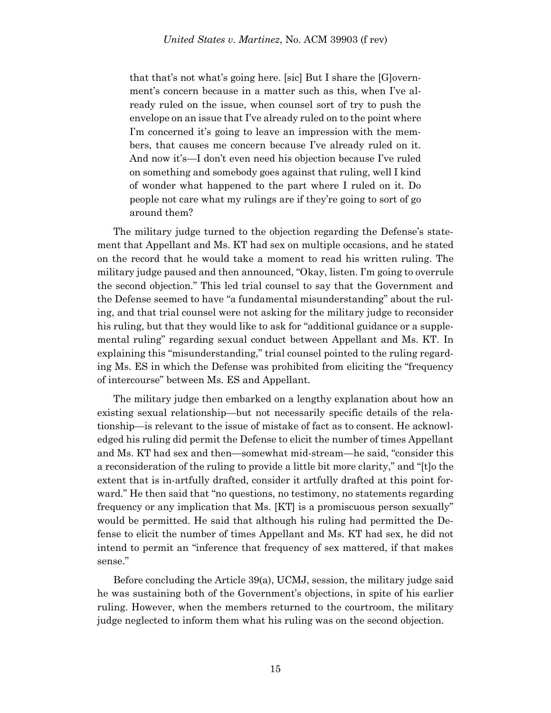that that's not what's going here. [sic] But I share the [G]overnment's concern because in a matter such as this, when I've already ruled on the issue, when counsel sort of try to push the envelope on an issue that I've already ruled on to the point where I'm concerned it's going to leave an impression with the members, that causes me concern because I've already ruled on it. And now it's—I don't even need his objection because I've ruled on something and somebody goes against that ruling, well I kind of wonder what happened to the part where I ruled on it. Do people not care what my rulings are if they're going to sort of go around them?

The military judge turned to the objection regarding the Defense's statement that Appellant and Ms. KT had sex on multiple occasions, and he stated on the record that he would take a moment to read his written ruling. The military judge paused and then announced, "Okay, listen. I'm going to overrule the second objection." This led trial counsel to say that the Government and the Defense seemed to have "a fundamental misunderstanding" about the ruling, and that trial counsel were not asking for the military judge to reconsider his ruling, but that they would like to ask for "additional guidance or a supplemental ruling" regarding sexual conduct between Appellant and Ms. KT. In explaining this "misunderstanding," trial counsel pointed to the ruling regarding Ms. ES in which the Defense was prohibited from eliciting the "frequency of intercourse" between Ms. ES and Appellant.

The military judge then embarked on a lengthy explanation about how an existing sexual relationship—but not necessarily specific details of the relationship—is relevant to the issue of mistake of fact as to consent. He acknowledged his ruling did permit the Defense to elicit the number of times Appellant and Ms. KT had sex and then—somewhat mid-stream—he said, "consider this a reconsideration of the ruling to provide a little bit more clarity," and "[t]o the extent that is in-artfully drafted, consider it artfully drafted at this point forward." He then said that "no questions, no testimony, no statements regarding frequency or any implication that Ms. [KT] is a promiscuous person sexually" would be permitted. He said that although his ruling had permitted the Defense to elicit the number of times Appellant and Ms. KT had sex, he did not intend to permit an "inference that frequency of sex mattered, if that makes sense."

Before concluding the Article 39(a), UCMJ, session, the military judge said he was sustaining both of the Government's objections, in spite of his earlier ruling. However, when the members returned to the courtroom, the military judge neglected to inform them what his ruling was on the second objection.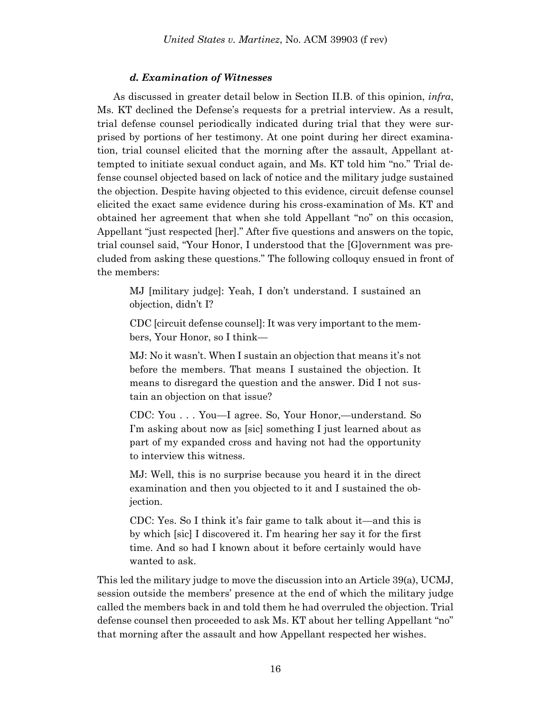### *d. Examination of Witnesses*

As discussed in greater detail below in Section II.B. of this opinion, *infra*, Ms. KT declined the Defense's requests for a pretrial interview. As a result, trial defense counsel periodically indicated during trial that they were surprised by portions of her testimony. At one point during her direct examination, trial counsel elicited that the morning after the assault, Appellant attempted to initiate sexual conduct again, and Ms. KT told him "no." Trial defense counsel objected based on lack of notice and the military judge sustained the objection. Despite having objected to this evidence, circuit defense counsel elicited the exact same evidence during his cross-examination of Ms. KT and obtained her agreement that when she told Appellant "no" on this occasion, Appellant "just respected [her]." After five questions and answers on the topic, trial counsel said, "Your Honor, I understood that the [G]overnment was precluded from asking these questions." The following colloquy ensued in front of the members:

MJ [military judge]: Yeah, I don't understand. I sustained an objection, didn't I?

CDC [circuit defense counsel]: It was very important to the members, Your Honor, so I think—

MJ: No it wasn't. When I sustain an objection that means it's not before the members. That means I sustained the objection. It means to disregard the question and the answer. Did I not sustain an objection on that issue?

CDC: You . . . You—I agree. So, Your Honor,—understand. So I'm asking about now as [sic] something I just learned about as part of my expanded cross and having not had the opportunity to interview this witness.

MJ: Well, this is no surprise because you heard it in the direct examination and then you objected to it and I sustained the objection.

CDC: Yes. So I think it's fair game to talk about it—and this is by which [sic] I discovered it. I'm hearing her say it for the first time. And so had I known about it before certainly would have wanted to ask.

This led the military judge to move the discussion into an Article 39(a), UCMJ, session outside the members' presence at the end of which the military judge called the members back in and told them he had overruled the objection. Trial defense counsel then proceeded to ask Ms. KT about her telling Appellant "no" that morning after the assault and how Appellant respected her wishes.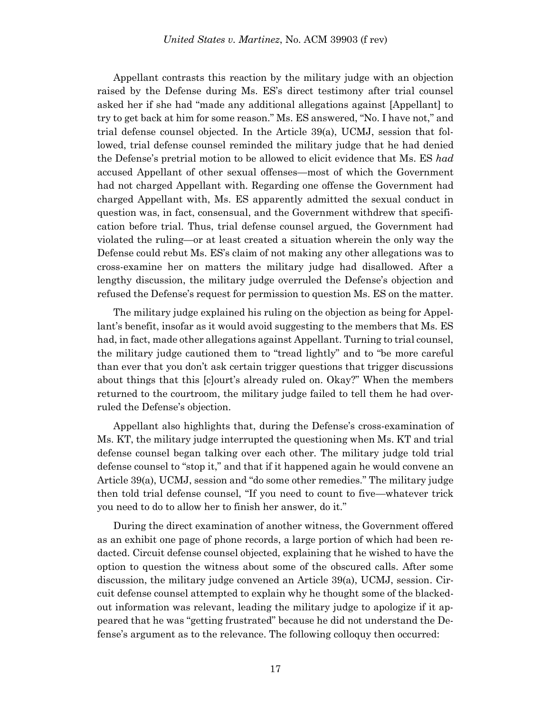Appellant contrasts this reaction by the military judge with an objection raised by the Defense during Ms. ES's direct testimony after trial counsel asked her if she had "made any additional allegations against [Appellant] to try to get back at him for some reason." Ms. ES answered, "No. I have not," and trial defense counsel objected. In the Article 39(a), UCMJ, session that followed, trial defense counsel reminded the military judge that he had denied the Defense's pretrial motion to be allowed to elicit evidence that Ms. ES *had* accused Appellant of other sexual offenses—most of which the Government had not charged Appellant with. Regarding one offense the Government had charged Appellant with, Ms. ES apparently admitted the sexual conduct in question was, in fact, consensual, and the Government withdrew that specification before trial. Thus, trial defense counsel argued, the Government had violated the ruling—or at least created a situation wherein the only way the Defense could rebut Ms. ES's claim of not making any other allegations was to cross-examine her on matters the military judge had disallowed. After a lengthy discussion, the military judge overruled the Defense's objection and refused the Defense's request for permission to question Ms. ES on the matter.

The military judge explained his ruling on the objection as being for Appellant's benefit, insofar as it would avoid suggesting to the members that Ms. ES had, in fact, made other allegations against Appellant. Turning to trial counsel, the military judge cautioned them to "tread lightly" and to "be more careful than ever that you don't ask certain trigger questions that trigger discussions about things that this [c]ourt's already ruled on. Okay?" When the members returned to the courtroom, the military judge failed to tell them he had overruled the Defense's objection.

Appellant also highlights that, during the Defense's cross-examination of Ms. KT, the military judge interrupted the questioning when Ms. KT and trial defense counsel began talking over each other. The military judge told trial defense counsel to "stop it," and that if it happened again he would convene an Article 39(a), UCMJ, session and "do some other remedies." The military judge then told trial defense counsel, "If you need to count to five—whatever trick you need to do to allow her to finish her answer, do it."

During the direct examination of another witness, the Government offered as an exhibit one page of phone records, a large portion of which had been redacted. Circuit defense counsel objected, explaining that he wished to have the option to question the witness about some of the obscured calls. After some discussion, the military judge convened an Article 39(a), UCMJ, session. Circuit defense counsel attempted to explain why he thought some of the blackedout information was relevant, leading the military judge to apologize if it appeared that he was "getting frustrated" because he did not understand the Defense's argument as to the relevance. The following colloquy then occurred: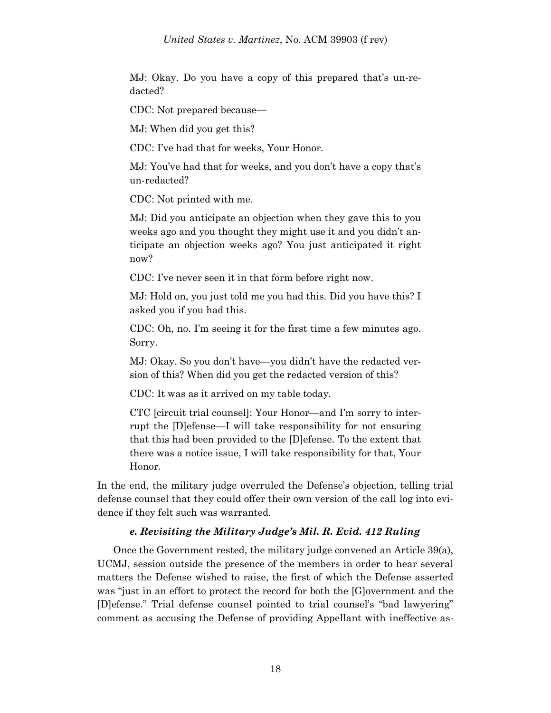MJ: Okay. Do you have a copy of this prepared that's un-redacted?

CDC: Not prepared because—

MJ: When did you get this?

CDC: I've had that for weeks, Your Honor.

MJ: You've had that for weeks, and you don't have a copy that's un-redacted?

CDC: Not printed with me.

MJ: Did you anticipate an objection when they gave this to you weeks ago and you thought they might use it and you didn't anticipate an objection weeks ago? You just anticipated it right now?

CDC: I've never seen it in that form before right now.

MJ: Hold on, you just told me you had this. Did you have this? I asked you if you had this.

CDC: Oh, no. I'm seeing it for the first time a few minutes ago. Sorry.

MJ: Okay. So you don't have—you didn't have the redacted version of this? When did you get the redacted version of this?

CDC: It was as it arrived on my table today.

CTC [circuit trial counsel]: Your Honor—and I'm sorry to interrupt the [D]efense—I will take responsibility for not ensuring that this had been provided to the [D]efense. To the extent that there was a notice issue, I will take responsibility for that, Your Honor.

In the end, the military judge overruled the Defense's objection, telling trial defense counsel that they could offer their own version of the call log into evidence if they felt such was warranted.

# *e. Revisiting the Military Judge's Mil. R. Evid. 412 Ruling*

Once the Government rested, the military judge convened an Article 39(a), UCMJ, session outside the presence of the members in order to hear several matters the Defense wished to raise, the first of which the Defense asserted was "just in an effort to protect the record for both the [G]overnment and the [D]efense." Trial defense counsel pointed to trial counsel's "bad lawyering" comment as accusing the Defense of providing Appellant with ineffective as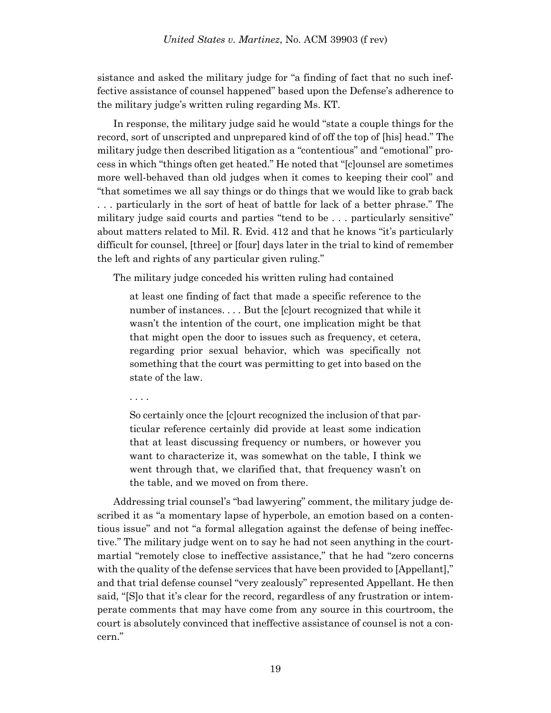sistance and asked the military judge for "a finding of fact that no such ineffective assistance of counsel happened" based upon the Defense's adherence to the military judge's written ruling regarding Ms. KT.

In response, the military judge said he would "state a couple things for the record, sort of unscripted and unprepared kind of off the top of [his] head." The military judge then described litigation as a "contentious" and "emotional" process in which "things often get heated." He noted that "[c]ounsel are sometimes more well-behaved than old judges when it comes to keeping their cool" and "that sometimes we all say things or do things that we would like to grab back . . . particularly in the sort of heat of battle for lack of a better phrase." The military judge said courts and parties "tend to be . . . particularly sensitive" about matters related to Mil. R. Evid. 412 and that he knows "it's particularly difficult for counsel, [three] or [four] days later in the trial to kind of remember the left and rights of any particular given ruling."

The military judge conceded his written ruling had contained

at least one finding of fact that made a specific reference to the number of instances. . . . But the [c]ourt recognized that while it wasn't the intention of the court, one implication might be that that might open the door to issues such as frequency, et cetera, regarding prior sexual behavior, which was specifically not something that the court was permitting to get into based on the state of the law.

. . . .

So certainly once the [c]ourt recognized the inclusion of that particular reference certainly did provide at least some indication that at least discussing frequency or numbers, or however you want to characterize it, was somewhat on the table, I think we went through that, we clarified that, that frequency wasn't on the table, and we moved on from there.

Addressing trial counsel's "bad lawyering" comment, the military judge described it as "a momentary lapse of hyperbole, an emotion based on a contentious issue" and not "a formal allegation against the defense of being ineffective." The military judge went on to say he had not seen anything in the courtmartial "remotely close to ineffective assistance," that he had "zero concerns with the quality of the defense services that have been provided to [Appellant]," and that trial defense counsel "very zealously" represented Appellant. He then said, "[S]o that it's clear for the record, regardless of any frustration or intemperate comments that may have come from any source in this courtroom, the court is absolutely convinced that ineffective assistance of counsel is not a concern."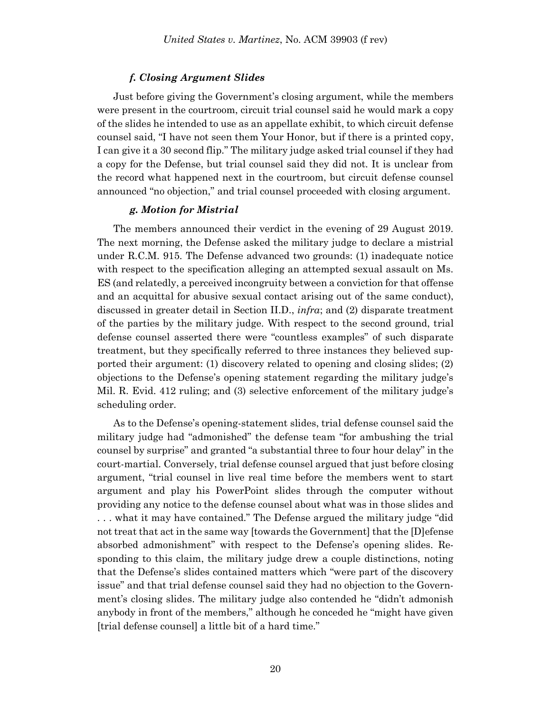### *f. Closing Argument Slides*

Just before giving the Government's closing argument, while the members were present in the courtroom, circuit trial counsel said he would mark a copy of the slides he intended to use as an appellate exhibit, to which circuit defense counsel said, "I have not seen them Your Honor, but if there is a printed copy, I can give it a 30 second flip." The military judge asked trial counsel if they had a copy for the Defense, but trial counsel said they did not. It is unclear from the record what happened next in the courtroom, but circuit defense counsel announced "no objection," and trial counsel proceeded with closing argument.

### *g. Motion for Mistrial*

The members announced their verdict in the evening of 29 August 2019. The next morning, the Defense asked the military judge to declare a mistrial under R.C.M. 915. The Defense advanced two grounds: (1) inadequate notice with respect to the specification alleging an attempted sexual assault on Ms. ES (and relatedly, a perceived incongruity between a conviction for that offense and an acquittal for abusive sexual contact arising out of the same conduct), discussed in greater detail in Section II.D., *infra*; and (2) disparate treatment of the parties by the military judge. With respect to the second ground, trial defense counsel asserted there were "countless examples" of such disparate treatment, but they specifically referred to three instances they believed supported their argument: (1) discovery related to opening and closing slides; (2) objections to the Defense's opening statement regarding the military judge's Mil. R. Evid. 412 ruling; and (3) selective enforcement of the military judge's scheduling order.

As to the Defense's opening-statement slides, trial defense counsel said the military judge had "admonished" the defense team "for ambushing the trial counsel by surprise" and granted "a substantial three to four hour delay" in the court-martial. Conversely, trial defense counsel argued that just before closing argument, "trial counsel in live real time before the members went to start argument and play his PowerPoint slides through the computer without providing any notice to the defense counsel about what was in those slides and . . . what it may have contained." The Defense argued the military judge "did not treat that act in the same way [towards the Government] that the [D]efense absorbed admonishment" with respect to the Defense's opening slides. Responding to this claim, the military judge drew a couple distinctions, noting that the Defense's slides contained matters which "were part of the discovery issue" and that trial defense counsel said they had no objection to the Government's closing slides. The military judge also contended he "didn't admonish anybody in front of the members," although he conceded he "might have given [trial defense counsel] a little bit of a hard time."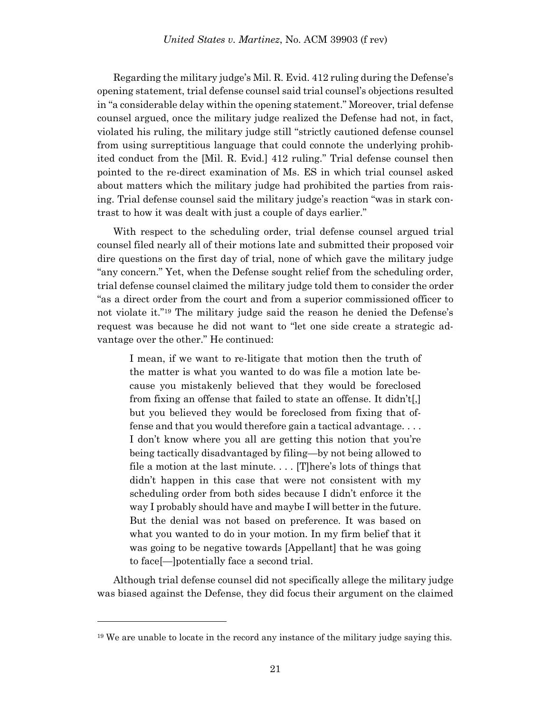Regarding the military judge's Mil. R. Evid. 412 ruling during the Defense's opening statement, trial defense counsel said trial counsel's objections resulted in "a considerable delay within the opening statement." Moreover, trial defense counsel argued, once the military judge realized the Defense had not, in fact, violated his ruling, the military judge still "strictly cautioned defense counsel from using surreptitious language that could connote the underlying prohibited conduct from the [Mil. R. Evid.] 412 ruling." Trial defense counsel then pointed to the re-direct examination of Ms. ES in which trial counsel asked about matters which the military judge had prohibited the parties from raising. Trial defense counsel said the military judge's reaction "was in stark contrast to how it was dealt with just a couple of days earlier."

With respect to the scheduling order, trial defense counsel argued trial counsel filed nearly all of their motions late and submitted their proposed voir dire questions on the first day of trial, none of which gave the military judge "any concern." Yet, when the Defense sought relief from the scheduling order, trial defense counsel claimed the military judge told them to consider the order "as a direct order from the court and from a superior commissioned officer to not violate it."<sup>19</sup> The military judge said the reason he denied the Defense's request was because he did not want to "let one side create a strategic advantage over the other." He continued:

I mean, if we want to re-litigate that motion then the truth of the matter is what you wanted to do was file a motion late because you mistakenly believed that they would be foreclosed from fixing an offense that failed to state an offense. It didn't[,] but you believed they would be foreclosed from fixing that offense and that you would therefore gain a tactical advantage. . . . I don't know where you all are getting this notion that you're being tactically disadvantaged by filing—by not being allowed to file a motion at the last minute. . . . [T]here's lots of things that didn't happen in this case that were not consistent with my scheduling order from both sides because I didn't enforce it the way I probably should have and maybe I will better in the future. But the denial was not based on preference. It was based on what you wanted to do in your motion. In my firm belief that it was going to be negative towards [Appellant] that he was going to face[—]potentially face a second trial.

Although trial defense counsel did not specifically allege the military judge was biased against the Defense, they did focus their argument on the claimed

<sup>&</sup>lt;sup>19</sup> We are unable to locate in the record any instance of the military judge saying this.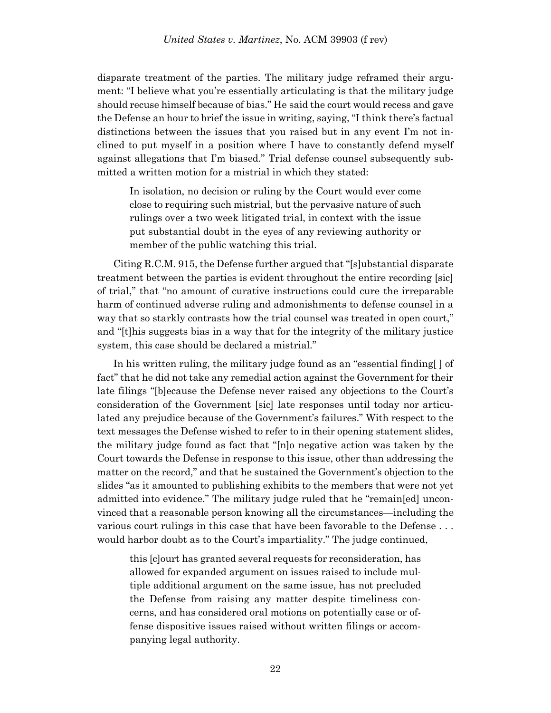disparate treatment of the parties. The military judge reframed their argument: "I believe what you're essentially articulating is that the military judge should recuse himself because of bias." He said the court would recess and gave the Defense an hour to brief the issue in writing, saying, "I think there's factual distinctions between the issues that you raised but in any event I'm not inclined to put myself in a position where I have to constantly defend myself against allegations that I'm biased." Trial defense counsel subsequently submitted a written motion for a mistrial in which they stated:

In isolation, no decision or ruling by the Court would ever come close to requiring such mistrial, but the pervasive nature of such rulings over a two week litigated trial, in context with the issue put substantial doubt in the eyes of any reviewing authority or member of the public watching this trial.

Citing R.C.M. 915, the Defense further argued that "[s]ubstantial disparate treatment between the parties is evident throughout the entire recording [sic] of trial," that "no amount of curative instructions could cure the irreparable harm of continued adverse ruling and admonishments to defense counsel in a way that so starkly contrasts how the trial counsel was treated in open court," and "[t]his suggests bias in a way that for the integrity of the military justice system, this case should be declared a mistrial."

In his written ruling, the military judge found as an "essential finding[ ] of fact" that he did not take any remedial action against the Government for their late filings "[b]ecause the Defense never raised any objections to the Court's consideration of the Government [sic] late responses until today nor articulated any prejudice because of the Government's failures." With respect to the text messages the Defense wished to refer to in their opening statement slides, the military judge found as fact that "[n]o negative action was taken by the Court towards the Defense in response to this issue, other than addressing the matter on the record," and that he sustained the Government's objection to the slides "as it amounted to publishing exhibits to the members that were not yet admitted into evidence." The military judge ruled that he "remain[ed] unconvinced that a reasonable person knowing all the circumstances—including the various court rulings in this case that have been favorable to the Defense . . . would harbor doubt as to the Court's impartiality." The judge continued,

this [c]ourt has granted several requests for reconsideration, has allowed for expanded argument on issues raised to include multiple additional argument on the same issue, has not precluded the Defense from raising any matter despite timeliness concerns, and has considered oral motions on potentially case or offense dispositive issues raised without written filings or accompanying legal authority.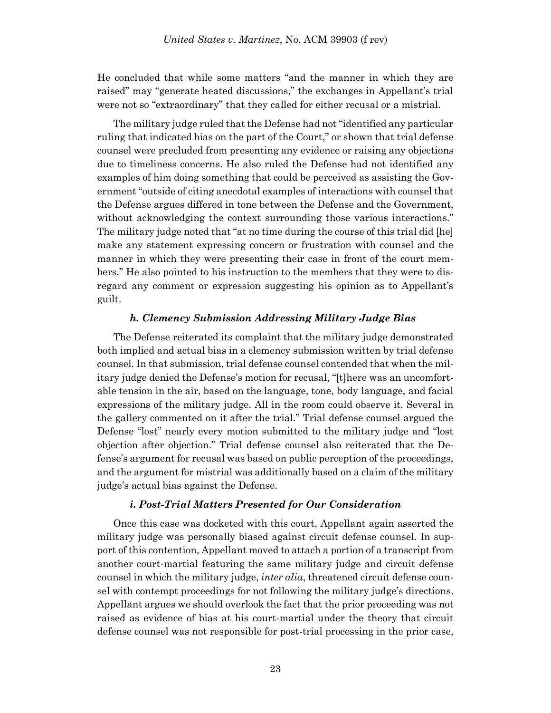He concluded that while some matters "and the manner in which they are raised" may "generate heated discussions," the exchanges in Appellant's trial were not so "extraordinary" that they called for either recusal or a mistrial.

The military judge ruled that the Defense had not "identified any particular ruling that indicated bias on the part of the Court," or shown that trial defense counsel were precluded from presenting any evidence or raising any objections due to timeliness concerns. He also ruled the Defense had not identified any examples of him doing something that could be perceived as assisting the Government "outside of citing anecdotal examples of interactions with counsel that the Defense argues differed in tone between the Defense and the Government, without acknowledging the context surrounding those various interactions." The military judge noted that "at no time during the course of this trial did [he] make any statement expressing concern or frustration with counsel and the manner in which they were presenting their case in front of the court members." He also pointed to his instruction to the members that they were to disregard any comment or expression suggesting his opinion as to Appellant's guilt.

### *h. Clemency Submission Addressing Military Judge Bias*

The Defense reiterated its complaint that the military judge demonstrated both implied and actual bias in a clemency submission written by trial defense counsel. In that submission, trial defense counsel contended that when the military judge denied the Defense's motion for recusal, "[t]here was an uncomfortable tension in the air, based on the language, tone, body language, and facial expressions of the military judge. All in the room could observe it. Several in the gallery commented on it after the trial." Trial defense counsel argued the Defense "lost" nearly every motion submitted to the military judge and "lost objection after objection." Trial defense counsel also reiterated that the Defense's argument for recusal was based on public perception of the proceedings, and the argument for mistrial was additionally based on a claim of the military judge's actual bias against the Defense.

# *i. Post-Trial Matters Presented for Our Consideration*

Once this case was docketed with this court, Appellant again asserted the military judge was personally biased against circuit defense counsel. In support of this contention, Appellant moved to attach a portion of a transcript from another court-martial featuring the same military judge and circuit defense counsel in which the military judge, *inter alia*, threatened circuit defense counsel with contempt proceedings for not following the military judge's directions. Appellant argues we should overlook the fact that the prior proceeding was not raised as evidence of bias at his court-martial under the theory that circuit defense counsel was not responsible for post-trial processing in the prior case,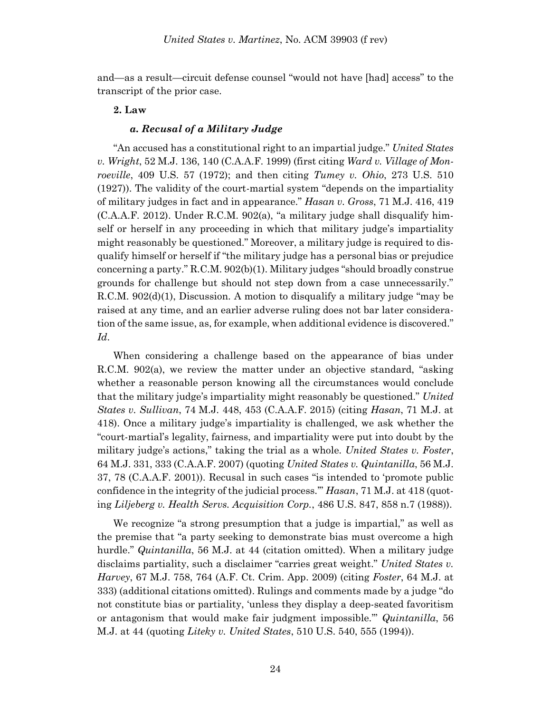and—as a result—circuit defense counsel "would not have [had] access" to the transcript of the prior case.

# **2. Law**

# *a. Recusal of a Military Judge*

"An accused has a constitutional right to an impartial judge." *United States v. Wright*, 52 M.J. 136, 140 (C.A.A.F. 1999) (first citing *Ward v. Village of Monroeville*, 409 U.S. 57 (1972); and then citing *Tumey v. Ohio*, 273 U.S. 510 (1927)). The validity of the court-martial system "depends on the impartiality of military judges in fact and in appearance." *Hasan v. Gross*, 71 M.J. 416, 419 (C.A.A.F. 2012). Under R.C.M. 902(a), "a military judge shall disqualify himself or herself in any proceeding in which that military judge's impartiality might reasonably be questioned." Moreover, a military judge is required to disqualify himself or herself if "the military judge has a personal bias or prejudice concerning a party." R.C.M. 902(b)(1). Military judges "should broadly construe grounds for challenge but should not step down from a case unnecessarily." R.C.M. 902(d)(1), Discussion. A motion to disqualify a military judge "may be raised at any time, and an earlier adverse ruling does not bar later consideration of the same issue, as, for example, when additional evidence is discovered." *Id*.

When considering a challenge based on the appearance of bias under R.C.M. 902(a), we review the matter under an objective standard, "asking whether a reasonable person knowing all the circumstances would conclude that the military judge's impartiality might reasonably be questioned." *United States v. Sullivan*, 74 M.J. 448, 453 (C.A.A.F. 2015) (citing *Hasan*, 71 M.J. at 418). Once a military judge's impartiality is challenged, we ask whether the "court-martial's legality, fairness, and impartiality were put into doubt by the military judge's actions," taking the trial as a whole. *United States v. Foster*, 64 M.J. 331, 333 (C.A.A.F. 2007) (quoting *United States v. Quintanilla*, 56 M.J. 37, 78 (C.A.A.F. 2001)). Recusal in such cases "is intended to 'promote public confidence in the integrity of the judicial process.'" *Hasan*, 71 M.J. at 418 (quoting *Liljeberg v. Health Servs. Acquisition Corp.*, 486 U.S. 847, 858 n.7 (1988)).

We recognize "a strong presumption that a judge is impartial," as well as the premise that "a party seeking to demonstrate bias must overcome a high hurdle." *Quintanilla*, 56 M.J. at 44 (citation omitted). When a military judge disclaims partiality, such a disclaimer "carries great weight." *United States v. Harvey*, 67 M.J. 758, 764 (A.F. Ct. Crim. App. 2009) (citing *Foster*, 64 M.J. at 333) (additional citations omitted). Rulings and comments made by a judge "do not constitute bias or partiality, 'unless they display a deep-seated favoritism or antagonism that would make fair judgment impossible.'" *Quintanilla*, 56 M.J. at 44 (quoting *Liteky v. United States*, 510 U.S. 540, 555 (1994)).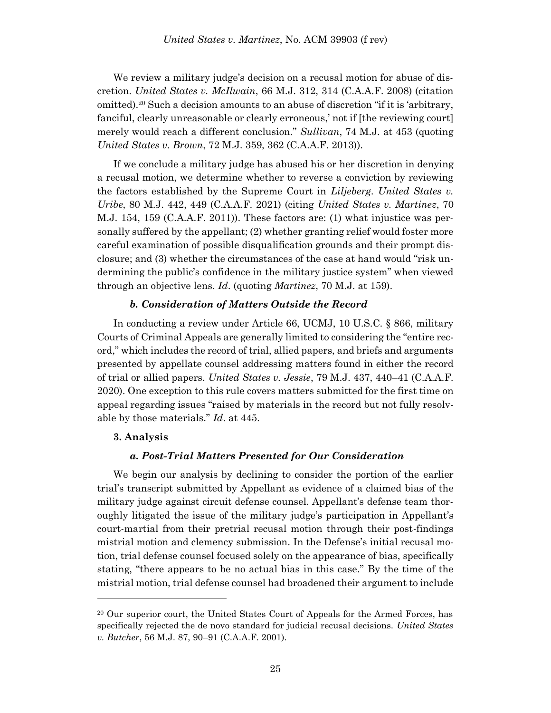We review a military judge's decision on a recusal motion for abuse of discretion. *United States v. McIlwain*, 66 M.J. 312, 314 (C.A.A.F. 2008) (citation omitted).<sup>20</sup> Such a decision amounts to an abuse of discretion "if it is 'arbitrary, fanciful, clearly unreasonable or clearly erroneous,' not if [the reviewing court] merely would reach a different conclusion." *Sullivan*, 74 M.J. at 453 (quoting *United States v. Brown*, 72 M.J. 359, 362 (C.A.A.F. 2013)).

If we conclude a military judge has abused his or her discretion in denying a recusal motion, we determine whether to reverse a conviction by reviewing the factors established by the Supreme Court in *Liljeberg*. *United States v. Uribe*, 80 M.J. 442, 449 (C.A.A.F. 2021) (citing *United States v. Martinez*, 70 M.J. 154, 159 (C.A.A.F. 2011)). These factors are: (1) what injustice was personally suffered by the appellant; (2) whether granting relief would foster more careful examination of possible disqualification grounds and their prompt disclosure; and (3) whether the circumstances of the case at hand would "risk undermining the public's confidence in the military justice system" when viewed through an objective lens. *Id*. (quoting *Martinez*, 70 M.J. at 159).

# *b. Consideration of Matters Outside the Record*

In conducting a review under Article 66, UCMJ, 10 U.S.C. § 866, military Courts of Criminal Appeals are generally limited to considering the "entire record," which includes the record of trial, allied papers, and briefs and arguments presented by appellate counsel addressing matters found in either the record of trial or allied papers. *United States v. Jessie*, 79 M.J. 437, 440–41 (C.A.A.F. 2020). One exception to this rule covers matters submitted for the first time on appeal regarding issues "raised by materials in the record but not fully resolvable by those materials." *Id*. at 445.

### **3. Analysis**

l

### *a. Post-Trial Matters Presented for Our Consideration*

We begin our analysis by declining to consider the portion of the earlier trial's transcript submitted by Appellant as evidence of a claimed bias of the military judge against circuit defense counsel. Appellant's defense team thoroughly litigated the issue of the military judge's participation in Appellant's court-martial from their pretrial recusal motion through their post-findings mistrial motion and clemency submission. In the Defense's initial recusal motion, trial defense counsel focused solely on the appearance of bias, specifically stating, "there appears to be no actual bias in this case." By the time of the mistrial motion, trial defense counsel had broadened their argument to include

<sup>&</sup>lt;sup>20</sup> Our superior court, the United States Court of Appeals for the Armed Forces, has specifically rejected the de novo standard for judicial recusal decisions. *United States v. Butcher*, 56 M.J. 87, 90–91 (C.A.A.F. 2001).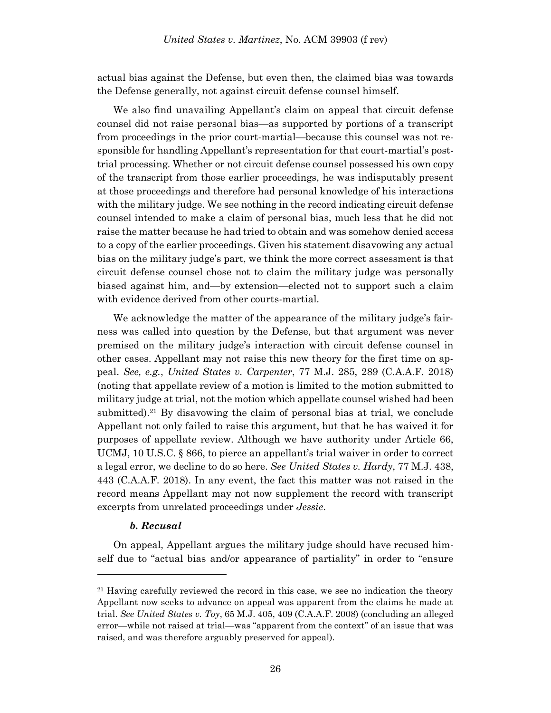actual bias against the Defense, but even then, the claimed bias was towards the Defense generally, not against circuit defense counsel himself.

We also find unavailing Appellant's claim on appeal that circuit defense counsel did not raise personal bias—as supported by portions of a transcript from proceedings in the prior court-martial—because this counsel was not responsible for handling Appellant's representation for that court-martial's posttrial processing. Whether or not circuit defense counsel possessed his own copy of the transcript from those earlier proceedings, he was indisputably present at those proceedings and therefore had personal knowledge of his interactions with the military judge. We see nothing in the record indicating circuit defense counsel intended to make a claim of personal bias, much less that he did not raise the matter because he had tried to obtain and was somehow denied access to a copy of the earlier proceedings. Given his statement disavowing any actual bias on the military judge's part, we think the more correct assessment is that circuit defense counsel chose not to claim the military judge was personally biased against him, and—by extension—elected not to support such a claim with evidence derived from other courts-martial.

We acknowledge the matter of the appearance of the military judge's fairness was called into question by the Defense, but that argument was never premised on the military judge's interaction with circuit defense counsel in other cases. Appellant may not raise this new theory for the first time on appeal. *See, e.g.*, *United States v. Carpenter*, 77 M.J. 285, 289 (C.A.A.F. 2018) (noting that appellate review of a motion is limited to the motion submitted to military judge at trial, not the motion which appellate counsel wished had been submitted).<sup>21</sup> By disavowing the claim of personal bias at trial, we conclude Appellant not only failed to raise this argument, but that he has waived it for purposes of appellate review. Although we have authority under Article 66, UCMJ, 10 U.S.C. § 866, to pierce an appellant's trial waiver in order to correct a legal error, we decline to do so here. *See United States v. Hardy*, 77 M.J. 438, 443 (C.A.A.F. 2018). In any event, the fact this matter was not raised in the record means Appellant may not now supplement the record with transcript excerpts from unrelated proceedings under *Jessie*.

### *b. Recusal*

l

On appeal, Appellant argues the military judge should have recused himself due to "actual bias and/or appearance of partiality" in order to "ensure

<sup>&</sup>lt;sup>21</sup> Having carefully reviewed the record in this case, we see no indication the theory Appellant now seeks to advance on appeal was apparent from the claims he made at trial. *See United States v. Toy*, 65 M.J. 405, 409 (C.A.A.F. 2008) (concluding an alleged error—while not raised at trial—was "apparent from the context" of an issue that was raised, and was therefore arguably preserved for appeal).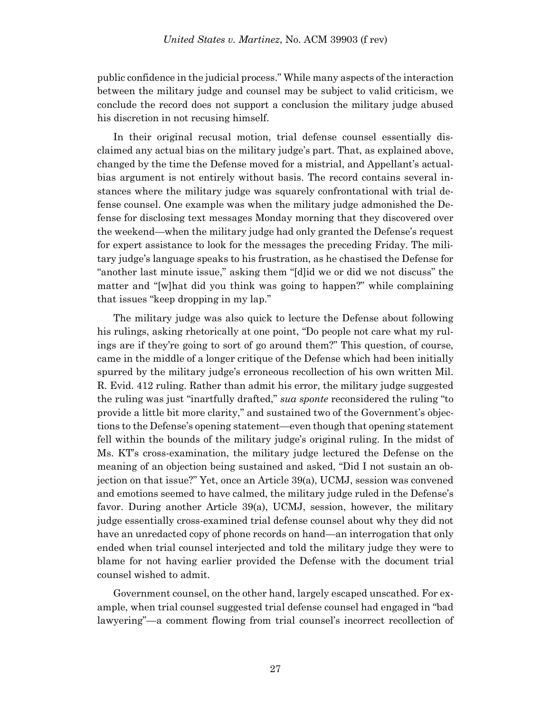public confidence in the judicial process." While many aspects of the interaction between the military judge and counsel may be subject to valid criticism, we conclude the record does not support a conclusion the military judge abused his discretion in not recusing himself.

In their original recusal motion, trial defense counsel essentially disclaimed any actual bias on the military judge's part. That, as explained above, changed by the time the Defense moved for a mistrial, and Appellant's actualbias argument is not entirely without basis. The record contains several instances where the military judge was squarely confrontational with trial defense counsel. One example was when the military judge admonished the Defense for disclosing text messages Monday morning that they discovered over the weekend—when the military judge had only granted the Defense's request for expert assistance to look for the messages the preceding Friday. The military judge's language speaks to his frustration, as he chastised the Defense for "another last minute issue," asking them "[d]id we or did we not discuss" the matter and "[w]hat did you think was going to happen?" while complaining that issues "keep dropping in my lap."

The military judge was also quick to lecture the Defense about following his rulings, asking rhetorically at one point, "Do people not care what my rulings are if they're going to sort of go around them?" This question, of course, came in the middle of a longer critique of the Defense which had been initially spurred by the military judge's erroneous recollection of his own written Mil. R. Evid. 412 ruling. Rather than admit his error, the military judge suggested the ruling was just "inartfully drafted," *sua sponte* reconsidered the ruling "to provide a little bit more clarity," and sustained two of the Government's objections to the Defense's opening statement—even though that opening statement fell within the bounds of the military judge's original ruling. In the midst of Ms. KT's cross-examination, the military judge lectured the Defense on the meaning of an objection being sustained and asked, "Did I not sustain an objection on that issue?" Yet, once an Article 39(a), UCMJ, session was convened and emotions seemed to have calmed, the military judge ruled in the Defense's favor. During another Article 39(a), UCMJ, session, however, the military judge essentially cross-examined trial defense counsel about why they did not have an unredacted copy of phone records on hand—an interrogation that only ended when trial counsel interjected and told the military judge they were to blame for not having earlier provided the Defense with the document trial counsel wished to admit.

Government counsel, on the other hand, largely escaped unscathed. For example, when trial counsel suggested trial defense counsel had engaged in "bad lawyering"—a comment flowing from trial counsel's incorrect recollection of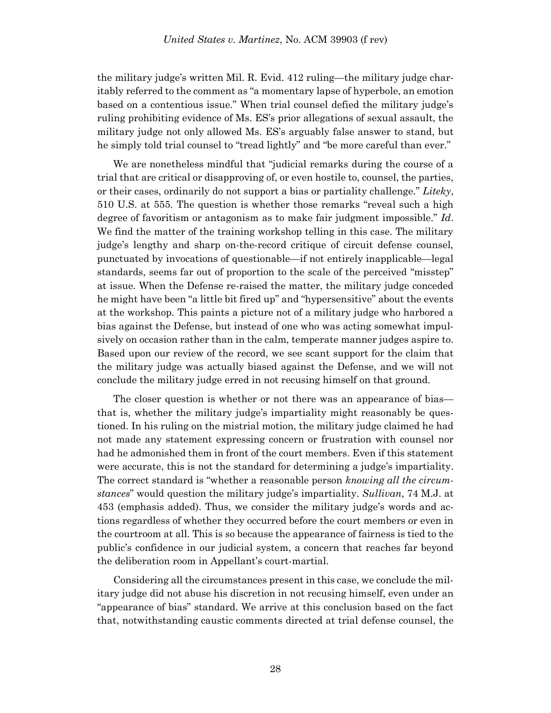the military judge's written Mil. R. Evid. 412 ruling—the military judge charitably referred to the comment as "a momentary lapse of hyperbole, an emotion based on a contentious issue." When trial counsel defied the military judge's ruling prohibiting evidence of Ms. ES's prior allegations of sexual assault, the military judge not only allowed Ms. ES's arguably false answer to stand, but he simply told trial counsel to "tread lightly" and "be more careful than ever."

We are nonetheless mindful that "judicial remarks during the course of a trial that are critical or disapproving of, or even hostile to, counsel, the parties, or their cases, ordinarily do not support a bias or partiality challenge." *Liteky*, 510 U.S. at 555. The question is whether those remarks "reveal such a high degree of favoritism or antagonism as to make fair judgment impossible." *Id*. We find the matter of the training workshop telling in this case. The military judge's lengthy and sharp on-the-record critique of circuit defense counsel, punctuated by invocations of questionable—if not entirely inapplicable—legal standards, seems far out of proportion to the scale of the perceived "misstep" at issue. When the Defense re-raised the matter, the military judge conceded he might have been "a little bit fired up" and "hypersensitive" about the events at the workshop. This paints a picture not of a military judge who harbored a bias against the Defense, but instead of one who was acting somewhat impulsively on occasion rather than in the calm, temperate manner judges aspire to. Based upon our review of the record, we see scant support for the claim that the military judge was actually biased against the Defense, and we will not conclude the military judge erred in not recusing himself on that ground.

The closer question is whether or not there was an appearance of bias that is, whether the military judge's impartiality might reasonably be questioned. In his ruling on the mistrial motion, the military judge claimed he had not made any statement expressing concern or frustration with counsel nor had he admonished them in front of the court members. Even if this statement were accurate, this is not the standard for determining a judge's impartiality. The correct standard is "whether a reasonable person *knowing all the circumstances*" would question the military judge's impartiality. *Sullivan*, 74 M.J. at 453 (emphasis added). Thus, we consider the military judge's words and actions regardless of whether they occurred before the court members or even in the courtroom at all. This is so because the appearance of fairness is tied to the public's confidence in our judicial system, a concern that reaches far beyond the deliberation room in Appellant's court-martial.

Considering all the circumstances present in this case, we conclude the military judge did not abuse his discretion in not recusing himself, even under an "appearance of bias" standard. We arrive at this conclusion based on the fact that, notwithstanding caustic comments directed at trial defense counsel, the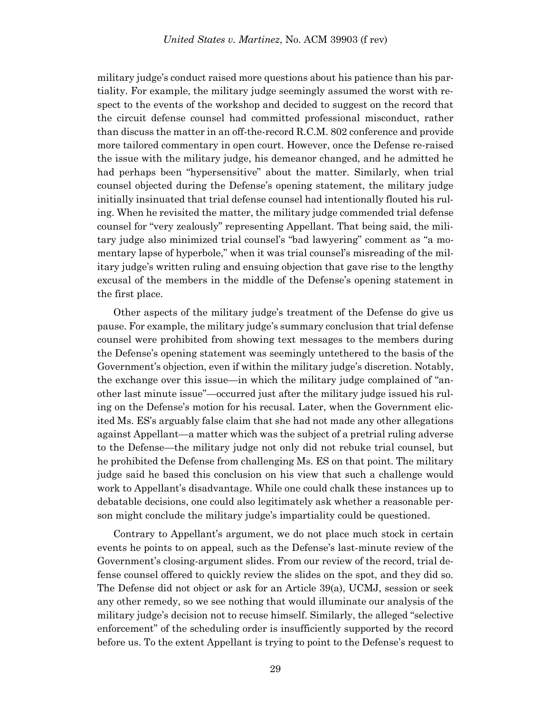military judge's conduct raised more questions about his patience than his partiality. For example, the military judge seemingly assumed the worst with respect to the events of the workshop and decided to suggest on the record that the circuit defense counsel had committed professional misconduct, rather than discuss the matter in an off-the-record R.C.M. 802 conference and provide more tailored commentary in open court. However, once the Defense re-raised the issue with the military judge, his demeanor changed, and he admitted he had perhaps been "hypersensitive" about the matter. Similarly, when trial counsel objected during the Defense's opening statement, the military judge initially insinuated that trial defense counsel had intentionally flouted his ruling. When he revisited the matter, the military judge commended trial defense counsel for "very zealously" representing Appellant. That being said, the military judge also minimized trial counsel's "bad lawyering" comment as "a momentary lapse of hyperbole," when it was trial counsel's misreading of the military judge's written ruling and ensuing objection that gave rise to the lengthy excusal of the members in the middle of the Defense's opening statement in the first place.

Other aspects of the military judge's treatment of the Defense do give us pause. For example, the military judge's summary conclusion that trial defense counsel were prohibited from showing text messages to the members during the Defense's opening statement was seemingly untethered to the basis of the Government's objection, even if within the military judge's discretion. Notably, the exchange over this issue—in which the military judge complained of "another last minute issue"—occurred just after the military judge issued his ruling on the Defense's motion for his recusal. Later, when the Government elicited Ms. ES's arguably false claim that she had not made any other allegations against Appellant—a matter which was the subject of a pretrial ruling adverse to the Defense—the military judge not only did not rebuke trial counsel, but he prohibited the Defense from challenging Ms. ES on that point. The military judge said he based this conclusion on his view that such a challenge would work to Appellant's disadvantage. While one could chalk these instances up to debatable decisions, one could also legitimately ask whether a reasonable person might conclude the military judge's impartiality could be questioned.

Contrary to Appellant's argument, we do not place much stock in certain events he points to on appeal, such as the Defense's last-minute review of the Government's closing-argument slides. From our review of the record, trial defense counsel offered to quickly review the slides on the spot, and they did so. The Defense did not object or ask for an Article 39(a), UCMJ, session or seek any other remedy, so we see nothing that would illuminate our analysis of the military judge's decision not to recuse himself. Similarly, the alleged "selective enforcement" of the scheduling order is insufficiently supported by the record before us. To the extent Appellant is trying to point to the Defense's request to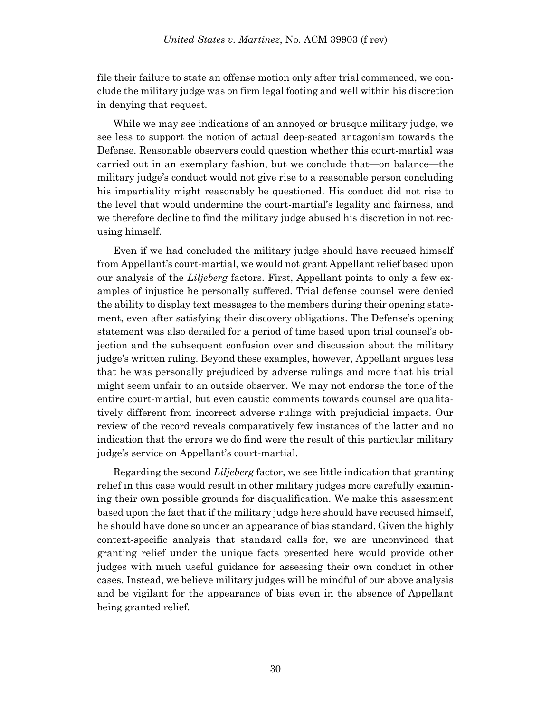file their failure to state an offense motion only after trial commenced, we conclude the military judge was on firm legal footing and well within his discretion in denying that request.

While we may see indications of an annoyed or brusque military judge, we see less to support the notion of actual deep-seated antagonism towards the Defense. Reasonable observers could question whether this court-martial was carried out in an exemplary fashion, but we conclude that—on balance—the military judge's conduct would not give rise to a reasonable person concluding his impartiality might reasonably be questioned. His conduct did not rise to the level that would undermine the court-martial's legality and fairness, and we therefore decline to find the military judge abused his discretion in not recusing himself.

Even if we had concluded the military judge should have recused himself from Appellant's court-martial, we would not grant Appellant relief based upon our analysis of the *Liljeberg* factors. First, Appellant points to only a few examples of injustice he personally suffered. Trial defense counsel were denied the ability to display text messages to the members during their opening statement, even after satisfying their discovery obligations. The Defense's opening statement was also derailed for a period of time based upon trial counsel's objection and the subsequent confusion over and discussion about the military judge's written ruling. Beyond these examples, however, Appellant argues less that he was personally prejudiced by adverse rulings and more that his trial might seem unfair to an outside observer. We may not endorse the tone of the entire court-martial, but even caustic comments towards counsel are qualitatively different from incorrect adverse rulings with prejudicial impacts. Our review of the record reveals comparatively few instances of the latter and no indication that the errors we do find were the result of this particular military judge's service on Appellant's court-martial.

Regarding the second *Liljeberg* factor, we see little indication that granting relief in this case would result in other military judges more carefully examining their own possible grounds for disqualification. We make this assessment based upon the fact that if the military judge here should have recused himself, he should have done so under an appearance of bias standard. Given the highly context-specific analysis that standard calls for, we are unconvinced that granting relief under the unique facts presented here would provide other judges with much useful guidance for assessing their own conduct in other cases. Instead, we believe military judges will be mindful of our above analysis and be vigilant for the appearance of bias even in the absence of Appellant being granted relief.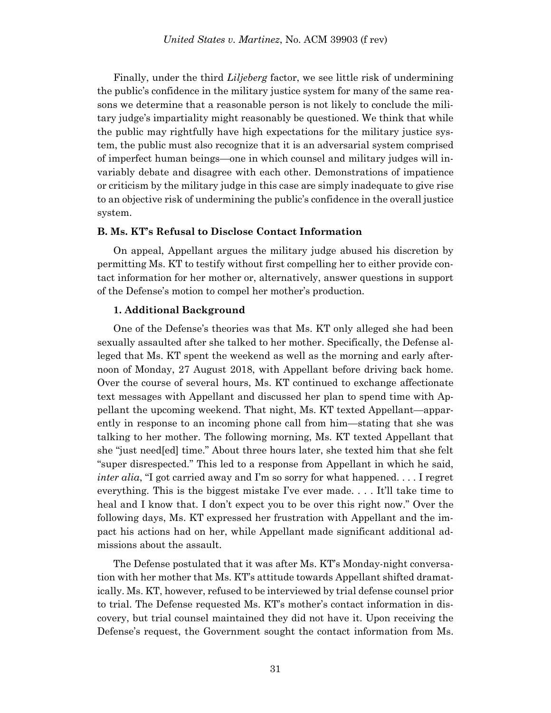Finally, under the third *Liljeberg* factor, we see little risk of undermining the public's confidence in the military justice system for many of the same reasons we determine that a reasonable person is not likely to conclude the military judge's impartiality might reasonably be questioned. We think that while the public may rightfully have high expectations for the military justice system, the public must also recognize that it is an adversarial system comprised of imperfect human beings—one in which counsel and military judges will invariably debate and disagree with each other. Demonstrations of impatience or criticism by the military judge in this case are simply inadequate to give rise to an objective risk of undermining the public's confidence in the overall justice system.

### **B. Ms. KT's Refusal to Disclose Contact Information**

On appeal, Appellant argues the military judge abused his discretion by permitting Ms. KT to testify without first compelling her to either provide contact information for her mother or, alternatively, answer questions in support of the Defense's motion to compel her mother's production.

# **1. Additional Background**

One of the Defense's theories was that Ms. KT only alleged she had been sexually assaulted after she talked to her mother. Specifically, the Defense alleged that Ms. KT spent the weekend as well as the morning and early afternoon of Monday, 27 August 2018, with Appellant before driving back home. Over the course of several hours, Ms. KT continued to exchange affectionate text messages with Appellant and discussed her plan to spend time with Appellant the upcoming weekend. That night, Ms. KT texted Appellant—apparently in response to an incoming phone call from him—stating that she was talking to her mother. The following morning, Ms. KT texted Appellant that she "just need[ed] time." About three hours later, she texted him that she felt "super disrespected." This led to a response from Appellant in which he said, *inter alia*, "I got carried away and I'm so sorry for what happened. . . . I regret everything. This is the biggest mistake I've ever made. . . . It'll take time to heal and I know that. I don't expect you to be over this right now." Over the following days, Ms. KT expressed her frustration with Appellant and the impact his actions had on her, while Appellant made significant additional admissions about the assault.

The Defense postulated that it was after Ms. KT's Monday-night conversation with her mother that Ms. KT's attitude towards Appellant shifted dramatically. Ms. KT, however, refused to be interviewed by trial defense counsel prior to trial. The Defense requested Ms. KT's mother's contact information in discovery, but trial counsel maintained they did not have it. Upon receiving the Defense's request, the Government sought the contact information from Ms.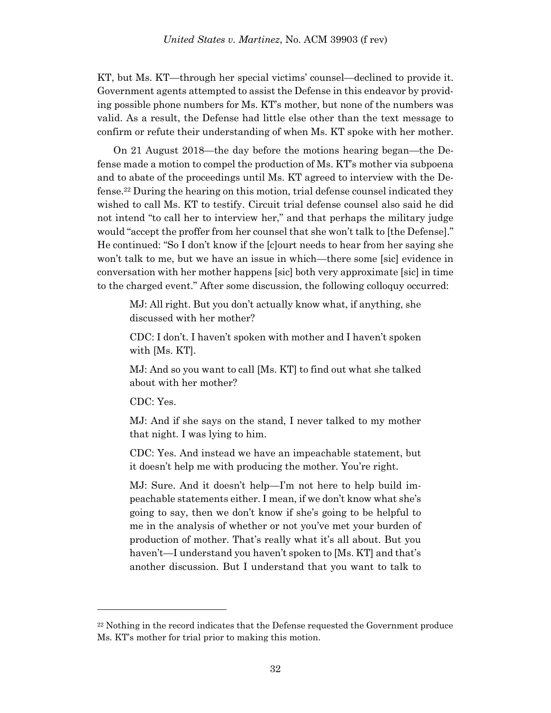KT, but Ms. KT—through her special victims' counsel—declined to provide it. Government agents attempted to assist the Defense in this endeavor by providing possible phone numbers for Ms. KT's mother, but none of the numbers was valid. As a result, the Defense had little else other than the text message to confirm or refute their understanding of when Ms. KT spoke with her mother.

On 21 August 2018—the day before the motions hearing began—the Defense made a motion to compel the production of Ms. KT's mother via subpoena and to abate of the proceedings until Ms. KT agreed to interview with the Defense. <sup>22</sup> During the hearing on this motion, trial defense counsel indicated they wished to call Ms. KT to testify. Circuit trial defense counsel also said he did not intend "to call her to interview her," and that perhaps the military judge would "accept the proffer from her counsel that she won't talk to [the Defense]." He continued: "So I don't know if the [c]ourt needs to hear from her saying she won't talk to me, but we have an issue in which—there some [sic] evidence in conversation with her mother happens [sic] both very approximate [sic] in time to the charged event." After some discussion, the following colloquy occurred:

MJ: All right. But you don't actually know what, if anything, she discussed with her mother?

CDC: I don't. I haven't spoken with mother and I haven't spoken with [Ms. KT].

MJ: And so you want to call [Ms. KT] to find out what she talked about with her mother?

CDC: Yes.

l

MJ: And if she says on the stand, I never talked to my mother that night. I was lying to him.

CDC: Yes. And instead we have an impeachable statement, but it doesn't help me with producing the mother. You're right.

MJ: Sure. And it doesn't help—I'm not here to help build impeachable statements either. I mean, if we don't know what she's going to say, then we don't know if she's going to be helpful to me in the analysis of whether or not you've met your burden of production of mother. That's really what it's all about. But you haven't—I understand you haven't spoken to [Ms. KT] and that's another discussion. But I understand that you want to talk to

 $22$  Nothing in the record indicates that the Defense requested the Government produce Ms. KT's mother for trial prior to making this motion.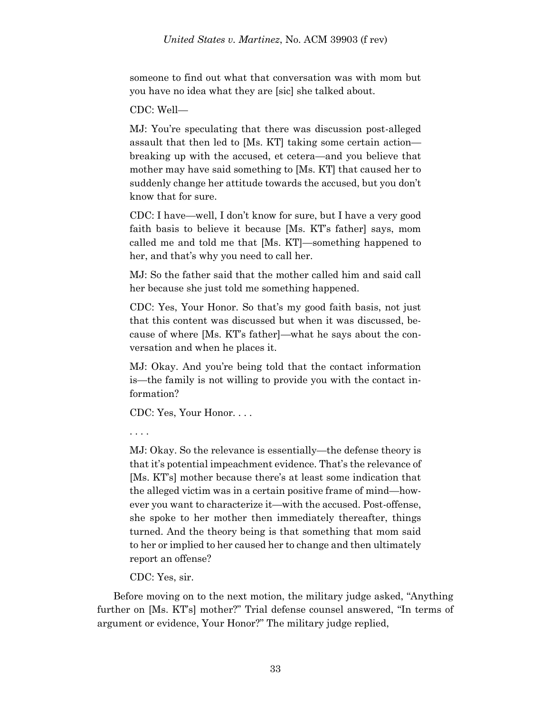someone to find out what that conversation was with mom but you have no idea what they are [sic] she talked about.

CDC: Well—

MJ: You're speculating that there was discussion post-alleged assault that then led to [Ms. KT] taking some certain action breaking up with the accused, et cetera—and you believe that mother may have said something to [Ms. KT] that caused her to suddenly change her attitude towards the accused, but you don't know that for sure.

CDC: I have—well, I don't know for sure, but I have a very good faith basis to believe it because [Ms. KT's father] says, mom called me and told me that [Ms. KT]—something happened to her, and that's why you need to call her.

MJ: So the father said that the mother called him and said call her because she just told me something happened.

CDC: Yes, Your Honor. So that's my good faith basis, not just that this content was discussed but when it was discussed, because of where [Ms. KT's father]—what he says about the conversation and when he places it.

MJ: Okay. And you're being told that the contact information is—the family is not willing to provide you with the contact information?

CDC: Yes, Your Honor. . . .

. . . .

MJ: Okay. So the relevance is essentially—the defense theory is that it's potential impeachment evidence. That's the relevance of [Ms. KT's] mother because there's at least some indication that the alleged victim was in a certain positive frame of mind—however you want to characterize it—with the accused. Post-offense, she spoke to her mother then immediately thereafter, things turned. And the theory being is that something that mom said to her or implied to her caused her to change and then ultimately report an offense?

CDC: Yes, sir.

Before moving on to the next motion, the military judge asked, "Anything further on [Ms. KT's] mother?" Trial defense counsel answered, "In terms of argument or evidence, Your Honor?" The military judge replied,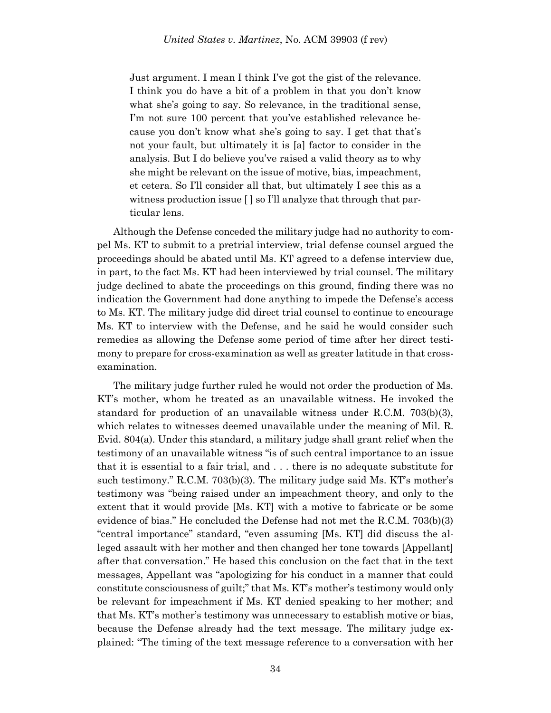Just argument. I mean I think I've got the gist of the relevance. I think you do have a bit of a problem in that you don't know what she's going to say. So relevance, in the traditional sense, I'm not sure 100 percent that you've established relevance because you don't know what she's going to say. I get that that's not your fault, but ultimately it is [a] factor to consider in the analysis. But I do believe you've raised a valid theory as to why she might be relevant on the issue of motive, bias, impeachment, et cetera. So I'll consider all that, but ultimately I see this as a witness production issue [ ] so I'll analyze that through that particular lens.

Although the Defense conceded the military judge had no authority to compel Ms. KT to submit to a pretrial interview, trial defense counsel argued the proceedings should be abated until Ms. KT agreed to a defense interview due, in part, to the fact Ms. KT had been interviewed by trial counsel. The military judge declined to abate the proceedings on this ground, finding there was no indication the Government had done anything to impede the Defense's access to Ms. KT. The military judge did direct trial counsel to continue to encourage Ms. KT to interview with the Defense, and he said he would consider such remedies as allowing the Defense some period of time after her direct testimony to prepare for cross-examination as well as greater latitude in that crossexamination.

The military judge further ruled he would not order the production of Ms. KT's mother, whom he treated as an unavailable witness. He invoked the standard for production of an unavailable witness under R.C.M. 703(b)(3), which relates to witnesses deemed unavailable under the meaning of Mil. R. Evid. 804(a). Under this standard, a military judge shall grant relief when the testimony of an unavailable witness "is of such central importance to an issue that it is essential to a fair trial, and . . . there is no adequate substitute for such testimony." R.C.M. 703(b)(3). The military judge said Ms. KT's mother's testimony was "being raised under an impeachment theory, and only to the extent that it would provide [Ms. KT] with a motive to fabricate or be some evidence of bias." He concluded the Defense had not met the R.C.M. 703(b)(3) "central importance" standard, "even assuming [Ms. KT] did discuss the alleged assault with her mother and then changed her tone towards [Appellant] after that conversation." He based this conclusion on the fact that in the text messages, Appellant was "apologizing for his conduct in a manner that could constitute consciousness of guilt;" that Ms. KT's mother's testimony would only be relevant for impeachment if Ms. KT denied speaking to her mother; and that Ms. KT's mother's testimony was unnecessary to establish motive or bias, because the Defense already had the text message. The military judge explained: "The timing of the text message reference to a conversation with her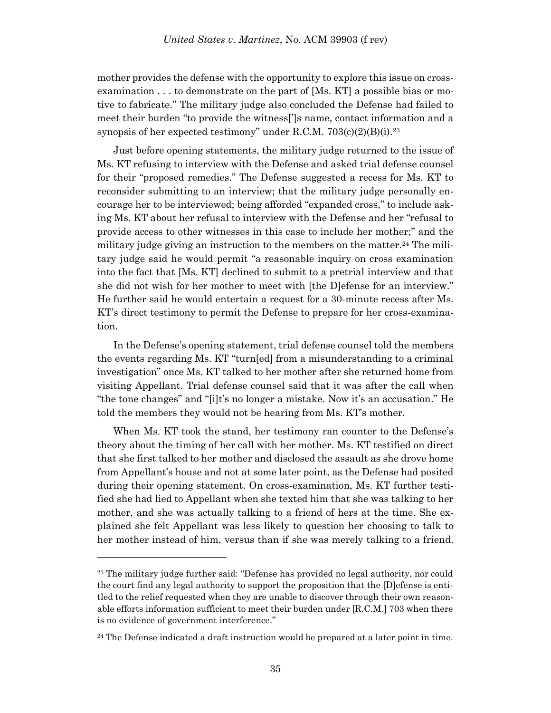mother provides the defense with the opportunity to explore this issue on crossexamination . . . to demonstrate on the part of [Ms. KT] a possible bias or motive to fabricate." The military judge also concluded the Defense had failed to meet their burden "to provide the witness[']s name, contact information and a synopsis of her expected testimony" under R.C.M.  $703(c)(2)(B)(i).^{23}$ 

Just before opening statements, the military judge returned to the issue of Ms. KT refusing to interview with the Defense and asked trial defense counsel for their "proposed remedies." The Defense suggested a recess for Ms. KT to reconsider submitting to an interview; that the military judge personally encourage her to be interviewed; being afforded "expanded cross," to include asking Ms. KT about her refusal to interview with the Defense and her "refusal to provide access to other witnesses in this case to include her mother;" and the military judge giving an instruction to the members on the matter.<sup>24</sup> The military judge said he would permit "a reasonable inquiry on cross examination into the fact that [Ms. KT] declined to submit to a pretrial interview and that she did not wish for her mother to meet with [the D]efense for an interview." He further said he would entertain a request for a 30-minute recess after Ms. KT's direct testimony to permit the Defense to prepare for her cross-examination.

In the Defense's opening statement, trial defense counsel told the members the events regarding Ms. KT "turn[ed] from a misunderstanding to a criminal investigation" once Ms. KT talked to her mother after she returned home from visiting Appellant. Trial defense counsel said that it was after the call when "the tone changes" and "[i]t's no longer a mistake. Now it's an accusation." He told the members they would not be hearing from Ms. KT's mother.

When Ms. KT took the stand, her testimony ran counter to the Defense's theory about the timing of her call with her mother. Ms. KT testified on direct that she first talked to her mother and disclosed the assault as she drove home from Appellant's house and not at some later point, as the Defense had posited during their opening statement. On cross-examination, Ms. KT further testified she had lied to Appellant when she texted him that she was talking to her mother, and she was actually talking to a friend of hers at the time. She explained she felt Appellant was less likely to question her choosing to talk to her mother instead of him, versus than if she was merely talking to a friend.

<sup>23</sup> The military judge further said: "Defense has provided no legal authority, nor could the court find any legal authority to support the proposition that the [D]efense is entitled to the relief requested when they are unable to discover through their own reasonable efforts information sufficient to meet their burden under [R.C.M.] 703 when there is no evidence of government interference."

<sup>&</sup>lt;sup>24</sup> The Defense indicated a draft instruction would be prepared at a later point in time.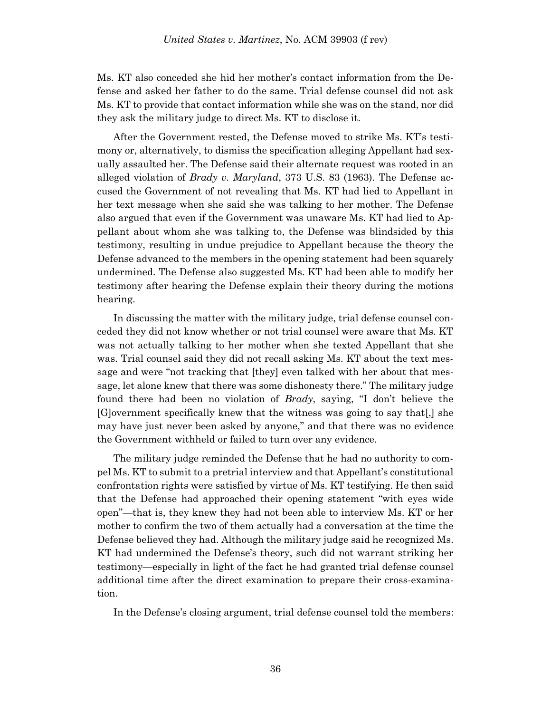Ms. KT also conceded she hid her mother's contact information from the Defense and asked her father to do the same. Trial defense counsel did not ask Ms. KT to provide that contact information while she was on the stand, nor did they ask the military judge to direct Ms. KT to disclose it.

After the Government rested, the Defense moved to strike Ms. KT's testimony or, alternatively, to dismiss the specification alleging Appellant had sexually assaulted her. The Defense said their alternate request was rooted in an alleged violation of *Brady v. Maryland*, 373 U.S. 83 (1963). The Defense accused the Government of not revealing that Ms. KT had lied to Appellant in her text message when she said she was talking to her mother. The Defense also argued that even if the Government was unaware Ms. KT had lied to Appellant about whom she was talking to, the Defense was blindsided by this testimony, resulting in undue prejudice to Appellant because the theory the Defense advanced to the members in the opening statement had been squarely undermined. The Defense also suggested Ms. KT had been able to modify her testimony after hearing the Defense explain their theory during the motions hearing.

In discussing the matter with the military judge, trial defense counsel conceded they did not know whether or not trial counsel were aware that Ms. KT was not actually talking to her mother when she texted Appellant that she was. Trial counsel said they did not recall asking Ms. KT about the text message and were "not tracking that [they] even talked with her about that message, let alone knew that there was some dishonesty there." The military judge found there had been no violation of *Brady*, saying, "I don't believe the [G]overnment specifically knew that the witness was going to say that[,] she may have just never been asked by anyone," and that there was no evidence the Government withheld or failed to turn over any evidence.

The military judge reminded the Defense that he had no authority to compel Ms. KT to submit to a pretrial interview and that Appellant's constitutional confrontation rights were satisfied by virtue of Ms. KT testifying. He then said that the Defense had approached their opening statement "with eyes wide open"—that is, they knew they had not been able to interview Ms. KT or her mother to confirm the two of them actually had a conversation at the time the Defense believed they had. Although the military judge said he recognized Ms. KT had undermined the Defense's theory, such did not warrant striking her testimony—especially in light of the fact he had granted trial defense counsel additional time after the direct examination to prepare their cross-examination.

In the Defense's closing argument, trial defense counsel told the members: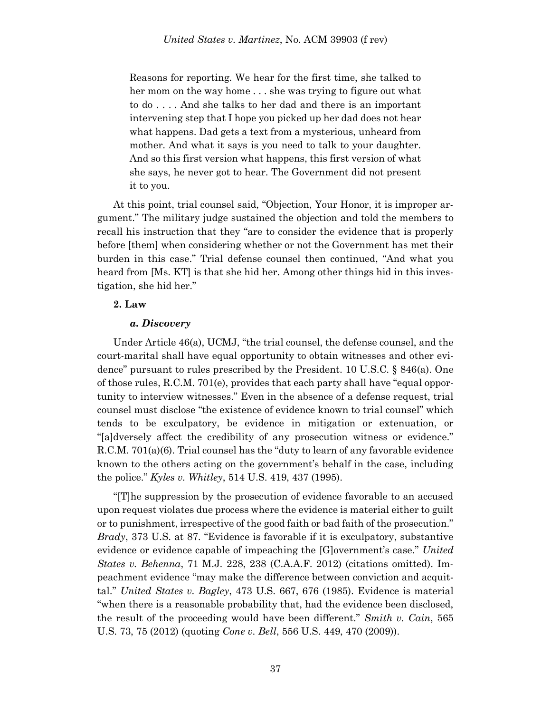Reasons for reporting. We hear for the first time, she talked to her mom on the way home . . . she was trying to figure out what to do . . . . And she talks to her dad and there is an important intervening step that I hope you picked up her dad does not hear what happens. Dad gets a text from a mysterious, unheard from mother. And what it says is you need to talk to your daughter. And so this first version what happens, this first version of what she says, he never got to hear. The Government did not present it to you.

At this point, trial counsel said, "Objection, Your Honor, it is improper argument." The military judge sustained the objection and told the members to recall his instruction that they "are to consider the evidence that is properly before [them] when considering whether or not the Government has met their burden in this case." Trial defense counsel then continued, "And what you heard from [Ms. KT] is that she hid her. Among other things hid in this investigation, she hid her."

# **2. Law**

# *a. Discovery*

Under Article 46(a), UCMJ, "the trial counsel, the defense counsel, and the court-marital shall have equal opportunity to obtain witnesses and other evidence" pursuant to rules prescribed by the President. 10 U.S.C. § 846(a). One of those rules, R.C.M. 701(e), provides that each party shall have "equal opportunity to interview witnesses." Even in the absence of a defense request, trial counsel must disclose "the existence of evidence known to trial counsel" which tends to be exculpatory, be evidence in mitigation or extenuation, or "[a]dversely affect the credibility of any prosecution witness or evidence." R.C.M. 701(a)(6). Trial counsel has the "duty to learn of any favorable evidence known to the others acting on the government's behalf in the case, including the police." *Kyles v. Whitley*, 514 U.S. 419, 437 (1995).

"[T]he suppression by the prosecution of evidence favorable to an accused upon request violates due process where the evidence is material either to guilt or to punishment, irrespective of the good faith or bad faith of the prosecution." *Brady*, 373 U.S. at 87. "Evidence is favorable if it is exculpatory, substantive evidence or evidence capable of impeaching the [G]overnment's case." *United States v. Behenna*, 71 M.J. 228, 238 (C.A.A.F. 2012) (citations omitted). Impeachment evidence "may make the difference between conviction and acquittal." *United States v. Bagley*, 473 U.S. 667, 676 (1985). Evidence is material "when there is a reasonable probability that, had the evidence been disclosed, the result of the proceeding would have been different." *Smith v. Cain*, 565 U.S. 73, 75 (2012) (quoting *Cone v. Bell*, 556 U.S. 449, 470 (2009)).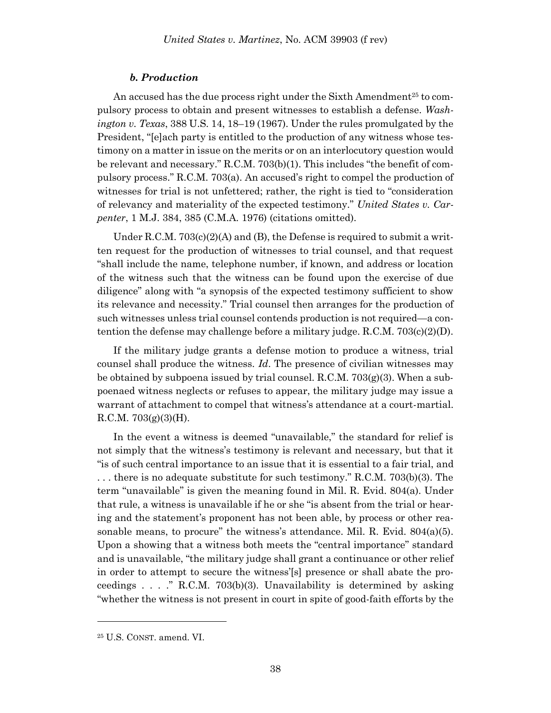### *b. Production*

An accused has the due process right under the Sixth Amendment<sup>25</sup> to compulsory process to obtain and present witnesses to establish a defense. *Washington v. Texas*, 388 U.S. 14, 18–19 (1967). Under the rules promulgated by the President, "[e]ach party is entitled to the production of any witness whose testimony on a matter in issue on the merits or on an interlocutory question would be relevant and necessary." R.C.M. 703(b)(1). This includes "the benefit of compulsory process." R.C.M. 703(a). An accused's right to compel the production of witnesses for trial is not unfettered; rather, the right is tied to "consideration of relevancy and materiality of the expected testimony." *United States v. Carpenter*, 1 M.J. 384, 385 (C.M.A. 1976) (citations omitted).

Under R.C.M.  $703(c)(2)(A)$  and (B), the Defense is required to submit a written request for the production of witnesses to trial counsel, and that request "shall include the name, telephone number, if known, and address or location of the witness such that the witness can be found upon the exercise of due diligence" along with "a synopsis of the expected testimony sufficient to show its relevance and necessity." Trial counsel then arranges for the production of such witnesses unless trial counsel contends production is not required—a contention the defense may challenge before a military judge. R.C.M. 703(c)(2)(D).

If the military judge grants a defense motion to produce a witness, trial counsel shall produce the witness. *Id*. The presence of civilian witnesses may be obtained by subpoena issued by trial counsel.  $R.C.M. 703(g)(3)$ . When a subpoenaed witness neglects or refuses to appear, the military judge may issue a warrant of attachment to compel that witness's attendance at a court-martial.  $R.C.M. 703(g)(3)(H).$ 

In the event a witness is deemed "unavailable," the standard for relief is not simply that the witness's testimony is relevant and necessary, but that it "is of such central importance to an issue that it is essential to a fair trial, and . . . there is no adequate substitute for such testimony." R.C.M. 703(b)(3). The term "unavailable" is given the meaning found in Mil. R. Evid. 804(a). Under that rule, a witness is unavailable if he or she "is absent from the trial or hearing and the statement's proponent has not been able, by process or other reasonable means, to procure" the witness's attendance. Mil. R. Evid. 804(a)(5). Upon a showing that a witness both meets the "central importance" standard and is unavailable, "the military judge shall grant a continuance or other relief in order to attempt to secure the witness'[s] presence or shall abate the proceedings . . . ." R.C.M. 703(b)(3). Unavailability is determined by asking "whether the witness is not present in court in spite of good-faith efforts by the

<sup>25</sup> U.S. CONST. amend. VI.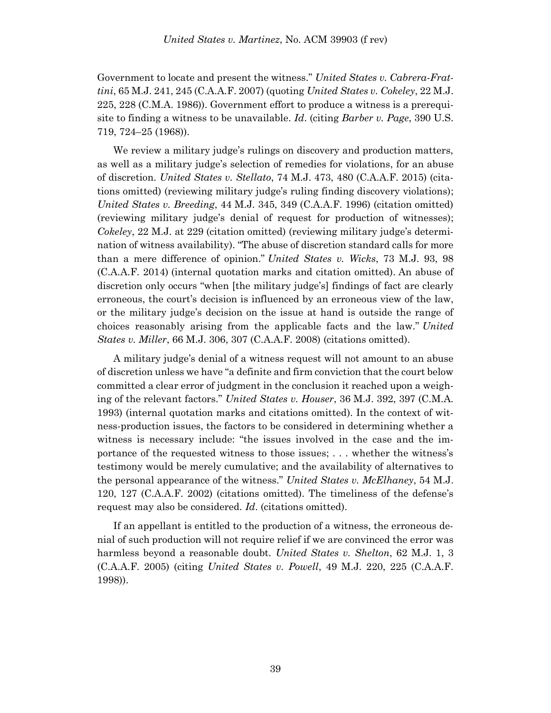Government to locate and present the witness." *United States v. Cabrera-Frattini*, 65 M.J. 241, 245 (C.A.A.F. 2007) (quoting *United States v. Cokeley*, 22 M.J. 225, 228 (C.M.A. 1986)). Government effort to produce a witness is a prerequisite to finding a witness to be unavailable. *Id*. (citing *Barber v. Page*, 390 U.S. 719, 724–25 (1968)).

We review a military judge's rulings on discovery and production matters, as well as a military judge's selection of remedies for violations, for an abuse of discretion. *United States v. Stellato*, 74 M.J. 473, 480 (C.A.A.F. 2015) (citations omitted) (reviewing military judge's ruling finding discovery violations); *United States v. Breeding*, 44 M.J. 345, 349 (C.A.A.F. 1996) (citation omitted) (reviewing military judge's denial of request for production of witnesses); *Cokeley*, 22 M.J. at 229 (citation omitted) (reviewing military judge's determination of witness availability). "The abuse of discretion standard calls for more than a mere difference of opinion." *United States v. Wicks*, 73 M.J. 93, 98 (C.A.A.F. 2014) (internal quotation marks and citation omitted). An abuse of discretion only occurs "when [the military judge's] findings of fact are clearly erroneous, the court's decision is influenced by an erroneous view of the law, or the military judge's decision on the issue at hand is outside the range of choices reasonably arising from the applicable facts and the law." *United States v. Miller*, 66 M.J. 306, 307 (C.A.A.F. 2008) (citations omitted).

A military judge's denial of a witness request will not amount to an abuse of discretion unless we have "a definite and firm conviction that the court below committed a clear error of judgment in the conclusion it reached upon a weighing of the relevant factors." *United States v. Houser*, 36 M.J. 392, 397 (C.M.A. 1993) (internal quotation marks and citations omitted). In the context of witness-production issues, the factors to be considered in determining whether a witness is necessary include: "the issues involved in the case and the importance of the requested witness to those issues; . . . whether the witness's testimony would be merely cumulative; and the availability of alternatives to the personal appearance of the witness." *United States v. McElhaney*, 54 M.J. 120, 127 (C.A.A.F. 2002) (citations omitted). The timeliness of the defense's request may also be considered. *Id*. (citations omitted).

If an appellant is entitled to the production of a witness, the erroneous denial of such production will not require relief if we are convinced the error was harmless beyond a reasonable doubt. *United States v. Shelton*, 62 M.J. 1, 3 (C.A.A.F. 2005) (citing *United States v. Powell*, 49 M.J. 220, 225 (C.A.A.F. 1998)).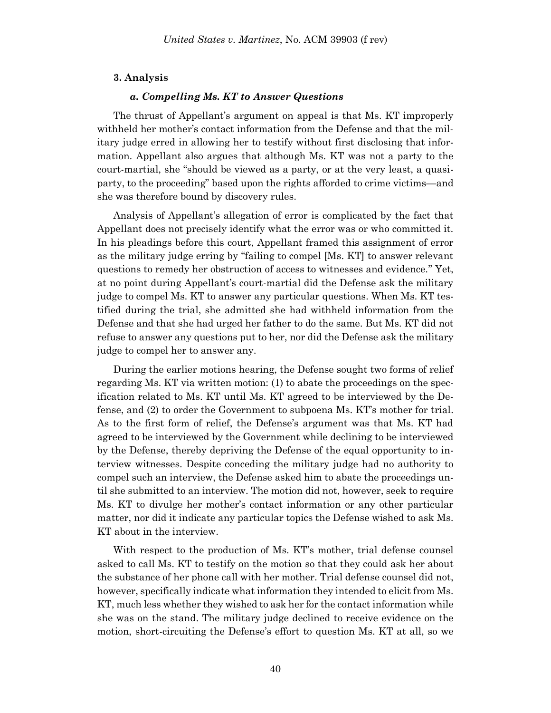### **3. Analysis**

### *a. Compelling Ms. KT to Answer Questions*

The thrust of Appellant's argument on appeal is that Ms. KT improperly withheld her mother's contact information from the Defense and that the military judge erred in allowing her to testify without first disclosing that information. Appellant also argues that although Ms. KT was not a party to the court-martial, she "should be viewed as a party, or at the very least, a quasiparty, to the proceeding" based upon the rights afforded to crime victims—and she was therefore bound by discovery rules.

Analysis of Appellant's allegation of error is complicated by the fact that Appellant does not precisely identify what the error was or who committed it. In his pleadings before this court, Appellant framed this assignment of error as the military judge erring by "failing to compel [Ms. KT] to answer relevant questions to remedy her obstruction of access to witnesses and evidence." Yet, at no point during Appellant's court-martial did the Defense ask the military judge to compel Ms. KT to answer any particular questions. When Ms. KT testified during the trial, she admitted she had withheld information from the Defense and that she had urged her father to do the same. But Ms. KT did not refuse to answer any questions put to her, nor did the Defense ask the military judge to compel her to answer any.

During the earlier motions hearing, the Defense sought two forms of relief regarding Ms. KT via written motion: (1) to abate the proceedings on the specification related to Ms. KT until Ms. KT agreed to be interviewed by the Defense, and (2) to order the Government to subpoena Ms. KT's mother for trial. As to the first form of relief, the Defense's argument was that Ms. KT had agreed to be interviewed by the Government while declining to be interviewed by the Defense, thereby depriving the Defense of the equal opportunity to interview witnesses. Despite conceding the military judge had no authority to compel such an interview, the Defense asked him to abate the proceedings until she submitted to an interview. The motion did not, however, seek to require Ms. KT to divulge her mother's contact information or any other particular matter, nor did it indicate any particular topics the Defense wished to ask Ms. KT about in the interview.

With respect to the production of Ms. KT's mother, trial defense counsel asked to call Ms. KT to testify on the motion so that they could ask her about the substance of her phone call with her mother. Trial defense counsel did not, however, specifically indicate what information they intended to elicit from Ms. KT, much less whether they wished to ask her for the contact information while she was on the stand. The military judge declined to receive evidence on the motion, short-circuiting the Defense's effort to question Ms. KT at all, so we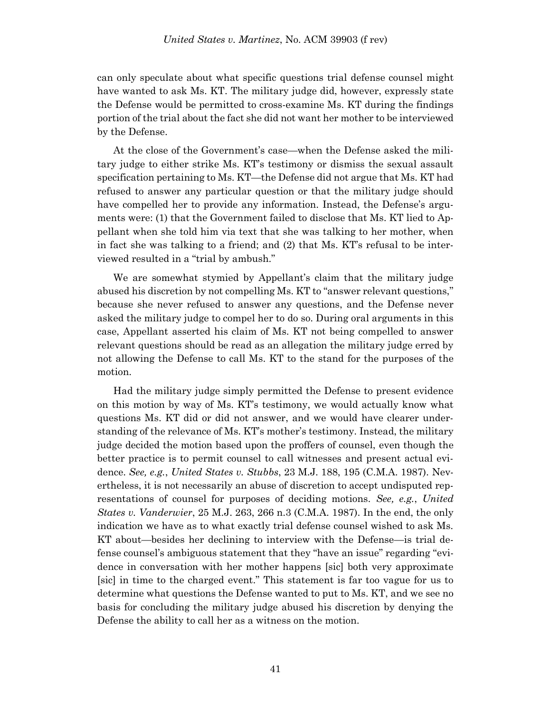can only speculate about what specific questions trial defense counsel might have wanted to ask Ms. KT. The military judge did, however, expressly state the Defense would be permitted to cross-examine Ms. KT during the findings portion of the trial about the fact she did not want her mother to be interviewed by the Defense.

At the close of the Government's case—when the Defense asked the military judge to either strike Ms. KT's testimony or dismiss the sexual assault specification pertaining to Ms. KT—the Defense did not argue that Ms. KT had refused to answer any particular question or that the military judge should have compelled her to provide any information. Instead, the Defense's arguments were: (1) that the Government failed to disclose that Ms. KT lied to Appellant when she told him via text that she was talking to her mother, when in fact she was talking to a friend; and (2) that Ms. KT's refusal to be interviewed resulted in a "trial by ambush."

We are somewhat stymied by Appellant's claim that the military judge abused his discretion by not compelling Ms. KT to "answer relevant questions," because she never refused to answer any questions, and the Defense never asked the military judge to compel her to do so. During oral arguments in this case, Appellant asserted his claim of Ms. KT not being compelled to answer relevant questions should be read as an allegation the military judge erred by not allowing the Defense to call Ms. KT to the stand for the purposes of the motion.

Had the military judge simply permitted the Defense to present evidence on this motion by way of Ms. KT's testimony, we would actually know what questions Ms. KT did or did not answer, and we would have clearer understanding of the relevance of Ms. KT's mother's testimony. Instead, the military judge decided the motion based upon the proffers of counsel, even though the better practice is to permit counsel to call witnesses and present actual evidence. *See, e.g.*, *United States v. Stubbs*, 23 M.J. 188, 195 (C.M.A. 1987). Nevertheless, it is not necessarily an abuse of discretion to accept undisputed representations of counsel for purposes of deciding motions. *See, e.g.*, *United States v. Vanderwier*, 25 M.J. 263, 266 n.3 (C.M.A. 1987). In the end, the only indication we have as to what exactly trial defense counsel wished to ask Ms. KT about—besides her declining to interview with the Defense—is trial defense counsel's ambiguous statement that they "have an issue" regarding "evidence in conversation with her mother happens [sic] both very approximate [sic] in time to the charged event." This statement is far too vague for us to determine what questions the Defense wanted to put to Ms. KT, and we see no basis for concluding the military judge abused his discretion by denying the Defense the ability to call her as a witness on the motion.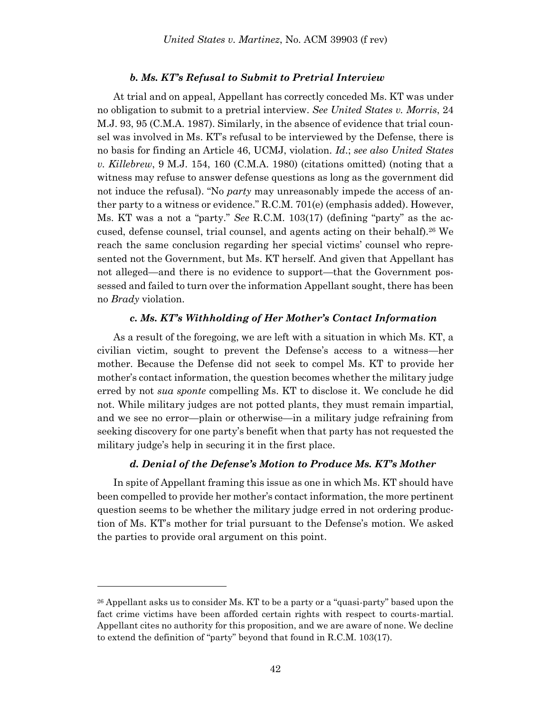#### *b. Ms. KT's Refusal to Submit to Pretrial Interview*

At trial and on appeal, Appellant has correctly conceded Ms. KT was under no obligation to submit to a pretrial interview. *See United States v. Morris*, 24 M.J. 93, 95 (C.M.A. 1987). Similarly, in the absence of evidence that trial counsel was involved in Ms. KT's refusal to be interviewed by the Defense, there is no basis for finding an Article 46, UCMJ, violation. *Id*.; *see also United States v. Killebrew*, 9 M.J. 154, 160 (C.M.A. 1980) (citations omitted) (noting that a witness may refuse to answer defense questions as long as the government did not induce the refusal). "No *party* may unreasonably impede the access of anther party to a witness or evidence." R.C.M. 701(e) (emphasis added). However, Ms. KT was a not a "party." *See* R.C.M. 103(17) (defining "party" as the accused, defense counsel, trial counsel, and agents acting on their behalf).<sup>26</sup> We reach the same conclusion regarding her special victims' counsel who represented not the Government, but Ms. KT herself. And given that Appellant has not alleged—and there is no evidence to support—that the Government possessed and failed to turn over the information Appellant sought, there has been no *Brady* violation.

### *c. Ms. KT's Withholding of Her Mother's Contact Information*

As a result of the foregoing, we are left with a situation in which Ms. KT, a civilian victim, sought to prevent the Defense's access to a witness—her mother. Because the Defense did not seek to compel Ms. KT to provide her mother's contact information, the question becomes whether the military judge erred by not *sua sponte* compelling Ms. KT to disclose it. We conclude he did not. While military judges are not potted plants, they must remain impartial, and we see no error—plain or otherwise—in a military judge refraining from seeking discovery for one party's benefit when that party has not requested the military judge's help in securing it in the first place.

### *d. Denial of the Defense's Motion to Produce Ms. KT's Mother*

In spite of Appellant framing this issue as one in which Ms. KT should have been compelled to provide her mother's contact information, the more pertinent question seems to be whether the military judge erred in not ordering production of Ms. KT's mother for trial pursuant to the Defense's motion. We asked the parties to provide oral argument on this point.

 $26$  Appellant asks us to consider Ms. KT to be a party or a "quasi-party" based upon the fact crime victims have been afforded certain rights with respect to courts-martial. Appellant cites no authority for this proposition, and we are aware of none. We decline to extend the definition of "party" beyond that found in R.C.M. 103(17).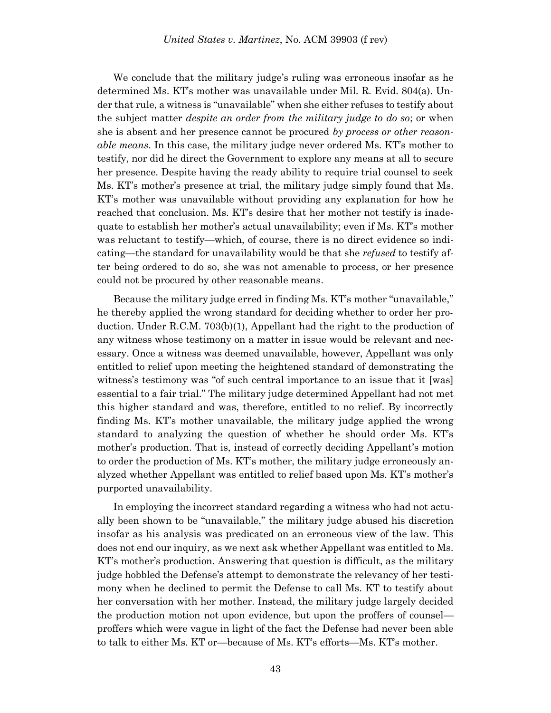We conclude that the military judge's ruling was erroneous insofar as he determined Ms. KT's mother was unavailable under Mil. R. Evid. 804(a). Under that rule, a witness is "unavailable" when she either refuses to testify about the subject matter *despite an order from the military judge to do so*; or when she is absent and her presence cannot be procured *by process or other reasonable means*. In this case, the military judge never ordered Ms. KT's mother to testify, nor did he direct the Government to explore any means at all to secure her presence. Despite having the ready ability to require trial counsel to seek Ms. KT's mother's presence at trial, the military judge simply found that Ms. KT's mother was unavailable without providing any explanation for how he reached that conclusion. Ms. KT's desire that her mother not testify is inadequate to establish her mother's actual unavailability; even if Ms. KT's mother was reluctant to testify—which, of course, there is no direct evidence so indicating—the standard for unavailability would be that she *refused* to testify after being ordered to do so, she was not amenable to process, or her presence could not be procured by other reasonable means.

Because the military judge erred in finding Ms. KT's mother "unavailable," he thereby applied the wrong standard for deciding whether to order her production. Under R.C.M. 703(b)(1), Appellant had the right to the production of any witness whose testimony on a matter in issue would be relevant and necessary. Once a witness was deemed unavailable, however, Appellant was only entitled to relief upon meeting the heightened standard of demonstrating the witness's testimony was "of such central importance to an issue that it [was] essential to a fair trial." The military judge determined Appellant had not met this higher standard and was, therefore, entitled to no relief. By incorrectly finding Ms. KT's mother unavailable, the military judge applied the wrong standard to analyzing the question of whether he should order Ms. KT's mother's production. That is, instead of correctly deciding Appellant's motion to order the production of Ms. KT's mother, the military judge erroneously analyzed whether Appellant was entitled to relief based upon Ms. KT's mother's purported unavailability.

In employing the incorrect standard regarding a witness who had not actually been shown to be "unavailable," the military judge abused his discretion insofar as his analysis was predicated on an erroneous view of the law. This does not end our inquiry, as we next ask whether Appellant was entitled to Ms. KT's mother's production. Answering that question is difficult, as the military judge hobbled the Defense's attempt to demonstrate the relevancy of her testimony when he declined to permit the Defense to call Ms. KT to testify about her conversation with her mother. Instead, the military judge largely decided the production motion not upon evidence, but upon the proffers of counsel proffers which were vague in light of the fact the Defense had never been able to talk to either Ms. KT or—because of Ms. KT's efforts—Ms. KT's mother.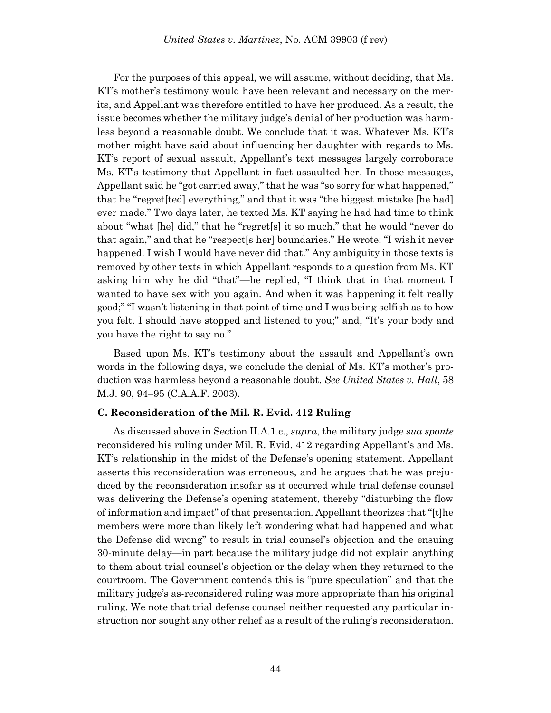For the purposes of this appeal, we will assume, without deciding, that Ms. KT's mother's testimony would have been relevant and necessary on the merits, and Appellant was therefore entitled to have her produced. As a result, the issue becomes whether the military judge's denial of her production was harmless beyond a reasonable doubt. We conclude that it was. Whatever Ms. KT's mother might have said about influencing her daughter with regards to Ms. KT's report of sexual assault, Appellant's text messages largely corroborate Ms. KT's testimony that Appellant in fact assaulted her. In those messages, Appellant said he "got carried away," that he was "so sorry for what happened," that he "regret[ted] everything," and that it was "the biggest mistake [he had] ever made." Two days later, he texted Ms. KT saying he had had time to think about "what [he] did," that he "regret[s] it so much," that he would "never do that again," and that he "respect[s her] boundaries." He wrote: "I wish it never happened. I wish I would have never did that." Any ambiguity in those texts is removed by other texts in which Appellant responds to a question from Ms. KT asking him why he did "that"—he replied, "I think that in that moment I wanted to have sex with you again. And when it was happening it felt really good;" "I wasn't listening in that point of time and I was being selfish as to how you felt. I should have stopped and listened to you;" and, "It's your body and you have the right to say no."

Based upon Ms. KT's testimony about the assault and Appellant's own words in the following days, we conclude the denial of Ms. KT's mother's production was harmless beyond a reasonable doubt. *See United States v. Hall*, 58 M.J. 90, 94–95 (C.A.A.F. 2003).

### **C. Reconsideration of the Mil. R. Evid. 412 Ruling**

As discussed above in Section II.A.1.c., *supra*, the military judge *sua sponte* reconsidered his ruling under Mil. R. Evid. 412 regarding Appellant's and Ms. KT's relationship in the midst of the Defense's opening statement. Appellant asserts this reconsideration was erroneous, and he argues that he was prejudiced by the reconsideration insofar as it occurred while trial defense counsel was delivering the Defense's opening statement, thereby "disturbing the flow of information and impact" of that presentation. Appellant theorizes that "[t]he members were more than likely left wondering what had happened and what the Defense did wrong" to result in trial counsel's objection and the ensuing 30-minute delay—in part because the military judge did not explain anything to them about trial counsel's objection or the delay when they returned to the courtroom. The Government contends this is "pure speculation" and that the military judge's as-reconsidered ruling was more appropriate than his original ruling. We note that trial defense counsel neither requested any particular instruction nor sought any other relief as a result of the ruling's reconsideration.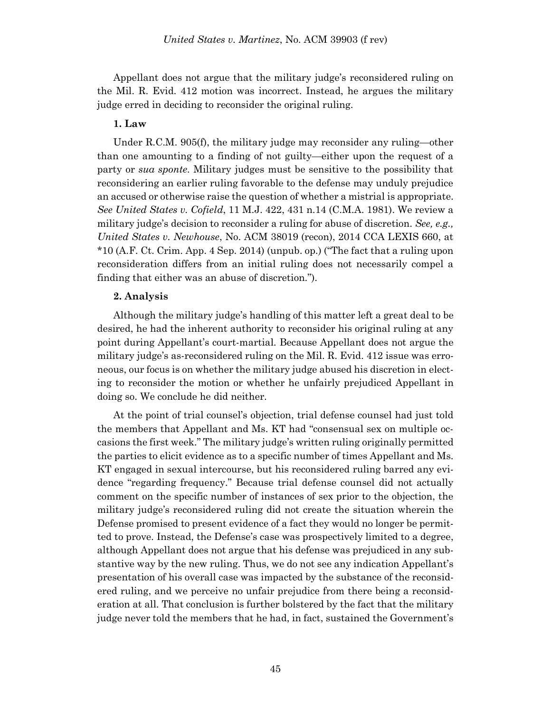Appellant does not argue that the military judge's reconsidered ruling on the Mil. R. Evid. 412 motion was incorrect. Instead, he argues the military judge erred in deciding to reconsider the original ruling.

### **1. Law**

Under R.C.M. 905(f), the military judge may reconsider any ruling—other than one amounting to a finding of not guilty—either upon the request of a party or *sua sponte*. Military judges must be sensitive to the possibility that reconsidering an earlier ruling favorable to the defense may unduly prejudice an accused or otherwise raise the question of whether a mistrial is appropriate. *See United States v. Cofield*, 11 M.J. 422, 431 n.14 (C.M.A. 1981). We review a military judge's decision to reconsider a ruling for abuse of discretion. *See, e.g., United States v. Newhouse*, No. ACM 38019 (recon), 2014 CCA LEXIS 660, at \*10 (A.F. Ct. Crim. App. 4 Sep. 2014) (unpub. op.) ("The fact that a ruling upon reconsideration differs from an initial ruling does not necessarily compel a finding that either was an abuse of discretion.").

### **2. Analysis**

Although the military judge's handling of this matter left a great deal to be desired, he had the inherent authority to reconsider his original ruling at any point during Appellant's court-martial. Because Appellant does not argue the military judge's as-reconsidered ruling on the Mil. R. Evid. 412 issue was erroneous, our focus is on whether the military judge abused his discretion in electing to reconsider the motion or whether he unfairly prejudiced Appellant in doing so. We conclude he did neither.

At the point of trial counsel's objection, trial defense counsel had just told the members that Appellant and Ms. KT had "consensual sex on multiple occasions the first week." The military judge's written ruling originally permitted the parties to elicit evidence as to a specific number of times Appellant and Ms. KT engaged in sexual intercourse, but his reconsidered ruling barred any evidence "regarding frequency." Because trial defense counsel did not actually comment on the specific number of instances of sex prior to the objection, the military judge's reconsidered ruling did not create the situation wherein the Defense promised to present evidence of a fact they would no longer be permitted to prove. Instead, the Defense's case was prospectively limited to a degree, although Appellant does not argue that his defense was prejudiced in any substantive way by the new ruling. Thus, we do not see any indication Appellant's presentation of his overall case was impacted by the substance of the reconsidered ruling, and we perceive no unfair prejudice from there being a reconsideration at all. That conclusion is further bolstered by the fact that the military judge never told the members that he had, in fact, sustained the Government's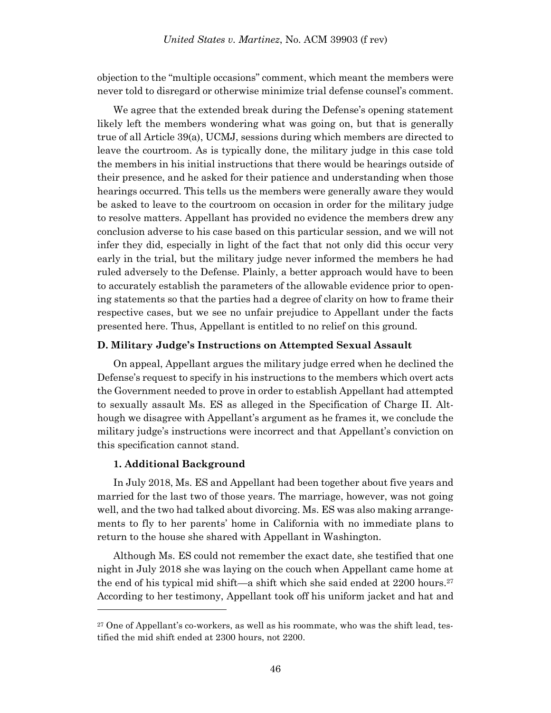objection to the "multiple occasions" comment, which meant the members were never told to disregard or otherwise minimize trial defense counsel's comment.

We agree that the extended break during the Defense's opening statement likely left the members wondering what was going on, but that is generally true of all Article 39(a), UCMJ, sessions during which members are directed to leave the courtroom. As is typically done, the military judge in this case told the members in his initial instructions that there would be hearings outside of their presence, and he asked for their patience and understanding when those hearings occurred. This tells us the members were generally aware they would be asked to leave to the courtroom on occasion in order for the military judge to resolve matters. Appellant has provided no evidence the members drew any conclusion adverse to his case based on this particular session, and we will not infer they did, especially in light of the fact that not only did this occur very early in the trial, but the military judge never informed the members he had ruled adversely to the Defense. Plainly, a better approach would have to been to accurately establish the parameters of the allowable evidence prior to opening statements so that the parties had a degree of clarity on how to frame their respective cases, but we see no unfair prejudice to Appellant under the facts presented here. Thus, Appellant is entitled to no relief on this ground.

### **D. Military Judge's Instructions on Attempted Sexual Assault**

On appeal, Appellant argues the military judge erred when he declined the Defense's request to specify in his instructions to the members which overt acts the Government needed to prove in order to establish Appellant had attempted to sexually assault Ms. ES as alleged in the Specification of Charge II. Although we disagree with Appellant's argument as he frames it, we conclude the military judge's instructions were incorrect and that Appellant's conviction on this specification cannot stand.

### **1. Additional Background**

l

In July 2018, Ms. ES and Appellant had been together about five years and married for the last two of those years. The marriage, however, was not going well, and the two had talked about divorcing. Ms. ES was also making arrangements to fly to her parents' home in California with no immediate plans to return to the house she shared with Appellant in Washington.

Although Ms. ES could not remember the exact date, she testified that one night in July 2018 she was laying on the couch when Appellant came home at the end of his typical mid shift—a shift which she said ended at  $2200$  hours.<sup>27</sup> According to her testimony, Appellant took off his uniform jacket and hat and

<sup>&</sup>lt;sup>27</sup> One of Appellant's co-workers, as well as his roommate, who was the shift lead, testified the mid shift ended at 2300 hours, not 2200.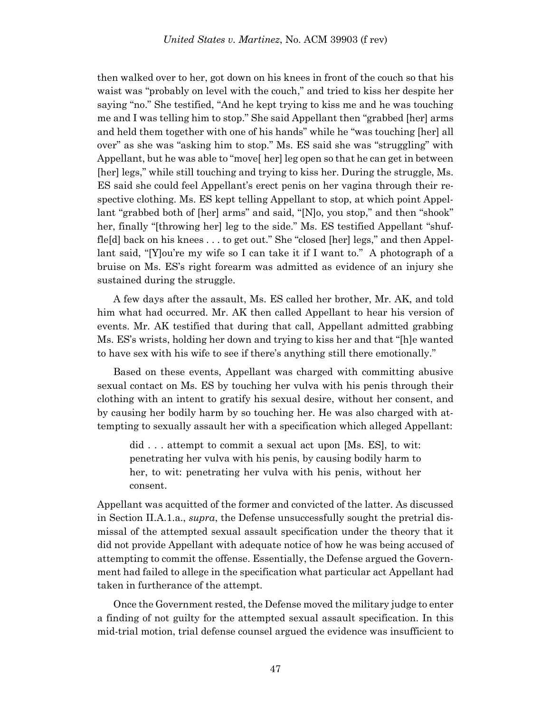then walked over to her, got down on his knees in front of the couch so that his waist was "probably on level with the couch," and tried to kiss her despite her saying "no." She testified, "And he kept trying to kiss me and he was touching me and I was telling him to stop." She said Appellant then "grabbed [her] arms and held them together with one of his hands" while he "was touching [her] all over" as she was "asking him to stop." Ms. ES said she was "struggling" with Appellant, but he was able to "move[ her] leg open so that he can get in between [her] legs," while still touching and trying to kiss her. During the struggle, Ms. ES said she could feel Appellant's erect penis on her vagina through their respective clothing. Ms. ES kept telling Appellant to stop, at which point Appellant "grabbed both of [her] arms" and said, "[N]o, you stop," and then "shook" her, finally "[throwing her] leg to the side." Ms. ES testified Appellant "shuffle[d] back on his knees . . . to get out." She "closed [her] legs," and then Appellant said, "[Y] ou're my wife so I can take it if I want to." A photograph of a bruise on Ms. ES's right forearm was admitted as evidence of an injury she sustained during the struggle.

A few days after the assault, Ms. ES called her brother, Mr. AK, and told him what had occurred. Mr. AK then called Appellant to hear his version of events. Mr. AK testified that during that call, Appellant admitted grabbing Ms. ES's wrists, holding her down and trying to kiss her and that "[h]e wanted to have sex with his wife to see if there's anything still there emotionally."

Based on these events, Appellant was charged with committing abusive sexual contact on Ms. ES by touching her vulva with his penis through their clothing with an intent to gratify his sexual desire, without her consent, and by causing her bodily harm by so touching her. He was also charged with attempting to sexually assault her with a specification which alleged Appellant:

did . . . attempt to commit a sexual act upon [Ms. ES], to wit: penetrating her vulva with his penis, by causing bodily harm to her, to wit: penetrating her vulva with his penis, without her consent.

Appellant was acquitted of the former and convicted of the latter. As discussed in Section II.A.1.a., *supra*, the Defense unsuccessfully sought the pretrial dismissal of the attempted sexual assault specification under the theory that it did not provide Appellant with adequate notice of how he was being accused of attempting to commit the offense. Essentially, the Defense argued the Government had failed to allege in the specification what particular act Appellant had taken in furtherance of the attempt.

Once the Government rested, the Defense moved the military judge to enter a finding of not guilty for the attempted sexual assault specification. In this mid-trial motion, trial defense counsel argued the evidence was insufficient to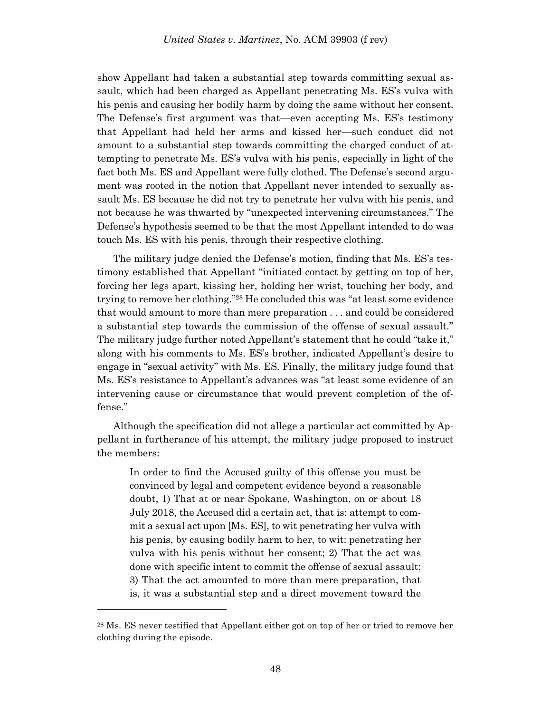show Appellant had taken a substantial step towards committing sexual assault, which had been charged as Appellant penetrating Ms. ES's vulva with his penis and causing her bodily harm by doing the same without her consent. The Defense's first argument was that—even accepting Ms. ES's testimony that Appellant had held her arms and kissed her—such conduct did not amount to a substantial step towards committing the charged conduct of attempting to penetrate Ms. ES's vulva with his penis, especially in light of the fact both Ms. ES and Appellant were fully clothed. The Defense's second argument was rooted in the notion that Appellant never intended to sexually assault Ms. ES because he did not try to penetrate her vulva with his penis, and not because he was thwarted by "unexpected intervening circumstances." The Defense's hypothesis seemed to be that the most Appellant intended to do was touch Ms. ES with his penis, through their respective clothing.

The military judge denied the Defense's motion, finding that Ms. ES's testimony established that Appellant "initiated contact by getting on top of her, forcing her legs apart, kissing her, holding her wrist, touching her body, and trying to remove her clothing."<sup>28</sup> He concluded this was "at least some evidence that would amount to more than mere preparation . . . and could be considered a substantial step towards the commission of the offense of sexual assault." The military judge further noted Appellant's statement that he could "take it," along with his comments to Ms. ES's brother, indicated Appellant's desire to engage in "sexual activity" with Ms. ES. Finally, the military judge found that Ms. ES's resistance to Appellant's advances was "at least some evidence of an intervening cause or circumstance that would prevent completion of the offense."

Although the specification did not allege a particular act committed by Appellant in furtherance of his attempt, the military judge proposed to instruct the members:

In order to find the Accused guilty of this offense you must be convinced by legal and competent evidence beyond a reasonable doubt, 1) That at or near Spokane, Washington, on or about 18 July 2018, the Accused did a certain act, that is: attempt to commit a sexual act upon [Ms. ES], to wit penetrating her vulva with his penis, by causing bodily harm to her, to wit: penetrating her vulva with his penis without her consent; 2) That the act was done with specific intent to commit the offense of sexual assault; 3) That the act amounted to more than mere preparation, that is, it was a substantial step and a direct movement toward the

<sup>28</sup> Ms. ES never testified that Appellant either got on top of her or tried to remove her clothing during the episode.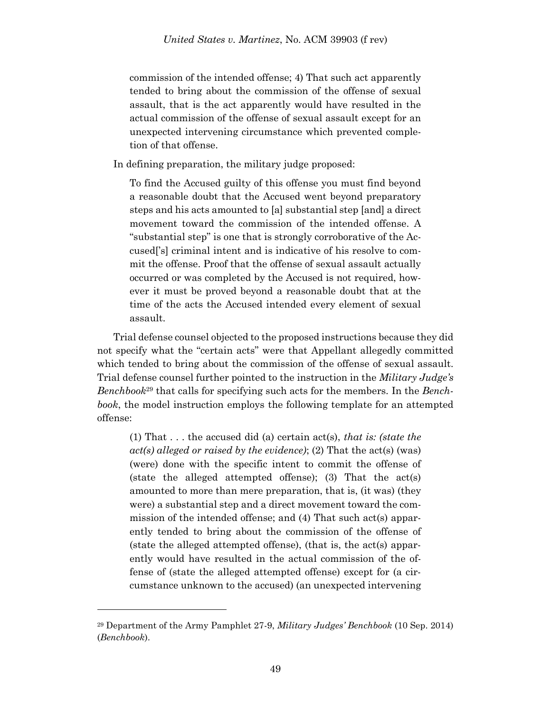commission of the intended offense; 4) That such act apparently tended to bring about the commission of the offense of sexual assault, that is the act apparently would have resulted in the actual commission of the offense of sexual assault except for an unexpected intervening circumstance which prevented completion of that offense.

In defining preparation, the military judge proposed:

To find the Accused guilty of this offense you must find beyond a reasonable doubt that the Accused went beyond preparatory steps and his acts amounted to [a] substantial step [and] a direct movement toward the commission of the intended offense. A "substantial step" is one that is strongly corroborative of the Accused['s] criminal intent and is indicative of his resolve to commit the offense. Proof that the offense of sexual assault actually occurred or was completed by the Accused is not required, however it must be proved beyond a reasonable doubt that at the time of the acts the Accused intended every element of sexual assault.

Trial defense counsel objected to the proposed instructions because they did not specify what the "certain acts" were that Appellant allegedly committed which tended to bring about the commission of the offense of sexual assault. Trial defense counsel further pointed to the instruction in the *Military Judge's Benchbook*<sup>29</sup> that calls for specifying such acts for the members. In the *Benchbook*, the model instruction employs the following template for an attempted offense:

(1) That . . . the accused did (a) certain act(s), *that is: (state the act(s) alleged or raised by the evidence)*; (2) That the act(s) (was) (were) done with the specific intent to commit the offense of (state the alleged attempted offense); (3) That the act(s) amounted to more than mere preparation, that is, (it was) (they were) a substantial step and a direct movement toward the commission of the intended offense; and (4) That such act(s) apparently tended to bring about the commission of the offense of (state the alleged attempted offense), (that is, the act(s) apparently would have resulted in the actual commission of the offense of (state the alleged attempted offense) except for (a circumstance unknown to the accused) (an unexpected intervening

<sup>29</sup> Department of the Army Pamphlet 27-9, *Military Judges' Benchbook* (10 Sep. 2014) (*Benchbook*).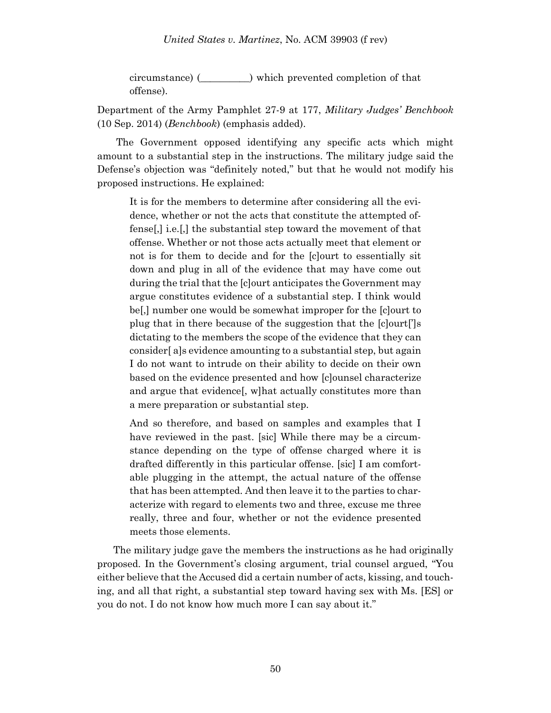circumstance) (\_\_\_\_\_\_\_\_\_\_) which prevented completion of that offense).

Department of the Army Pamphlet 27-9 at 177, *Military Judges' Benchbook* (10 Sep. 2014) (*Benchbook*) (emphasis added).

The Government opposed identifying any specific acts which might amount to a substantial step in the instructions. The military judge said the Defense's objection was "definitely noted," but that he would not modify his proposed instructions. He explained:

It is for the members to determine after considering all the evidence, whether or not the acts that constitute the attempted offense[,] i.e.[,] the substantial step toward the movement of that offense. Whether or not those acts actually meet that element or not is for them to decide and for the [c]ourt to essentially sit down and plug in all of the evidence that may have come out during the trial that the [c]ourt anticipates the Government may argue constitutes evidence of a substantial step. I think would be[,] number one would be somewhat improper for the [c]ourt to plug that in there because of the suggestion that the [c]ourt[']s dictating to the members the scope of the evidence that they can consider[ a]s evidence amounting to a substantial step, but again I do not want to intrude on their ability to decide on their own based on the evidence presented and how [c]ounsel characterize and argue that evidence[, w]hat actually constitutes more than a mere preparation or substantial step.

And so therefore, and based on samples and examples that I have reviewed in the past. [sic] While there may be a circumstance depending on the type of offense charged where it is drafted differently in this particular offense. [sic] I am comfortable plugging in the attempt, the actual nature of the offense that has been attempted. And then leave it to the parties to characterize with regard to elements two and three, excuse me three really, three and four, whether or not the evidence presented meets those elements.

The military judge gave the members the instructions as he had originally proposed. In the Government's closing argument, trial counsel argued, "You either believe that the Accused did a certain number of acts, kissing, and touching, and all that right, a substantial step toward having sex with Ms. [ES] or you do not. I do not know how much more I can say about it."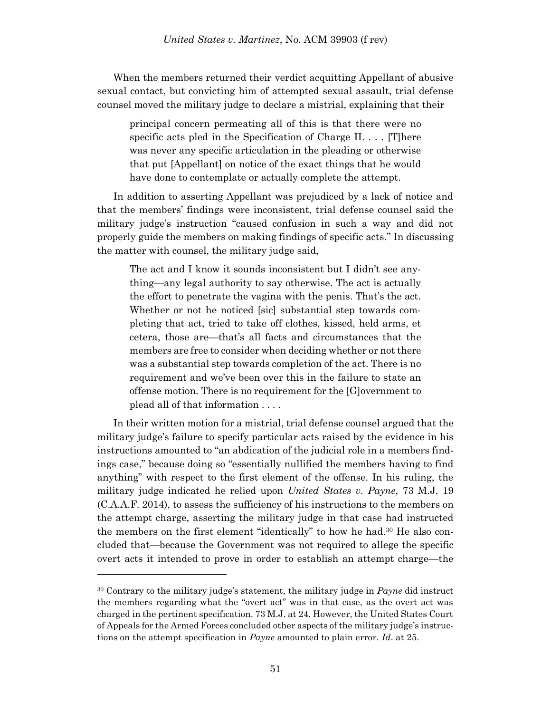When the members returned their verdict acquitting Appellant of abusive sexual contact, but convicting him of attempted sexual assault, trial defense counsel moved the military judge to declare a mistrial, explaining that their

principal concern permeating all of this is that there were no specific acts pled in the Specification of Charge II. . . . [T]here was never any specific articulation in the pleading or otherwise that put [Appellant] on notice of the exact things that he would have done to contemplate or actually complete the attempt.

In addition to asserting Appellant was prejudiced by a lack of notice and that the members' findings were inconsistent, trial defense counsel said the military judge's instruction "caused confusion in such a way and did not properly guide the members on making findings of specific acts." In discussing the matter with counsel, the military judge said,

The act and I know it sounds inconsistent but I didn't see anything—any legal authority to say otherwise. The act is actually the effort to penetrate the vagina with the penis. That's the act. Whether or not he noticed [sic] substantial step towards completing that act, tried to take off clothes, kissed, held arms, et cetera, those are—that's all facts and circumstances that the members are free to consider when deciding whether or not there was a substantial step towards completion of the act. There is no requirement and we've been over this in the failure to state an offense motion. There is no requirement for the [G]overnment to plead all of that information . . . .

In their written motion for a mistrial, trial defense counsel argued that the military judge's failure to specify particular acts raised by the evidence in his instructions amounted to "an abdication of the judicial role in a members findings case," because doing so "essentially nullified the members having to find anything" with respect to the first element of the offense. In his ruling, the military judge indicated he relied upon *United States v. Payne*, 73 M.J. 19 (C.A.A.F. 2014), to assess the sufficiency of his instructions to the members on the attempt charge, asserting the military judge in that case had instructed the members on the first element "identically" to how he had.<sup>30</sup> He also concluded that—because the Government was not required to allege the specific overt acts it intended to prove in order to establish an attempt charge—the

<sup>30</sup> Contrary to the military judge's statement, the military judge in *Payne* did instruct the members regarding what the "overt act" was in that case, as the overt act was charged in the pertinent specification. 73 M.J. at 24. However, the United States Court of Appeals for the Armed Forces concluded other aspects of the military judge's instructions on the attempt specification in *Payne* amounted to plain error. *Id*. at 25.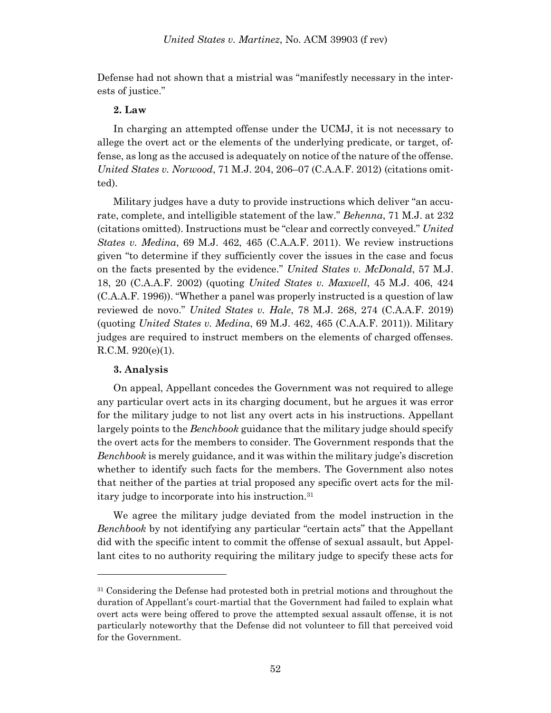Defense had not shown that a mistrial was "manifestly necessary in the interests of justice."

# **2. Law**

In charging an attempted offense under the UCMJ, it is not necessary to allege the overt act or the elements of the underlying predicate, or target, offense, as long as the accused is adequately on notice of the nature of the offense. *United States v. Norwood*, 71 M.J. 204, 206–07 (C.A.A.F. 2012) (citations omitted).

Military judges have a duty to provide instructions which deliver "an accurate, complete, and intelligible statement of the law." *Behenna*, 71 M.J. at 232 (citations omitted). Instructions must be "clear and correctly conveyed." *United States v. Medina*, 69 M.J. 462, 465 (C.A.A.F. 2011). We review instructions given "to determine if they sufficiently cover the issues in the case and focus on the facts presented by the evidence." *United States v. McDonald*, 57 M.J. 18, 20 (C.A.A.F. 2002) (quoting *United States v. Maxwell*, 45 M.J. 406, 424 (C.A.A.F. 1996)). "Whether a panel was properly instructed is a question of law reviewed de novo." *United States v. Hale*, 78 M.J. 268, 274 (C.A.A.F. 2019) (quoting *United States v. Medina*, 69 M.J. 462, 465 (C.A.A.F. 2011)). Military judges are required to instruct members on the elements of charged offenses. R.C.M. 920(e)(1).

# **3. Analysis**

l

On appeal, Appellant concedes the Government was not required to allege any particular overt acts in its charging document, but he argues it was error for the military judge to not list any overt acts in his instructions. Appellant largely points to the *Benchbook* guidance that the military judge should specify the overt acts for the members to consider. The Government responds that the *Benchbook* is merely guidance, and it was within the military judge's discretion whether to identify such facts for the members. The Government also notes that neither of the parties at trial proposed any specific overt acts for the military judge to incorporate into his instruction.<sup>31</sup>

We agree the military judge deviated from the model instruction in the *Benchbook* by not identifying any particular "certain acts" that the Appellant did with the specific intent to commit the offense of sexual assault, but Appellant cites to no authority requiring the military judge to specify these acts for

<sup>31</sup> Considering the Defense had protested both in pretrial motions and throughout the duration of Appellant's court-martial that the Government had failed to explain what overt acts were being offered to prove the attempted sexual assault offense, it is not particularly noteworthy that the Defense did not volunteer to fill that perceived void for the Government.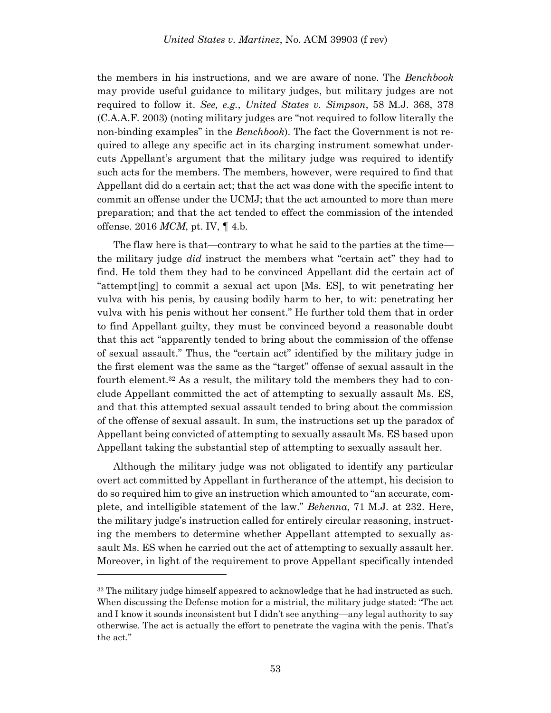the members in his instructions, and we are aware of none. The *Benchbook* may provide useful guidance to military judges, but military judges are not required to follow it. *See, e.g.*, *United States v. Simpson*, 58 M.J. 368, 378 (C.A.A.F. 2003) (noting military judges are "not required to follow literally the non-binding examples" in the *Benchbook*). The fact the Government is not required to allege any specific act in its charging instrument somewhat undercuts Appellant's argument that the military judge was required to identify such acts for the members. The members, however, were required to find that Appellant did do a certain act; that the act was done with the specific intent to commit an offense under the UCMJ; that the act amounted to more than mere preparation; and that the act tended to effect the commission of the intended offense. 2016 *MCM*, pt. IV, ¶ 4.b.

The flaw here is that—contrary to what he said to the parties at the time the military judge *did* instruct the members what "certain act" they had to find. He told them they had to be convinced Appellant did the certain act of "attempt[ing] to commit a sexual act upon [Ms. ES], to wit penetrating her vulva with his penis, by causing bodily harm to her, to wit: penetrating her vulva with his penis without her consent." He further told them that in order to find Appellant guilty, they must be convinced beyond a reasonable doubt that this act "apparently tended to bring about the commission of the offense of sexual assault." Thus, the "certain act" identified by the military judge in the first element was the same as the "target" offense of sexual assault in the fourth element.<sup>32</sup> As a result, the military told the members they had to conclude Appellant committed the act of attempting to sexually assault Ms. ES, and that this attempted sexual assault tended to bring about the commission of the offense of sexual assault. In sum, the instructions set up the paradox of Appellant being convicted of attempting to sexually assault Ms. ES based upon Appellant taking the substantial step of attempting to sexually assault her.

Although the military judge was not obligated to identify any particular overt act committed by Appellant in furtherance of the attempt, his decision to do so required him to give an instruction which amounted to "an accurate, complete, and intelligible statement of the law." *Behenna*, 71 M.J. at 232. Here, the military judge's instruction called for entirely circular reasoning, instructing the members to determine whether Appellant attempted to sexually assault Ms. ES when he carried out the act of attempting to sexually assault her. Moreover, in light of the requirement to prove Appellant specifically intended

 $32$  The military judge himself appeared to acknowledge that he had instructed as such. When discussing the Defense motion for a mistrial, the military judge stated: "The act and I know it sounds inconsistent but I didn't see anything—any legal authority to say otherwise. The act is actually the effort to penetrate the vagina with the penis. That's the act."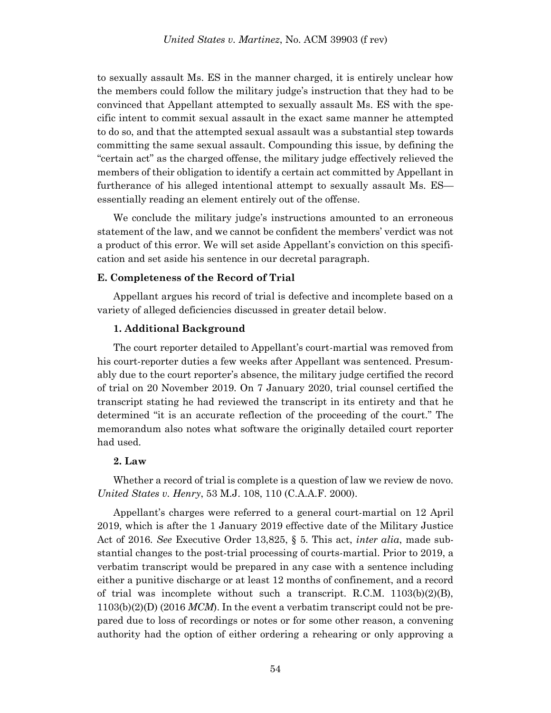to sexually assault Ms. ES in the manner charged, it is entirely unclear how the members could follow the military judge's instruction that they had to be convinced that Appellant attempted to sexually assault Ms. ES with the specific intent to commit sexual assault in the exact same manner he attempted to do so, and that the attempted sexual assault was a substantial step towards committing the same sexual assault. Compounding this issue, by defining the "certain act" as the charged offense, the military judge effectively relieved the members of their obligation to identify a certain act committed by Appellant in furtherance of his alleged intentional attempt to sexually assault Ms. ES essentially reading an element entirely out of the offense.

We conclude the military judge's instructions amounted to an erroneous statement of the law, and we cannot be confident the members' verdict was not a product of this error. We will set aside Appellant's conviction on this specification and set aside his sentence in our decretal paragraph.

# **E. Completeness of the Record of Trial**

Appellant argues his record of trial is defective and incomplete based on a variety of alleged deficiencies discussed in greater detail below.

# **1. Additional Background**

The court reporter detailed to Appellant's court-martial was removed from his court-reporter duties a few weeks after Appellant was sentenced. Presumably due to the court reporter's absence, the military judge certified the record of trial on 20 November 2019. On 7 January 2020, trial counsel certified the transcript stating he had reviewed the transcript in its entirety and that he determined "it is an accurate reflection of the proceeding of the court." The memorandum also notes what software the originally detailed court reporter had used.

# **2. Law**

Whether a record of trial is complete is a question of law we review de novo. *United States v. Henry*, 53 M.J. 108, 110 (C.A.A.F. 2000).

Appellant's charges were referred to a general court-martial on 12 April 2019, which is after the 1 January 2019 effective date of the Military Justice Act of 2016. *See* Executive Order 13,825, § 5. This act, *inter alia*, made substantial changes to the post-trial processing of courts-martial. Prior to 2019, a verbatim transcript would be prepared in any case with a sentence including either a punitive discharge or at least 12 months of confinement, and a record of trial was incomplete without such a transcript. R.C.M.  $1103(b)(2)(B)$ , 1103(b)(2)(D) (2016 *MCM*). In the event a verbatim transcript could not be prepared due to loss of recordings or notes or for some other reason, a convening authority had the option of either ordering a rehearing or only approving a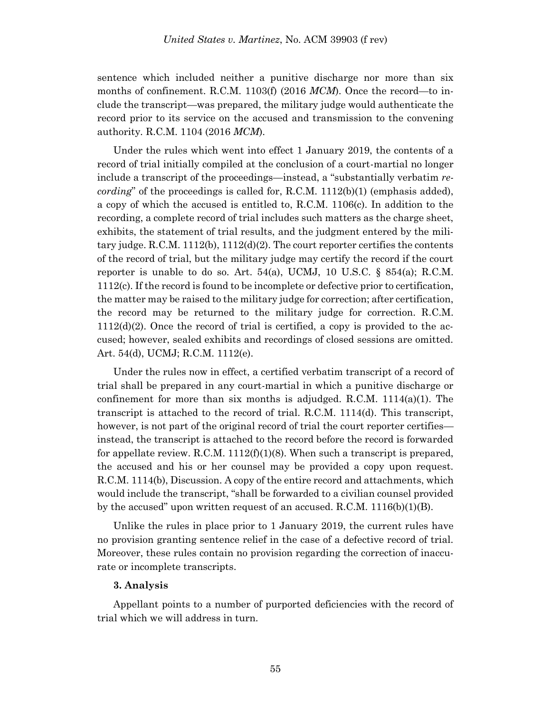sentence which included neither a punitive discharge nor more than six months of confinement. R.C.M. 1103(f) (2016 *MCM*). Once the record—to include the transcript—was prepared, the military judge would authenticate the record prior to its service on the accused and transmission to the convening authority. R.C.M. 1104 (2016 *MCM*).

Under the rules which went into effect 1 January 2019, the contents of a record of trial initially compiled at the conclusion of a court-martial no longer include a transcript of the proceedings—instead, a "substantially verbatim *recording*" of the proceedings is called for, R.C.M. 1112(b)(1) (emphasis added), a copy of which the accused is entitled to, R.C.M. 1106(c). In addition to the recording, a complete record of trial includes such matters as the charge sheet, exhibits, the statement of trial results, and the judgment entered by the military judge. R.C.M.  $1112(b)$ ,  $1112(d)(2)$ . The court reporter certifies the contents of the record of trial, but the military judge may certify the record if the court reporter is unable to do so. Art.  $54(a)$ , UCMJ, 10 U.S.C. §  $854(a)$ ; R.C.M. 1112(c). If the record is found to be incomplete or defective prior to certification, the matter may be raised to the military judge for correction; after certification, the record may be returned to the military judge for correction. R.C.M.  $1112(d)(2)$ . Once the record of trial is certified, a copy is provided to the accused; however, sealed exhibits and recordings of closed sessions are omitted. Art. 54(d), UCMJ; R.C.M. 1112(e).

Under the rules now in effect, a certified verbatim transcript of a record of trial shall be prepared in any court-martial in which a punitive discharge or confinement for more than six months is adjudged. R.C.M.  $1114(a)(1)$ . The transcript is attached to the record of trial. R.C.M. 1114(d). This transcript, however, is not part of the original record of trial the court reporter certifiesinstead, the transcript is attached to the record before the record is forwarded for appellate review. R.C.M.  $1112(f)(1)(8)$ . When such a transcript is prepared, the accused and his or her counsel may be provided a copy upon request. R.C.M. 1114(b), Discussion. A copy of the entire record and attachments, which would include the transcript, "shall be forwarded to a civilian counsel provided by the accused" upon written request of an accused. R.C.M. 1116(b)(1)(B).

Unlike the rules in place prior to 1 January 2019, the current rules have no provision granting sentence relief in the case of a defective record of trial. Moreover, these rules contain no provision regarding the correction of inaccurate or incomplete transcripts.

### **3. Analysis**

Appellant points to a number of purported deficiencies with the record of trial which we will address in turn.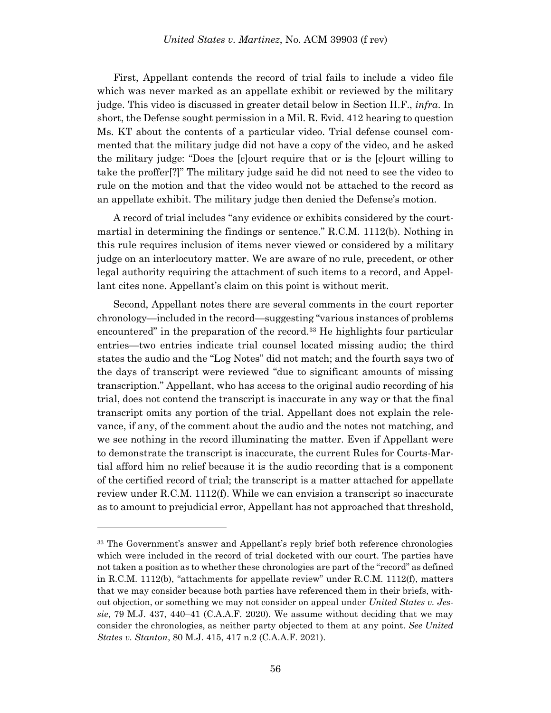First, Appellant contends the record of trial fails to include a video file which was never marked as an appellate exhibit or reviewed by the military judge. This video is discussed in greater detail below in Section II.F., *infra*. In short, the Defense sought permission in a Mil. R. Evid. 412 hearing to question Ms. KT about the contents of a particular video. Trial defense counsel commented that the military judge did not have a copy of the video, and he asked the military judge: "Does the [c]ourt require that or is the [c]ourt willing to take the proffer[?]" The military judge said he did not need to see the video to rule on the motion and that the video would not be attached to the record as an appellate exhibit. The military judge then denied the Defense's motion.

A record of trial includes "any evidence or exhibits considered by the courtmartial in determining the findings or sentence." R.C.M. 1112(b). Nothing in this rule requires inclusion of items never viewed or considered by a military judge on an interlocutory matter. We are aware of no rule, precedent, or other legal authority requiring the attachment of such items to a record, and Appellant cites none. Appellant's claim on this point is without merit.

Second, Appellant notes there are several comments in the court reporter chronology—included in the record—suggesting "various instances of problems encountered" in the preparation of the record.<sup>33</sup> He highlights four particular entries—two entries indicate trial counsel located missing audio; the third states the audio and the "Log Notes" did not match; and the fourth says two of the days of transcript were reviewed "due to significant amounts of missing transcription." Appellant, who has access to the original audio recording of his trial, does not contend the transcript is inaccurate in any way or that the final transcript omits any portion of the trial. Appellant does not explain the relevance, if any, of the comment about the audio and the notes not matching, and we see nothing in the record illuminating the matter. Even if Appellant were to demonstrate the transcript is inaccurate, the current Rules for Courts-Martial afford him no relief because it is the audio recording that is a component of the certified record of trial; the transcript is a matter attached for appellate review under R.C.M. 1112(f). While we can envision a transcript so inaccurate as to amount to prejudicial error, Appellant has not approached that threshold,

<sup>33</sup> The Government's answer and Appellant's reply brief both reference chronologies which were included in the record of trial docketed with our court. The parties have not taken a position as to whether these chronologies are part of the "record" as defined in R.C.M. 1112(b), "attachments for appellate review" under R.C.M. 1112(f), matters that we may consider because both parties have referenced them in their briefs, without objection, or something we may not consider on appeal under *United States v. Jessie*, 79 M.J. 437, 440–41 (C.A.A.F. 2020). We assume without deciding that we may consider the chronologies, as neither party objected to them at any point. *See United States v. Stanton*, 80 M.J. 415, 417 n.2 (C.A.A.F. 2021).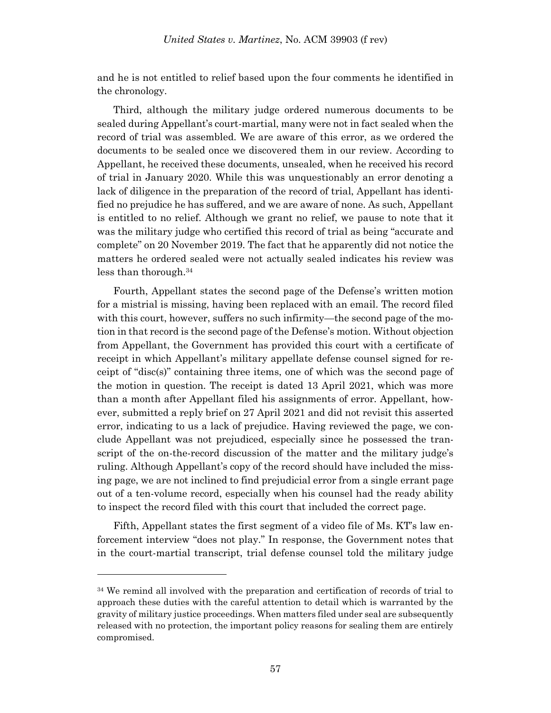and he is not entitled to relief based upon the four comments he identified in the chronology.

Third, although the military judge ordered numerous documents to be sealed during Appellant's court-martial, many were not in fact sealed when the record of trial was assembled. We are aware of this error, as we ordered the documents to be sealed once we discovered them in our review. According to Appellant, he received these documents, unsealed, when he received his record of trial in January 2020. While this was unquestionably an error denoting a lack of diligence in the preparation of the record of trial, Appellant has identified no prejudice he has suffered, and we are aware of none. As such, Appellant is entitled to no relief. Although we grant no relief, we pause to note that it was the military judge who certified this record of trial as being "accurate and complete" on 20 November 2019. The fact that he apparently did not notice the matters he ordered sealed were not actually sealed indicates his review was less than thorough.<sup>34</sup>

Fourth, Appellant states the second page of the Defense's written motion for a mistrial is missing, having been replaced with an email. The record filed with this court, however, suffers no such infirmity—the second page of the motion in that record is the second page of the Defense's motion. Without objection from Appellant, the Government has provided this court with a certificate of receipt in which Appellant's military appellate defense counsel signed for receipt of "disc(s)" containing three items, one of which was the second page of the motion in question. The receipt is dated 13 April 2021, which was more than a month after Appellant filed his assignments of error. Appellant, however, submitted a reply brief on 27 April 2021 and did not revisit this asserted error, indicating to us a lack of prejudice. Having reviewed the page, we conclude Appellant was not prejudiced, especially since he possessed the transcript of the on-the-record discussion of the matter and the military judge's ruling. Although Appellant's copy of the record should have included the missing page, we are not inclined to find prejudicial error from a single errant page out of a ten-volume record, especially when his counsel had the ready ability to inspect the record filed with this court that included the correct page.

Fifth, Appellant states the first segment of a video file of Ms. KT's law enforcement interview "does not play." In response, the Government notes that in the court-martial transcript, trial defense counsel told the military judge

<sup>&</sup>lt;sup>34</sup> We remind all involved with the preparation and certification of records of trial to approach these duties with the careful attention to detail which is warranted by the gravity of military justice proceedings. When matters filed under seal are subsequently released with no protection, the important policy reasons for sealing them are entirely compromised.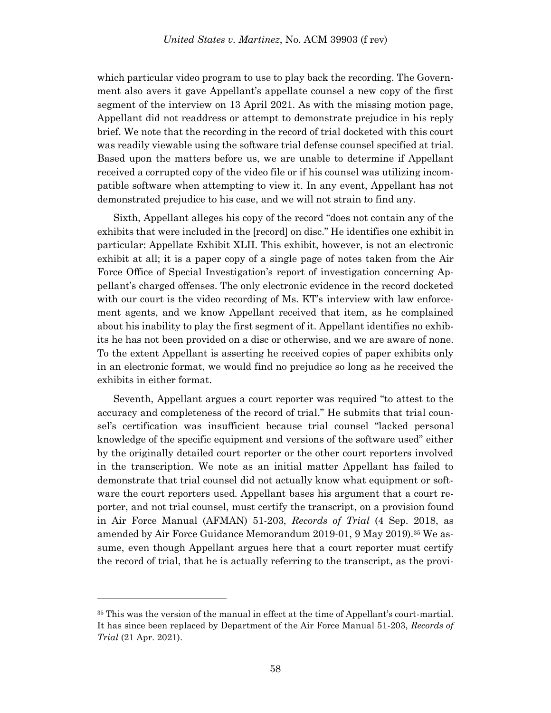which particular video program to use to play back the recording. The Government also avers it gave Appellant's appellate counsel a new copy of the first segment of the interview on 13 April 2021. As with the missing motion page, Appellant did not readdress or attempt to demonstrate prejudice in his reply brief. We note that the recording in the record of trial docketed with this court was readily viewable using the software trial defense counsel specified at trial. Based upon the matters before us, we are unable to determine if Appellant received a corrupted copy of the video file or if his counsel was utilizing incompatible software when attempting to view it. In any event, Appellant has not demonstrated prejudice to his case, and we will not strain to find any.

Sixth, Appellant alleges his copy of the record "does not contain any of the exhibits that were included in the [record] on disc." He identifies one exhibit in particular: Appellate Exhibit XLII. This exhibit, however, is not an electronic exhibit at all; it is a paper copy of a single page of notes taken from the Air Force Office of Special Investigation's report of investigation concerning Appellant's charged offenses. The only electronic evidence in the record docketed with our court is the video recording of Ms. KT's interview with law enforcement agents, and we know Appellant received that item, as he complained about his inability to play the first segment of it. Appellant identifies no exhibits he has not been provided on a disc or otherwise, and we are aware of none. To the extent Appellant is asserting he received copies of paper exhibits only in an electronic format, we would find no prejudice so long as he received the exhibits in either format.

Seventh, Appellant argues a court reporter was required "to attest to the accuracy and completeness of the record of trial." He submits that trial counsel's certification was insufficient because trial counsel "lacked personal knowledge of the specific equipment and versions of the software used" either by the originally detailed court reporter or the other court reporters involved in the transcription. We note as an initial matter Appellant has failed to demonstrate that trial counsel did not actually know what equipment or software the court reporters used. Appellant bases his argument that a court reporter, and not trial counsel, must certify the transcript, on a provision found in Air Force Manual (AFMAN) 51-203, *Records of Trial* (4 Sep. 2018, as amended by Air Force Guidance Memorandum 2019-01, 9 May 2019).<sup>35</sup> We assume, even though Appellant argues here that a court reporter must certify the record of trial, that he is actually referring to the transcript, as the provi-

<sup>35</sup> This was the version of the manual in effect at the time of Appellant's court-martial. It has since been replaced by Department of the Air Force Manual 51-203, *Records of Trial* (21 Apr. 2021).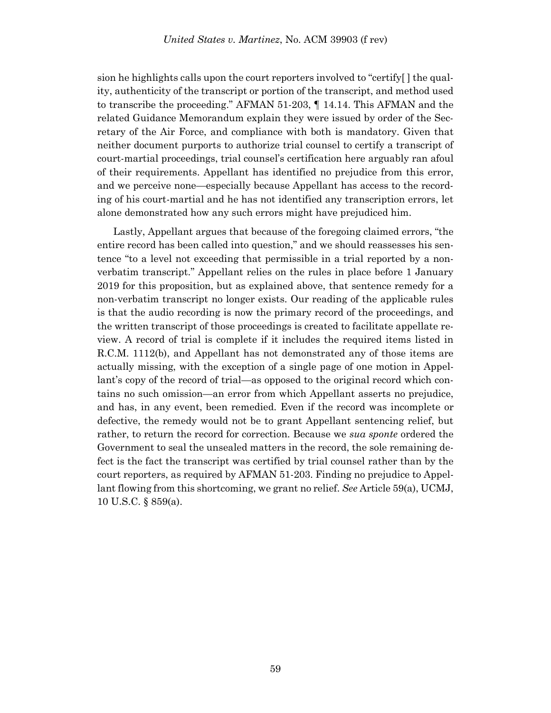sion he highlights calls upon the court reporters involved to "certify[ ] the quality, authenticity of the transcript or portion of the transcript, and method used to transcribe the proceeding." AFMAN 51-203, ¶ 14.14. This AFMAN and the related Guidance Memorandum explain they were issued by order of the Secretary of the Air Force, and compliance with both is mandatory. Given that neither document purports to authorize trial counsel to certify a transcript of court-martial proceedings, trial counsel's certification here arguably ran afoul of their requirements. Appellant has identified no prejudice from this error, and we perceive none—especially because Appellant has access to the recording of his court-martial and he has not identified any transcription errors, let alone demonstrated how any such errors might have prejudiced him.

Lastly, Appellant argues that because of the foregoing claimed errors, "the entire record has been called into question," and we should reassesses his sentence "to a level not exceeding that permissible in a trial reported by a nonverbatim transcript." Appellant relies on the rules in place before 1 January 2019 for this proposition, but as explained above, that sentence remedy for a non-verbatim transcript no longer exists. Our reading of the applicable rules is that the audio recording is now the primary record of the proceedings, and the written transcript of those proceedings is created to facilitate appellate review. A record of trial is complete if it includes the required items listed in R.C.M. 1112(b), and Appellant has not demonstrated any of those items are actually missing, with the exception of a single page of one motion in Appellant's copy of the record of trial—as opposed to the original record which contains no such omission—an error from which Appellant asserts no prejudice, and has, in any event, been remedied. Even if the record was incomplete or defective, the remedy would not be to grant Appellant sentencing relief, but rather, to return the record for correction. Because we *sua sponte* ordered the Government to seal the unsealed matters in the record, the sole remaining defect is the fact the transcript was certified by trial counsel rather than by the court reporters, as required by AFMAN 51-203. Finding no prejudice to Appellant flowing from this shortcoming, we grant no relief. *See* Article 59(a), UCMJ, 10 U.S.C. § 859(a).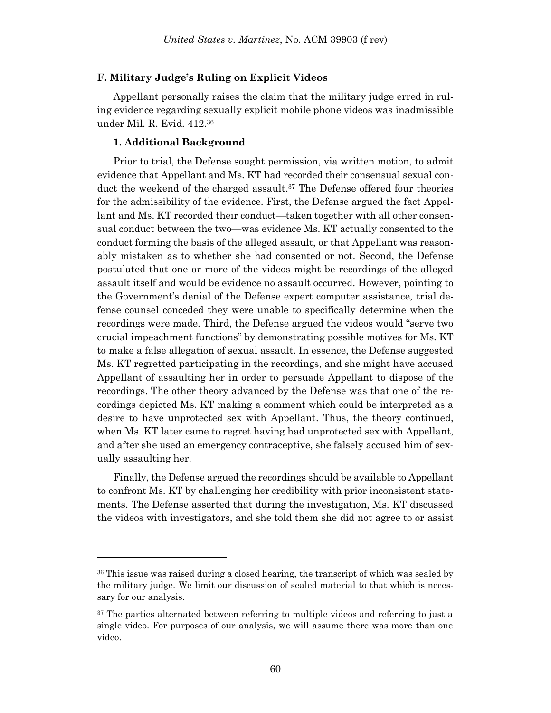### **F. Military Judge's Ruling on Explicit Videos**

Appellant personally raises the claim that the military judge erred in ruling evidence regarding sexually explicit mobile phone videos was inadmissible under Mil. R. Evid. 412.<sup>36</sup>

### **1. Additional Background**

l

Prior to trial, the Defense sought permission, via written motion, to admit evidence that Appellant and Ms. KT had recorded their consensual sexual conduct the weekend of the charged assault. <sup>37</sup> The Defense offered four theories for the admissibility of the evidence. First, the Defense argued the fact Appellant and Ms. KT recorded their conduct—taken together with all other consensual conduct between the two—was evidence Ms. KT actually consented to the conduct forming the basis of the alleged assault, or that Appellant was reasonably mistaken as to whether she had consented or not. Second, the Defense postulated that one or more of the videos might be recordings of the alleged assault itself and would be evidence no assault occurred. However, pointing to the Government's denial of the Defense expert computer assistance, trial defense counsel conceded they were unable to specifically determine when the recordings were made. Third, the Defense argued the videos would "serve two crucial impeachment functions" by demonstrating possible motives for Ms. KT to make a false allegation of sexual assault. In essence, the Defense suggested Ms. KT regretted participating in the recordings, and she might have accused Appellant of assaulting her in order to persuade Appellant to dispose of the recordings. The other theory advanced by the Defense was that one of the recordings depicted Ms. KT making a comment which could be interpreted as a desire to have unprotected sex with Appellant. Thus, the theory continued, when Ms. KT later came to regret having had unprotected sex with Appellant, and after she used an emergency contraceptive, she falsely accused him of sexually assaulting her.

Finally, the Defense argued the recordings should be available to Appellant to confront Ms. KT by challenging her credibility with prior inconsistent statements. The Defense asserted that during the investigation, Ms. KT discussed the videos with investigators, and she told them she did not agree to or assist

<sup>36</sup> This issue was raised during a closed hearing, the transcript of which was sealed by the military judge. We limit our discussion of sealed material to that which is necessary for our analysis.

<sup>&</sup>lt;sup>37</sup> The parties alternated between referring to multiple videos and referring to just a single video. For purposes of our analysis, we will assume there was more than one video.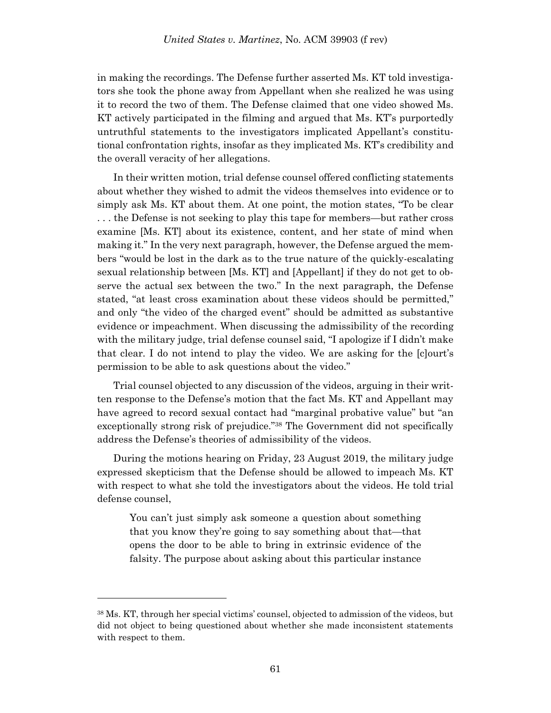in making the recordings. The Defense further asserted Ms. KT told investigators she took the phone away from Appellant when she realized he was using it to record the two of them. The Defense claimed that one video showed Ms. KT actively participated in the filming and argued that Ms. KT's purportedly untruthful statements to the investigators implicated Appellant's constitutional confrontation rights, insofar as they implicated Ms. KT's credibility and the overall veracity of her allegations.

In their written motion, trial defense counsel offered conflicting statements about whether they wished to admit the videos themselves into evidence or to simply ask Ms. KT about them. At one point, the motion states, "To be clear . . . the Defense is not seeking to play this tape for members—but rather cross examine [Ms. KT] about its existence, content, and her state of mind when making it." In the very next paragraph, however, the Defense argued the members "would be lost in the dark as to the true nature of the quickly-escalating sexual relationship between [Ms. KT] and [Appellant] if they do not get to observe the actual sex between the two." In the next paragraph, the Defense stated, "at least cross examination about these videos should be permitted," and only "the video of the charged event" should be admitted as substantive evidence or impeachment. When discussing the admissibility of the recording with the military judge, trial defense counsel said, "I apologize if I didn't make that clear. I do not intend to play the video. We are asking for the [c]ourt's permission to be able to ask questions about the video."

Trial counsel objected to any discussion of the videos, arguing in their written response to the Defense's motion that the fact Ms. KT and Appellant may have agreed to record sexual contact had "marginal probative value" but "an exceptionally strong risk of prejudice."<sup>38</sup> The Government did not specifically address the Defense's theories of admissibility of the videos.

During the motions hearing on Friday, 23 August 2019, the military judge expressed skepticism that the Defense should be allowed to impeach Ms. KT with respect to what she told the investigators about the videos. He told trial defense counsel,

You can't just simply ask someone a question about something that you know they're going to say something about that—that opens the door to be able to bring in extrinsic evidence of the falsity. The purpose about asking about this particular instance

<sup>38</sup> Ms. KT, through her special victims' counsel, objected to admission of the videos, but did not object to being questioned about whether she made inconsistent statements with respect to them.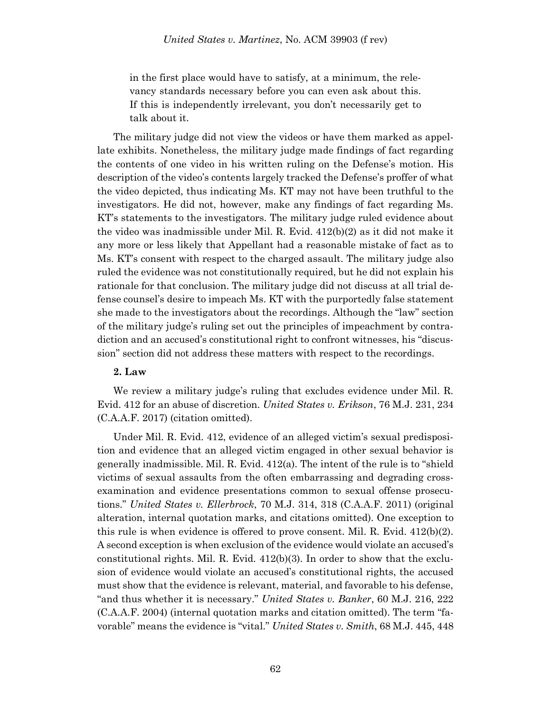in the first place would have to satisfy, at a minimum, the relevancy standards necessary before you can even ask about this. If this is independently irrelevant, you don't necessarily get to talk about it.

The military judge did not view the videos or have them marked as appellate exhibits. Nonetheless, the military judge made findings of fact regarding the contents of one video in his written ruling on the Defense's motion. His description of the video's contents largely tracked the Defense's proffer of what the video depicted, thus indicating Ms. KT may not have been truthful to the investigators. He did not, however, make any findings of fact regarding Ms. KT's statements to the investigators. The military judge ruled evidence about the video was inadmissible under Mil. R. Evid. 412(b)(2) as it did not make it any more or less likely that Appellant had a reasonable mistake of fact as to Ms. KT's consent with respect to the charged assault. The military judge also ruled the evidence was not constitutionally required, but he did not explain his rationale for that conclusion. The military judge did not discuss at all trial defense counsel's desire to impeach Ms. KT with the purportedly false statement she made to the investigators about the recordings. Although the "law" section of the military judge's ruling set out the principles of impeachment by contradiction and an accused's constitutional right to confront witnesses, his "discussion" section did not address these matters with respect to the recordings.

# **2. Law**

We review a military judge's ruling that excludes evidence under Mil. R. Evid. 412 for an abuse of discretion. *United States v. Erikson*, 76 M.J. 231, 234 (C.A.A.F. 2017) (citation omitted).

Under Mil. R. Evid. 412, evidence of an alleged victim's sexual predisposition and evidence that an alleged victim engaged in other sexual behavior is generally inadmissible. Mil. R. Evid. 412(a). The intent of the rule is to "shield victims of sexual assaults from the often embarrassing and degrading crossexamination and evidence presentations common to sexual offense prosecutions." *United States v. Ellerbrock*, 70 M.J. 314, 318 (C.A.A.F. 2011) (original alteration, internal quotation marks, and citations omitted). One exception to this rule is when evidence is offered to prove consent. Mil. R. Evid.  $412(b)(2)$ . A second exception is when exclusion of the evidence would violate an accused's constitutional rights. Mil. R. Evid.  $412(b)(3)$ . In order to show that the exclusion of evidence would violate an accused's constitutional rights, the accused must show that the evidence is relevant, material, and favorable to his defense, "and thus whether it is necessary." *United States v. Banker*, 60 M.J. 216, 222 (C.A.A.F. 2004) (internal quotation marks and citation omitted). The term "favorable" means the evidence is "vital." *United States v. Smith*, 68 M.J. 445, 448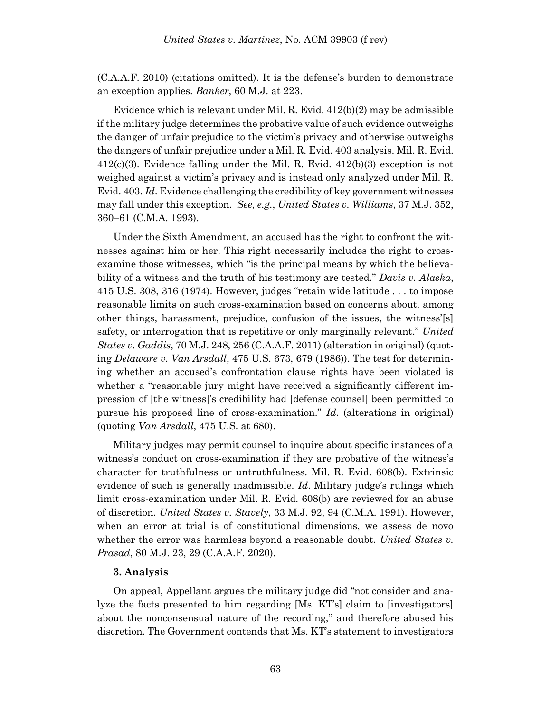(C.A.A.F. 2010) (citations omitted). It is the defense's burden to demonstrate an exception applies. *Banker*, 60 M.J. at 223.

Evidence which is relevant under Mil. R. Evid. 412(b)(2) may be admissible if the military judge determines the probative value of such evidence outweighs the danger of unfair prejudice to the victim's privacy and otherwise outweighs the dangers of unfair prejudice under a Mil. R. Evid. 403 analysis. Mil. R. Evid. 412(c)(3). Evidence falling under the Mil. R. Evid. 412(b)(3) exception is not weighed against a victim's privacy and is instead only analyzed under Mil. R. Evid. 403. *Id*. Evidence challenging the credibility of key government witnesses may fall under this exception. *See, e.g.*, *United States v. Williams*, 37 M.J. 352, 360–61 (C.M.A. 1993).

Under the Sixth Amendment, an accused has the right to confront the witnesses against him or her. This right necessarily includes the right to crossexamine those witnesses, which "is the principal means by which the believability of a witness and the truth of his testimony are tested." *Davis v. Alaska*, 415 U.S. 308, 316 (1974). However, judges "retain wide latitude . . . to impose reasonable limits on such cross-examination based on concerns about, among other things, harassment, prejudice, confusion of the issues, the witness'[s] safety, or interrogation that is repetitive or only marginally relevant." *United States v. Gaddis*, 70 M.J. 248, 256 (C.A.A.F. 2011) (alteration in original) (quoting *Delaware v. Van Arsdall*, 475 U.S. 673, 679 (1986)). The test for determining whether an accused's confrontation clause rights have been violated is whether a "reasonable jury might have received a significantly different impression of [the witness]'s credibility had [defense counsel] been permitted to pursue his proposed line of cross-examination." *Id*. (alterations in original) (quoting *Van Arsdall*, 475 U.S. at 680).

Military judges may permit counsel to inquire about specific instances of a witness's conduct on cross-examination if they are probative of the witness's character for truthfulness or untruthfulness. Mil. R. Evid. 608(b). Extrinsic evidence of such is generally inadmissible. *Id*. Military judge's rulings which limit cross-examination under Mil. R. Evid. 608(b) are reviewed for an abuse of discretion. *United States v. Stavely*, 33 M.J. 92, 94 (C.M.A. 1991). However, when an error at trial is of constitutional dimensions, we assess de novo whether the error was harmless beyond a reasonable doubt. *United States v. Prasad*, 80 M.J. 23, 29 (C.A.A.F. 2020).

#### **3. Analysis**

On appeal, Appellant argues the military judge did "not consider and analyze the facts presented to him regarding [Ms. KT's] claim to [investigators] about the nonconsensual nature of the recording," and therefore abused his discretion. The Government contends that Ms. KT's statement to investigators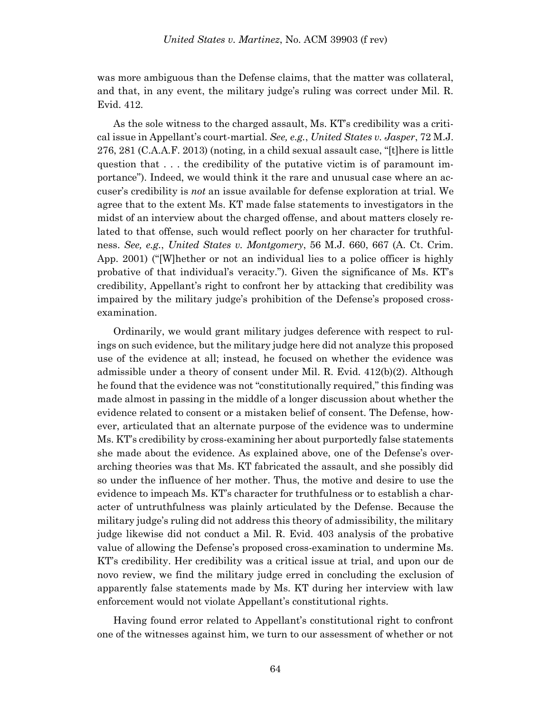was more ambiguous than the Defense claims, that the matter was collateral, and that, in any event, the military judge's ruling was correct under Mil. R. Evid. 412.

As the sole witness to the charged assault, Ms. KT's credibility was a critical issue in Appellant's court-martial. *See, e.g.*, *United States v. Jasper*, 72 M.J. 276, 281 (C.A.A.F. 2013) (noting, in a child sexual assault case, "[t]here is little question that . . . the credibility of the putative victim is of paramount importance"). Indeed, we would think it the rare and unusual case where an accuser's credibility is *not* an issue available for defense exploration at trial. We agree that to the extent Ms. KT made false statements to investigators in the midst of an interview about the charged offense, and about matters closely related to that offense, such would reflect poorly on her character for truthfulness. *See, e.g.*, *United States v. Montgomery*, 56 M.J. 660, 667 (A. Ct. Crim. App. 2001) ("[W]hether or not an individual lies to a police officer is highly probative of that individual's veracity."). Given the significance of Ms. KT's credibility, Appellant's right to confront her by attacking that credibility was impaired by the military judge's prohibition of the Defense's proposed crossexamination.

Ordinarily, we would grant military judges deference with respect to rulings on such evidence, but the military judge here did not analyze this proposed use of the evidence at all; instead, he focused on whether the evidence was admissible under a theory of consent under Mil. R. Evid. 412(b)(2). Although he found that the evidence was not "constitutionally required," this finding was made almost in passing in the middle of a longer discussion about whether the evidence related to consent or a mistaken belief of consent. The Defense, however, articulated that an alternate purpose of the evidence was to undermine Ms. KT's credibility by cross-examining her about purportedly false statements she made about the evidence. As explained above, one of the Defense's overarching theories was that Ms. KT fabricated the assault, and she possibly did so under the influence of her mother. Thus, the motive and desire to use the evidence to impeach Ms. KT's character for truthfulness or to establish a character of untruthfulness was plainly articulated by the Defense. Because the military judge's ruling did not address this theory of admissibility, the military judge likewise did not conduct a Mil. R. Evid. 403 analysis of the probative value of allowing the Defense's proposed cross-examination to undermine Ms. KT's credibility. Her credibility was a critical issue at trial, and upon our de novo review, we find the military judge erred in concluding the exclusion of apparently false statements made by Ms. KT during her interview with law enforcement would not violate Appellant's constitutional rights.

Having found error related to Appellant's constitutional right to confront one of the witnesses against him, we turn to our assessment of whether or not